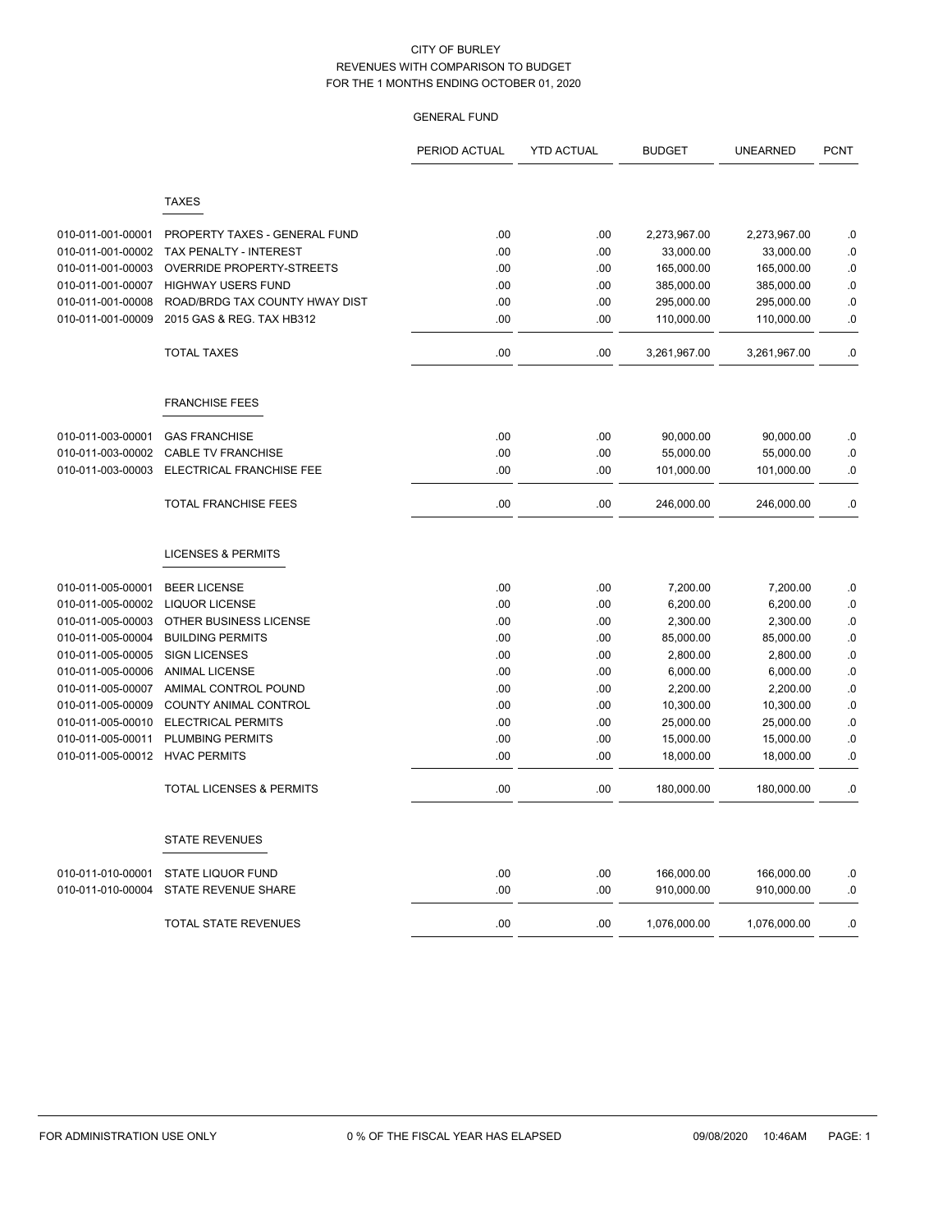|                   |                                     | PERIOD ACTUAL | <b>YTD ACTUAL</b> | <b>BUDGET</b> | <b>UNEARNED</b> | <b>PCNT</b> |
|-------------------|-------------------------------------|---------------|-------------------|---------------|-----------------|-------------|
|                   | <b>TAXES</b>                        |               |                   |               |                 |             |
|                   |                                     |               |                   |               |                 |             |
| 010-011-001-00001 | PROPERTY TAXES - GENERAL FUND       | .00           | .00               | 2,273,967.00  | 2,273,967.00    | $\cdot$ 0   |
| 010-011-001-00002 | TAX PENALTY - INTEREST              | .00           | .00               | 33,000.00     | 33,000.00       | .0          |
| 010-011-001-00003 | <b>OVERRIDE PROPERTY-STREETS</b>    | .00           | .00               | 165,000.00    | 165,000.00      | .0          |
| 010-011-001-00007 | <b>HIGHWAY USERS FUND</b>           | .00           | .00               | 385,000.00    | 385,000.00      | $\cdot$ 0   |
| 010-011-001-00008 | ROAD/BRDG TAX COUNTY HWAY DIST      | .00           | .00               | 295,000.00    | 295,000.00      | .0          |
| 010-011-001-00009 | 2015 GAS & REG. TAX HB312           | .00           | .00               | 110,000.00    | 110,000.00      | .0          |
|                   | <b>TOTAL TAXES</b>                  | .00           | .00               | 3,261,967.00  | 3,261,967.00    | $\cdot$ 0   |
|                   | <b>FRANCHISE FEES</b>               |               |                   |               |                 |             |
| 010-011-003-00001 | <b>GAS FRANCHISE</b>                | .00           | .00               | 90,000.00     | 90,000.00       | .0          |
| 010-011-003-00002 | <b>CABLE TV FRANCHISE</b>           | .00           | .00               | 55,000.00     | 55,000.00       | .0          |
| 010-011-003-00003 | ELECTRICAL FRANCHISE FEE            | .00           | .00               | 101,000.00    | 101,000.00      | .0          |
|                   | <b>TOTAL FRANCHISE FEES</b>         | .00           | .00               | 246,000.00    | 246,000.00      | .0          |
|                   | <b>LICENSES &amp; PERMITS</b>       |               |                   |               |                 |             |
| 010-011-005-00001 | <b>BEER LICENSE</b>                 | .00           | .00               | 7,200.00      | 7,200.00        | $\cdot$ 0   |
| 010-011-005-00002 | <b>LIQUOR LICENSE</b>               | .00           | .00               | 6,200.00      | 6,200.00        | .0          |
| 010-011-005-00003 | OTHER BUSINESS LICENSE              | .00           | .00               | 2,300.00      | 2,300.00        | .0          |
| 010-011-005-00004 | <b>BUILDING PERMITS</b>             | .00           | .00               | 85,000.00     | 85,000.00       | $\cdot$ 0   |
| 010-011-005-00005 | <b>SIGN LICENSES</b>                | .00           | .00               | 2,800.00      | 2,800.00        | .0          |
| 010-011-005-00006 | <b>ANIMAL LICENSE</b>               | .00           | .00               | 6,000.00      | 6,000.00        | .0          |
| 010-011-005-00007 | AMIMAL CONTROL POUND                | .00           | .00               | 2,200.00      | 2,200.00        | .0          |
| 010-011-005-00009 | COUNTY ANIMAL CONTROL               | .00           | .00               | 10,300.00     | 10,300.00       | .0          |
| 010-011-005-00010 | <b>ELECTRICAL PERMITS</b>           | .00           | .00               | 25,000.00     | 25,000.00       | $\cdot$ 0   |
| 010-011-005-00011 | <b>PLUMBING PERMITS</b>             | .00           | .00               | 15,000.00     | 15,000.00       | .0          |
| 010-011-005-00012 | <b>HVAC PERMITS</b>                 | .00           | .00               | 18,000.00     | 18,000.00       | .0          |
|                   | <b>TOTAL LICENSES &amp; PERMITS</b> | .00           | .00.              | 180,000.00    | 180,000.00      | .0          |
|                   | <b>STATE REVENUES</b>               |               |                   |               |                 |             |
| 010-011-010-00001 | <b>STATE LIQUOR FUND</b>            | $.00\,$       | .00               | 166,000.00    | 166,000.00      | $\cdot$ 0   |
| 010-011-010-00004 | <b>STATE REVENUE SHARE</b>          | .00           | .00               | 910,000.00    | 910,000.00      | .0          |
|                   | <b>TOTAL STATE REVENUES</b>         | .00           | .00               | 1,076,000.00  | 1,076,000.00    | .0          |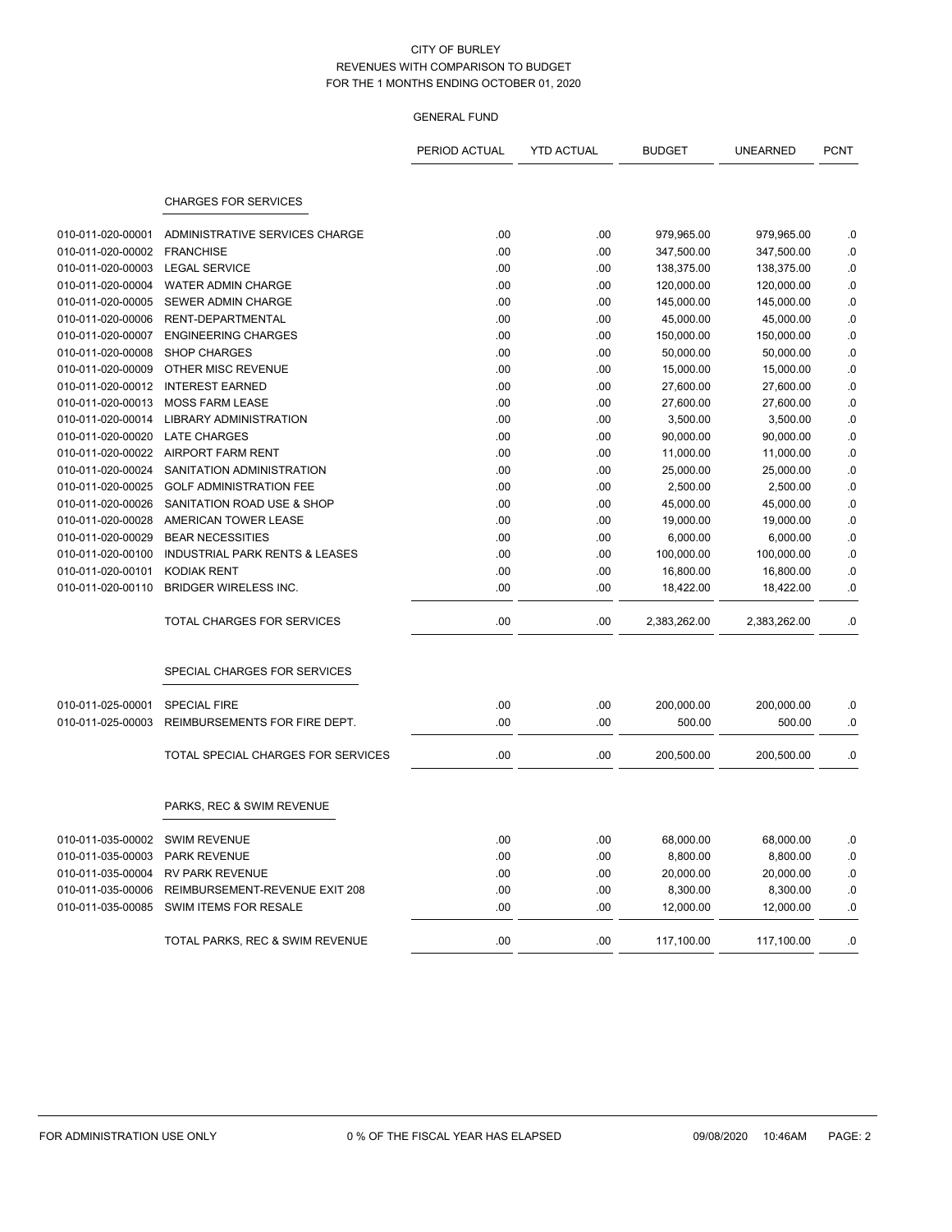|                   |                                           | PERIOD ACTUAL | <b>YTD ACTUAL</b> | <b>BUDGET</b> | <b>UNEARNED</b> | <b>PCNT</b> |
|-------------------|-------------------------------------------|---------------|-------------------|---------------|-----------------|-------------|
|                   | <b>CHARGES FOR SERVICES</b>               |               |                   |               |                 |             |
|                   |                                           |               |                   |               |                 |             |
| 010-011-020-00001 | ADMINISTRATIVE SERVICES CHARGE            | .00           | .00               | 979,965.00    | 979,965.00      | .0          |
| 010-011-020-00002 | <b>FRANCHISE</b>                          | .00           | .00               | 347,500.00    | 347,500.00      | .0          |
| 010-011-020-00003 | <b>LEGAL SERVICE</b>                      | .00           | .00               | 138,375.00    | 138,375.00      | .0          |
| 010-011-020-00004 | WATER ADMIN CHARGE                        | .00           | .00               | 120,000.00    | 120,000.00      | .0          |
| 010-011-020-00005 | SEWER ADMIN CHARGE                        | .00           | .00               | 145,000.00    | 145,000.00      | .0          |
| 010-011-020-00006 | RENT-DEPARTMENTAL                         | .00           | .00               | 45,000.00     | 45,000.00       | .0          |
| 010-011-020-00007 | <b>ENGINEERING CHARGES</b>                | .00           | .00               | 150,000.00    | 150,000.00      | .0          |
| 010-011-020-00008 | <b>SHOP CHARGES</b>                       | .00           | .00               | 50,000.00     | 50,000.00       | .0          |
| 010-011-020-00009 | OTHER MISC REVENUE                        | .00           | .00               | 15,000.00     | 15,000.00       | .0          |
| 010-011-020-00012 | <b>INTEREST EARNED</b>                    | .00           | .00               | 27,600.00     | 27,600.00       | .0          |
| 010-011-020-00013 | <b>MOSS FARM LEASE</b>                    | .00           | .00               | 27,600.00     | 27,600.00       | .0          |
| 010-011-020-00014 | <b>LIBRARY ADMINISTRATION</b>             | .00           | .00               | 3,500.00      | 3,500.00        | .0          |
| 010-011-020-00020 | <b>LATE CHARGES</b>                       | .00           | .00               | 90,000.00     | 90,000.00       | .0          |
|                   | 010-011-020-00022 AIRPORT FARM RENT       | .00           | .00               | 11,000.00     | 11,000.00       | .0          |
| 010-011-020-00024 | SANITATION ADMINISTRATION                 | .00           | .00               | 25,000.00     | 25,000.00       | .0          |
| 010-011-020-00025 | <b>GOLF ADMINISTRATION FEE</b>            | .00           | .00               | 2,500.00      | 2,500.00        | .0          |
| 010-011-020-00026 | SANITATION ROAD USE & SHOP                | .00           | .00               | 45,000.00     | 45,000.00       | .0          |
| 010-011-020-00028 | AMERICAN TOWER LEASE                      | .00           | .00               | 19,000.00     | 19,000.00       | .0          |
| 010-011-020-00029 | <b>BEAR NECESSITIES</b>                   | .00           | .00               | 6,000.00      | 6,000.00        | .0          |
| 010-011-020-00100 | <b>INDUSTRIAL PARK RENTS &amp; LEASES</b> | .00           | .00               | 100,000.00    | 100,000.00      | .0          |
| 010-011-020-00101 | <b>KODIAK RENT</b>                        | .00           | .00               | 16,800.00     | 16,800.00       | .0          |
| 010-011-020-00110 | <b>BRIDGER WIRELESS INC.</b>              | .00           | .00               | 18,422.00     | 18,422.00       | .0          |
|                   | TOTAL CHARGES FOR SERVICES                | .00           | .00               | 2,383,262.00  | 2,383,262.00    | .0          |
|                   | SPECIAL CHARGES FOR SERVICES              |               |                   |               |                 |             |
| 010-011-025-00001 | <b>SPECIAL FIRE</b>                       | .00           | .00               | 200,000.00    | 200,000.00      | .0          |
| 010-011-025-00003 | REIMBURSEMENTS FOR FIRE DEPT.             | .00           | .00               | 500.00        | 500.00          | .0          |
|                   |                                           |               |                   |               |                 |             |
|                   | TOTAL SPECIAL CHARGES FOR SERVICES        | .00           | .00               | 200,500.00    | 200,500.00      | .0          |
|                   | PARKS, REC & SWIM REVENUE                 |               |                   |               |                 |             |
| 010-011-035-00002 | <b>SWIM REVENUE</b>                       | .00           | .00               | 68,000.00     | 68,000.00       | .0          |
| 010-011-035-00003 | <b>PARK REVENUE</b>                       | .00           | .00               | 8,800.00      | 8,800.00        | .0          |
| 010-011-035-00004 | <b>RV PARK REVENUE</b>                    | .00           | .00               | 20,000.00     | 20,000.00       | .0          |
| 010-011-035-00006 | REIMBURSEMENT-REVENUE EXIT 208            | .00           | .00               | 8,300.00      | 8,300.00        | .0          |
| 010-011-035-00085 | SWIM ITEMS FOR RESALE                     | .00           | .00               | 12,000.00     | 12,000.00       | .0          |
|                   | TOTAL PARKS, REC & SWIM REVENUE           | .00           | .00               | 117,100.00    | 117,100.00      | .0          |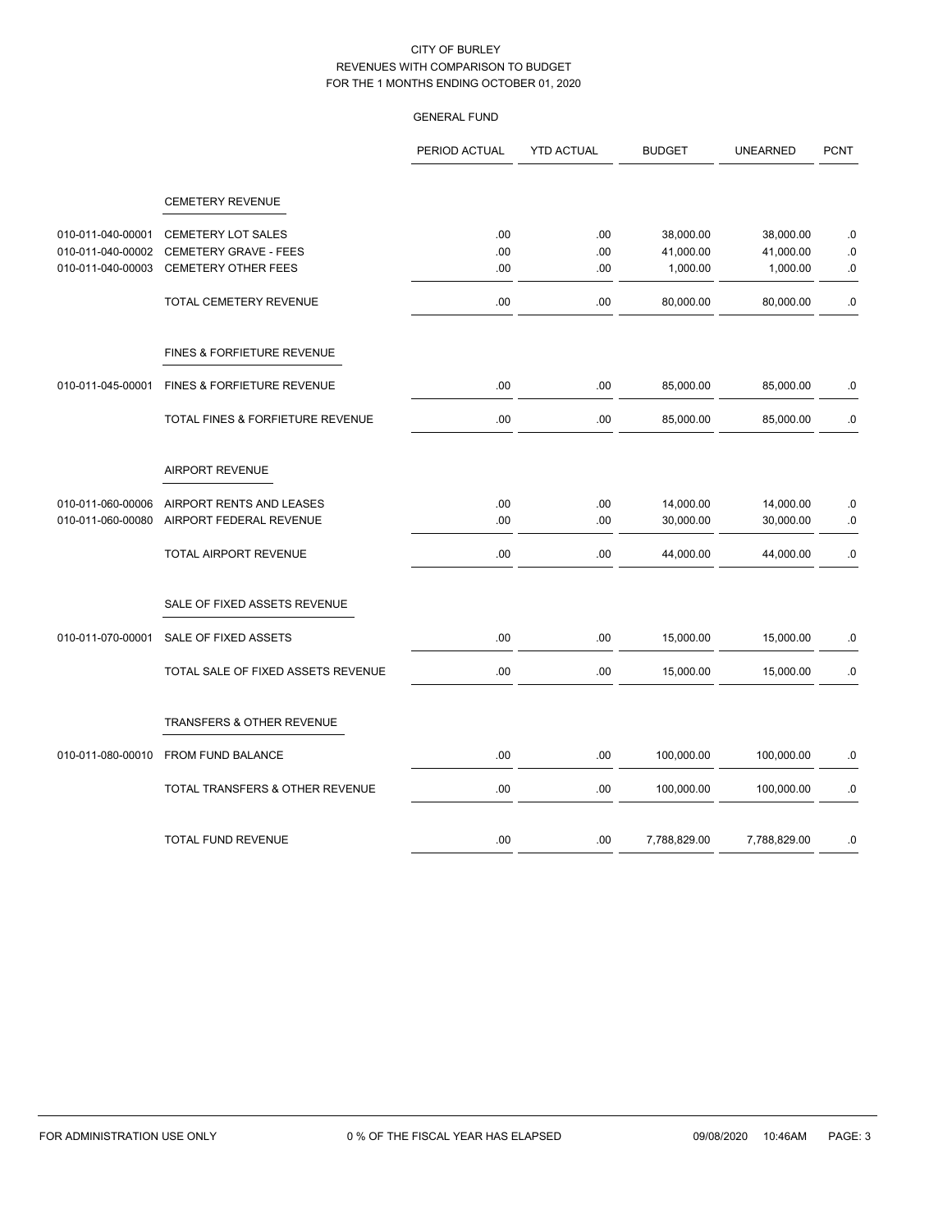|                   |                                       | PERIOD ACTUAL | <b>YTD ACTUAL</b> | <b>BUDGET</b> | <b>UNEARNED</b>        | <b>PCNT</b> |
|-------------------|---------------------------------------|---------------|-------------------|---------------|------------------------|-------------|
|                   | <b>CEMETERY REVENUE</b>               |               |                   |               |                        |             |
| 010-011-040-00001 | <b>CEMETERY LOT SALES</b>             | .00           |                   | 38,000.00     |                        |             |
| 010-011-040-00002 | CEMETERY GRAVE - FEES                 | .00           | .00<br>.00        | 41,000.00     | 38,000.00<br>41,000.00 | .0<br>.0    |
| 010-011-040-00003 | <b>CEMETERY OTHER FEES</b>            | .00           | .00               | 1,000.00      | 1,000.00               | .0          |
|                   | TOTAL CEMETERY REVENUE                | .00           | .00               | 80,000.00     | 80,000.00              | .0          |
|                   | FINES & FORFIETURE REVENUE            |               |                   |               |                        |             |
| 010-011-045-00001 | <b>FINES &amp; FORFIETURE REVENUE</b> | .00           | .00               | 85,000.00     | 85,000.00              | .0          |
|                   | TOTAL FINES & FORFIETURE REVENUE      | .00           | .00               | 85,000.00     | 85,000.00              | .0          |
|                   | <b>AIRPORT REVENUE</b>                |               |                   |               |                        |             |
| 010-011-060-00006 | AIRPORT RENTS AND LEASES              | .00           | .00               | 14,000.00     | 14,000.00              | .0          |
| 010-011-060-00080 | AIRPORT FEDERAL REVENUE               | .00           | .00               | 30,000.00     | 30,000.00              | .0          |
|                   | <b>TOTAL AIRPORT REVENUE</b>          | .00           | .00               | 44,000.00     | 44,000.00              | .0          |
|                   | SALE OF FIXED ASSETS REVENUE          |               |                   |               |                        |             |
| 010-011-070-00001 | SALE OF FIXED ASSETS                  | .00           | .00               | 15,000.00     | 15,000.00              | $\cdot$ 0   |
|                   | TOTAL SALE OF FIXED ASSETS REVENUE    | .00           | .00               | 15,000.00     | 15,000.00              | 0.          |
|                   | <b>TRANSFERS &amp; OTHER REVENUE</b>  |               |                   |               |                        |             |
| 010-011-080-00010 | FROM FUND BALANCE                     | .00           | .00               | 100,000.00    | 100,000.00             | .0          |
|                   | TOTAL TRANSFERS & OTHER REVENUE       | .00           | .00               | 100,000.00    | 100,000.00             | .0          |
|                   | <b>TOTAL FUND REVENUE</b>             | .00           | .00.              | 7,788,829.00  | 7,788,829.00           | .0          |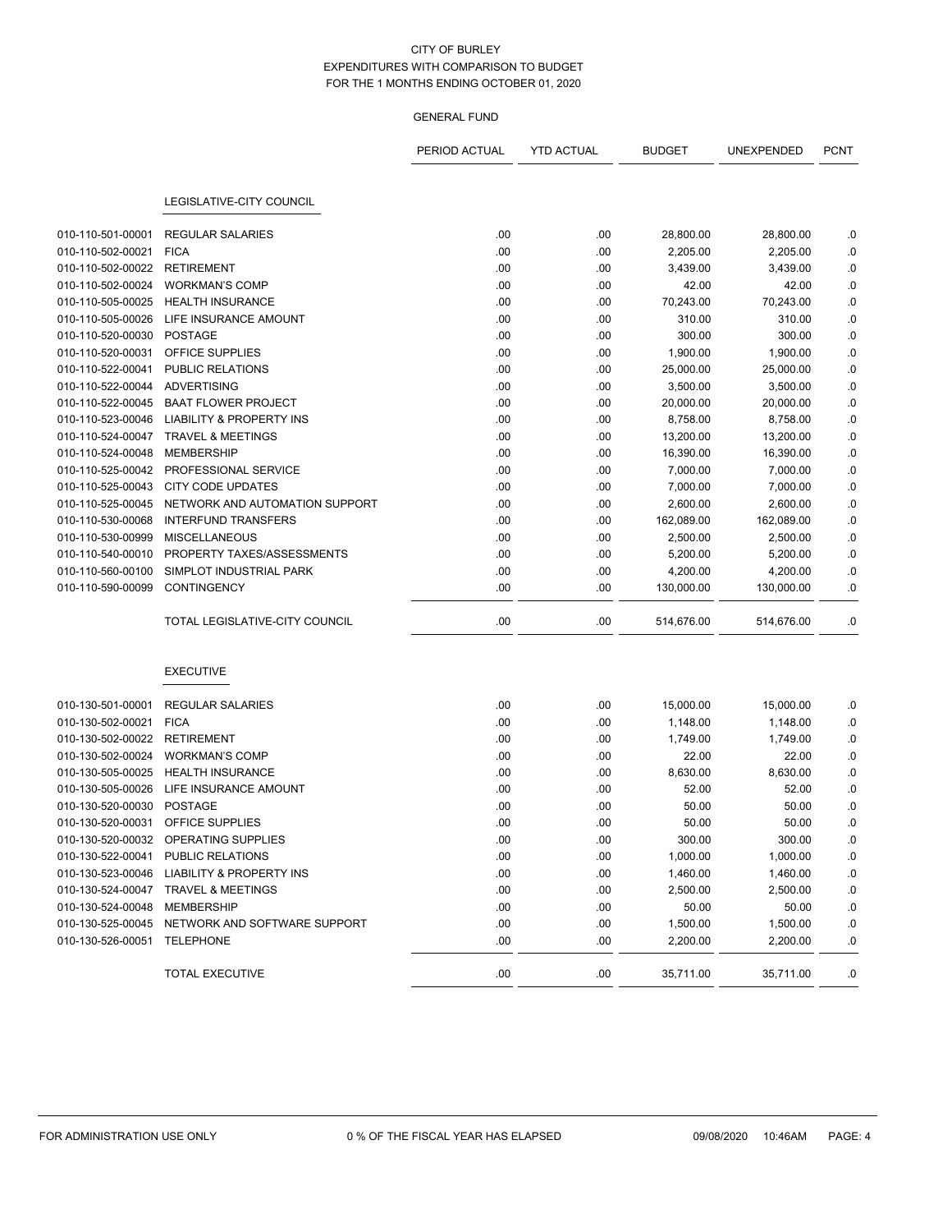# GENERAL FUND

|                             |                                                | PERIOD ACTUAL | <b>YTD ACTUAL</b> | <b>BUDGET</b> | UNEXPENDED | <b>PCNT</b> |
|-----------------------------|------------------------------------------------|---------------|-------------------|---------------|------------|-------------|
|                             |                                                |               |                   |               |            |             |
|                             | <b>LEGISLATIVE-CITY COUNCIL</b>                |               |                   |               |            |             |
| 010-110-501-00001           | <b>REGULAR SALARIES</b>                        | .00           | .00               | 28,800.00     | 28,800.00  | .0          |
| 010-110-502-00021           | <b>FICA</b>                                    | .00           | .00               | 2,205.00      | 2,205.00   | .0          |
| 010-110-502-00022           | <b>RETIREMENT</b>                              | .00           | .00               | 3,439.00      | 3,439.00   | .0          |
| 010-110-502-00024           | <b>WORKMAN'S COMP</b>                          | .00           | .00               | 42.00         | 42.00      | .0          |
| 010-110-505-00025           | <b>HEALTH INSURANCE</b>                        | .00           | .00               | 70,243.00     | 70,243.00  | $\cdot$ 0   |
| 010-110-505-00026           | LIFE INSURANCE AMOUNT                          | .00           | .00               | 310.00        | 310.00     | .0          |
| 010-110-520-00030           | <b>POSTAGE</b>                                 | .00           | .00               | 300.00        | 300.00     | .0          |
| 010-110-520-00031           | OFFICE SUPPLIES                                | .00           | .00               | 1,900.00      | 1,900.00   | $\cdot$ 0   |
| 010-110-522-00041           | PUBLIC RELATIONS                               | .00           | .00               | 25,000.00     | 25,000.00  | $0.$        |
| 010-110-522-00044           | <b>ADVERTISING</b>                             | .00           | .00               | 3,500.00      | 3,500.00   | $\cdot$ 0   |
| 010-110-522-00045           | <b>BAAT FLOWER PROJECT</b>                     | .00           | .00               | 20,000.00     | 20,000.00  | .0          |
| 010-110-523-00046           | <b>LIABILITY &amp; PROPERTY INS</b>            | .00           | .00               | 8,758.00      | 8,758.00   | .0          |
| 010-110-524-00047           | <b>TRAVEL &amp; MEETINGS</b>                   | .00           | .00               | 13,200.00     | 13,200.00  | .0          |
| 010-110-524-00048           | <b>MEMBERSHIP</b>                              | .00           | .00               | 16,390.00     | 16,390.00  | .0          |
| 010-110-525-00042           | PROFESSIONAL SERVICE                           | .00           | .00               | 7,000.00      | 7,000.00   | $\cdot$ 0   |
| 010-110-525-00043           | <b>CITY CODE UPDATES</b>                       | .00           | .00               | 7,000.00      | 7,000.00   | .0          |
| 010-110-525-00045           | NETWORK AND AUTOMATION SUPPORT                 | .00           | .00               | 2,600.00      | 2,600.00   | .0          |
| 010-110-530-00068           | <b>INTERFUND TRANSFERS</b>                     | .00           | .00               | 162,089.00    | 162,089.00 | .0          |
| 010-110-530-00999           | <b>MISCELLANEOUS</b>                           | .00           | .00               | 2,500.00      | 2,500.00   | .0          |
| 010-110-540-00010           | PROPERTY TAXES/ASSESSMENTS                     | .00           | .00               | 5,200.00      | 5,200.00   | .0          |
| 010-110-560-00100           | SIMPLOT INDUSTRIAL PARK                        | .00.          | .00               | 4,200.00      | 4,200.00   | .0          |
| 010-110-590-00099           | <b>CONTINGENCY</b>                             | .00           | .00               | 130,000.00    | 130,000.00 | .0          |
|                             | TOTAL LEGISLATIVE-CITY COUNCIL                 | .00           | .00               | 514,676.00    | 514,676.00 | .0          |
|                             | <b>EXECUTIVE</b>                               |               |                   |               |            |             |
| 010-130-501-00001           | <b>REGULAR SALARIES</b>                        | .00           | .00               | 15,000.00     | 15,000.00  | .0          |
| 010-130-502-00021           | <b>FICA</b>                                    | .00           | .00               | 1,148.00      | 1,148.00   | .0          |
| 010-130-502-00022           | <b>RETIREMENT</b>                              | .00           | .00               | 1,749.00      | 1,749.00   | .0          |
| 010-130-502-00024           | <b>WORKMAN'S COMP</b>                          | .00           | .00               | 22.00         | 22.00      | .0          |
| 010-130-505-00025           | <b>HEALTH INSURANCE</b>                        | .00           | .00               | 8,630.00      | 8,630.00   | .0          |
| 010-130-505-00026           | LIFE INSURANCE AMOUNT                          | .00           | .00               | 52.00         | 52.00      | .0          |
| 010-130-520-00030           | <b>POSTAGE</b>                                 | .00           | .00               | 50.00         | 50.00      | .0          |
| 010-130-520-00031           | <b>OFFICE SUPPLIES</b>                         | .00           | .00               | 50.00         | 50.00      | .0          |
|                             | 010-130-520-00032 OPERATING SUPPLIES           | .00           | .00               | 300.00        | 300.00     | .0          |
|                             | 010-130-522-00041 PUBLIC RELATIONS             | .00           | .00               | 1,000.00      | 1,000.00   | .0          |
|                             | 010-130-523-00046 LIABILITY & PROPERTY INS     | .00           | .00               | 1,460.00      | 1,460.00   | .0          |
|                             | 010-130-524-00047 TRAVEL & MEETINGS            | .00           | .00               | 2,500.00      | 2,500.00   | .0          |
| 010-130-524-00048           | <b>MEMBERSHIP</b>                              | .00           | .00               | 50.00         | 50.00      | .0          |
|                             | 010-130-525-00045 NETWORK AND SOFTWARE SUPPORT | .00           | .00               | 1,500.00      | 1,500.00   | .0          |
| 010-130-526-00051 TELEPHONE |                                                | .00           | .00               | 2,200.00      | 2,200.00   | .0          |
|                             | <b>TOTAL EXECUTIVE</b>                         | .00           | .00               | 35,711.00     | 35,711.00  | .0          |

 $\overline{\phantom{0}}$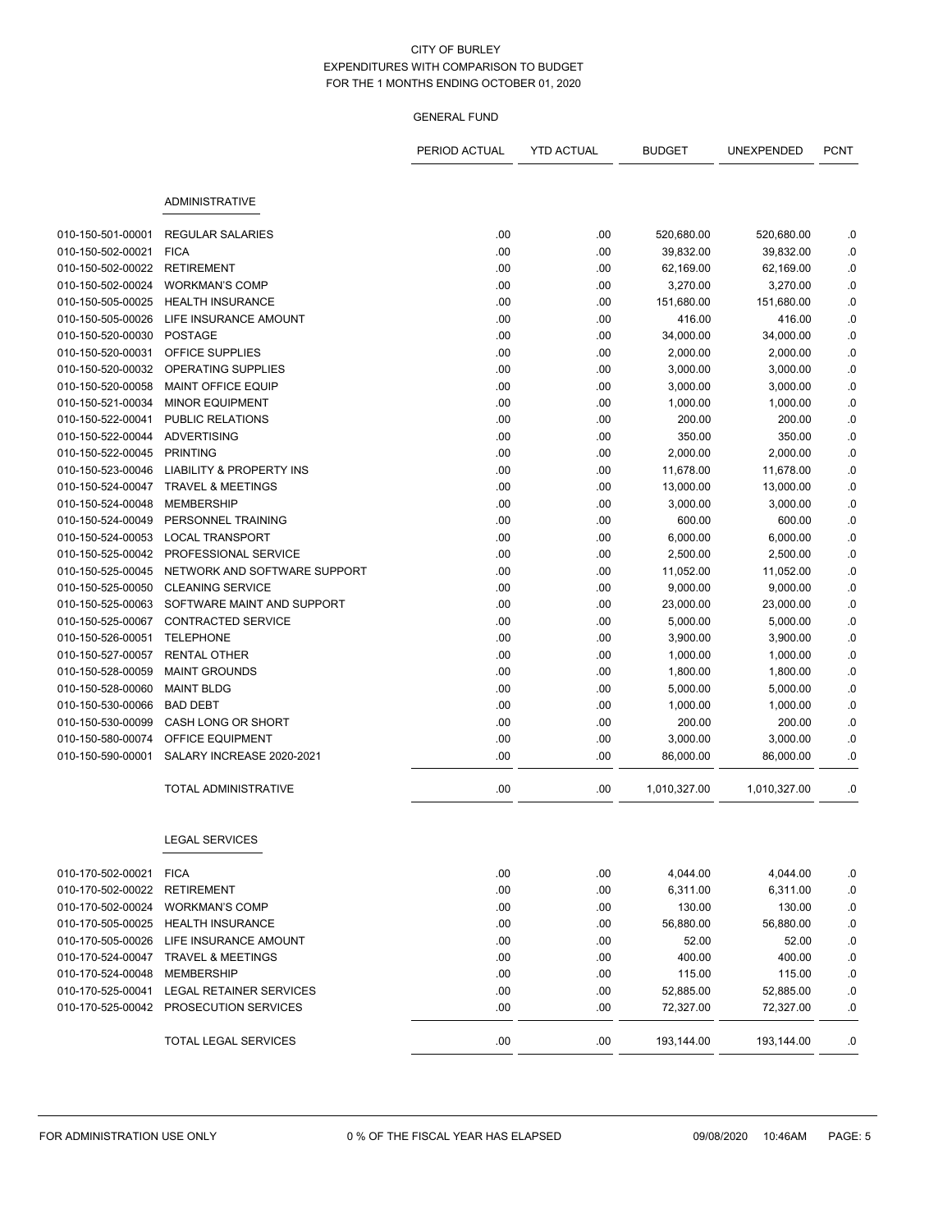|                   |                                     | PERIOD ACTUAL | <b>YTD ACTUAL</b> | <b>BUDGET</b> | UNEXPENDED   | <b>PCNT</b> |
|-------------------|-------------------------------------|---------------|-------------------|---------------|--------------|-------------|
|                   | <b>ADMINISTRATIVE</b>               |               |                   |               |              |             |
|                   |                                     |               |                   |               |              |             |
| 010-150-501-00001 | <b>REGULAR SALARIES</b>             | .00           | .00               | 520,680.00    | 520,680.00   | .0          |
| 010-150-502-00021 | <b>FICA</b>                         | .00           | .00               | 39,832.00     | 39,832.00    | .0          |
| 010-150-502-00022 | <b>RETIREMENT</b>                   | .00           | .00               | 62,169.00     | 62,169.00    | .0          |
| 010-150-502-00024 | <b>WORKMAN'S COMP</b>               | .00           | .00               | 3,270.00      | 3,270.00     | .0          |
| 010-150-505-00025 | <b>HEALTH INSURANCE</b>             | .00           | .00               | 151,680.00    | 151,680.00   | .0          |
| 010-150-505-00026 | LIFE INSURANCE AMOUNT               | .00           | .00               | 416.00        | 416.00       | .0          |
| 010-150-520-00030 | <b>POSTAGE</b>                      | .00           | .00               | 34,000.00     | 34,000.00    | .0          |
| 010-150-520-00031 | OFFICE SUPPLIES                     | .00           | .00               | 2,000.00      | 2,000.00     | .0          |
| 010-150-520-00032 | OPERATING SUPPLIES                  | .00           | .00               | 3,000.00      | 3,000.00     | .0          |
| 010-150-520-00058 | <b>MAINT OFFICE EQUIP</b>           | .00           | .00               | 3,000.00      | 3,000.00     | .0          |
| 010-150-521-00034 | <b>MINOR EQUIPMENT</b>              | .00           | .00               | 1,000.00      | 1,000.00     | .0          |
| 010-150-522-00041 | PUBLIC RELATIONS                    | .00           | .00               | 200.00        | 200.00       | .0          |
| 010-150-522-00044 | <b>ADVERTISING</b>                  | .00           | .00               | 350.00        | 350.00       | .0          |
| 010-150-522-00045 | <b>PRINTING</b>                     | .00           | .00               | 2,000.00      | 2,000.00     | .0          |
| 010-150-523-00046 | <b>LIABILITY &amp; PROPERTY INS</b> | .00           | .00               | 11,678.00     | 11,678.00    | .0          |
| 010-150-524-00047 | <b>TRAVEL &amp; MEETINGS</b>        | .00           | .00               | 13,000.00     | 13,000.00    | .0          |
| 010-150-524-00048 | <b>MEMBERSHIP</b>                   | .00           | .00               | 3,000.00      | 3,000.00     | .0          |
| 010-150-524-00049 | PERSONNEL TRAINING                  | .00           | .00               | 600.00        | 600.00       | .0          |
| 010-150-524-00053 | <b>LOCAL TRANSPORT</b>              | .00           | .00               | 6,000.00      | 6,000.00     | .0          |
| 010-150-525-00042 | PROFESSIONAL SERVICE                | .00           | .00               | 2,500.00      | 2,500.00     | .0          |
| 010-150-525-00045 | NETWORK AND SOFTWARE SUPPORT        | .00           | .00               | 11,052.00     | 11,052.00    | .0          |
| 010-150-525-00050 | <b>CLEANING SERVICE</b>             | .00           | .00               | 9,000.00      | 9,000.00     | .0          |
| 010-150-525-00063 | SOFTWARE MAINT AND SUPPORT          | .00           | .00               | 23,000.00     | 23,000.00    | .0          |
| 010-150-525-00067 | CONTRACTED SERVICE                  | .00           | .00               | 5,000.00      | 5,000.00     | .0          |
| 010-150-526-00051 | <b>TELEPHONE</b>                    | .00           | .00               | 3,900.00      | 3,900.00     | .0          |
| 010-150-527-00057 | <b>RENTAL OTHER</b>                 | .00           | .00               | 1,000.00      | 1,000.00     | .0          |
| 010-150-528-00059 | <b>MAINT GROUNDS</b>                | .00           | .00               | 1,800.00      | 1,800.00     | .0          |
| 010-150-528-00060 | <b>MAINT BLDG</b>                   | .00           | .00               | 5,000.00      | 5,000.00     | .0          |
| 010-150-530-00066 | <b>BAD DEBT</b>                     | .00           | .00               | 1,000.00      | 1,000.00     | .0          |
| 010-150-530-00099 | CASH LONG OR SHORT                  | .00           | .00               | 200.00        | 200.00       | .0          |
| 010-150-580-00074 | OFFICE EQUIPMENT                    | .00           | .00               | 3,000.00      | 3,000.00     | .0          |
| 010-150-590-00001 | SALARY INCREASE 2020-2021           | .00           | .00               | 86,000.00     | 86,000.00    | .0          |
|                   | <b>TOTAL ADMINISTRATIVE</b>         | .00           | .00               | 1,010,327.00  | 1,010,327.00 | .0          |
|                   | <b>LEGAL SERVICES</b>               |               |                   |               |              |             |
| 010-170-502-00021 | <b>FICA</b>                         | .00           | .00               | 4,044.00      | 4,044.00     | .0          |
| 010-170-502-00022 | <b>RETIREMENT</b>                   | .00           | .00               | 6,311.00      | 6,311.00     | $\cdot$ 0   |
| 010-170-502-00024 | <b>WORKMAN'S COMP</b>               | .00           | .00               | 130.00        | 130.00       | .0          |
| 010-170-505-00025 | <b>HEALTH INSURANCE</b>             | .00           | .00               | 56,880.00     | 56,880.00    | .0          |
| 010-170-505-00026 | LIFE INSURANCE AMOUNT               | .00           | .00               | 52.00         | 52.00        | .0          |
| 010-170-524-00047 | <b>TRAVEL &amp; MEETINGS</b>        | .00           | .00               | 400.00        | 400.00       | .0          |
| 010-170-524-00048 | <b>MEMBERSHIP</b>                   | .00           | .00               | 115.00        | 115.00       | .0          |
| 010-170-525-00041 | LEGAL RETAINER SERVICES             | .00           | .00               | 52,885.00     | 52,885.00    | .0          |
| 010-170-525-00042 | PROSECUTION SERVICES                | .00           | .00               | 72,327.00     | 72,327.00    | .0          |
|                   | <b>TOTAL LEGAL SERVICES</b>         | .00           | .00               | 193,144.00    | 193,144.00   | .0          |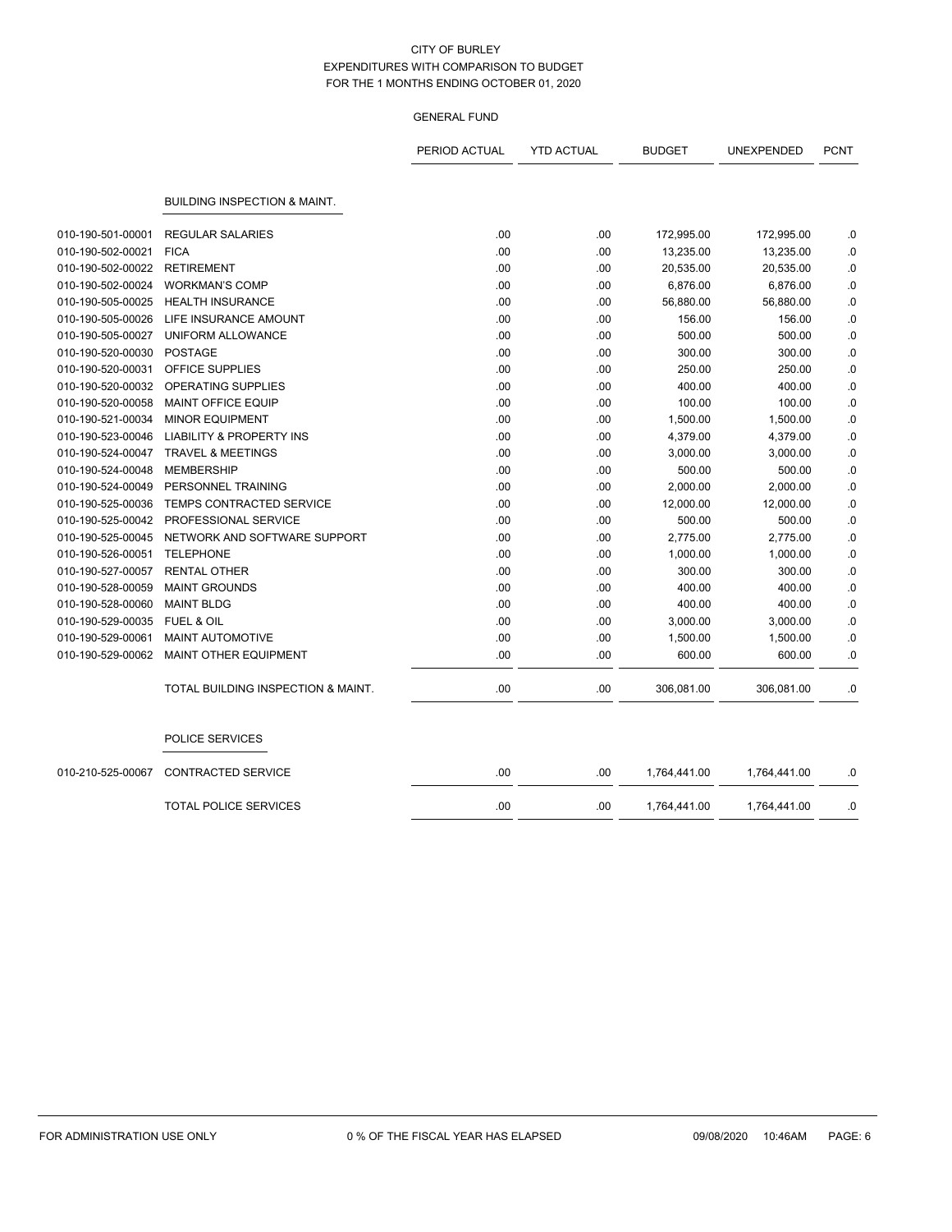|                   |                                         | PERIOD ACTUAL | <b>YTD ACTUAL</b> | <b>BUDGET</b> | UNEXPENDED   | <b>PCNT</b> |
|-------------------|-----------------------------------------|---------------|-------------------|---------------|--------------|-------------|
|                   |                                         |               |                   |               |              |             |
|                   | <b>BUILDING INSPECTION &amp; MAINT.</b> |               |                   |               |              |             |
|                   |                                         |               |                   |               |              |             |
| 010-190-501-00001 | <b>REGULAR SALARIES</b>                 | .00           | .00               | 172,995.00    | 172,995.00   | .0          |
| 010-190-502-00021 | <b>FICA</b>                             | .00           | .00               | 13,235.00     | 13,235.00    | $\cdot$ 0   |
| 010-190-502-00022 | <b>RETIREMENT</b>                       | .00           | .00               | 20,535.00     | 20,535.00    | 0.0         |
| 010-190-502-00024 | <b>WORKMAN'S COMP</b>                   | .00           | .00               | 6,876.00      | 6,876.00     | $0.$        |
| 010-190-505-00025 | <b>HEALTH INSURANCE</b>                 | .00           | .00               | 56,880.00     | 56,880.00    | 0.0         |
| 010-190-505-00026 | LIFE INSURANCE AMOUNT                   | .00           | .00               | 156.00        | 156.00       | .0          |
| 010-190-505-00027 | UNIFORM ALLOWANCE                       | .00           | .00               | 500.00        | 500.00       | .0          |
| 010-190-520-00030 | <b>POSTAGE</b>                          | .00           | .00               | 300.00        | 300.00       | .0          |
| 010-190-520-00031 | <b>OFFICE SUPPLIES</b>                  | .00           | .00               | 250.00        | 250.00       | .0          |
| 010-190-520-00032 | OPERATING SUPPLIES                      | .00           | .00               | 400.00        | 400.00       | .0          |
| 010-190-520-00058 | <b>MAINT OFFICE EQUIP</b>               | .00           | .00               | 100.00        | 100.00       | .0          |
| 010-190-521-00034 | <b>MINOR EQUIPMENT</b>                  | .00           | .00               | 1,500.00      | 1,500.00     | 0.0         |
| 010-190-523-00046 | LIABILITY & PROPERTY INS                | .00           | .00.              | 4,379.00      | 4,379.00     | .0          |
| 010-190-524-00047 | <b>TRAVEL &amp; MEETINGS</b>            | .00           | .00               | 3,000.00      | 3,000.00     | 0.0         |
| 010-190-524-00048 | <b>MEMBERSHIP</b>                       | .00.          | .00.              | 500.00        | 500.00       | .0          |
| 010-190-524-00049 | PERSONNEL TRAINING                      | .00           | .00               | 2,000.00      | 2,000.00     | 0.0         |
| 010-190-525-00036 | <b>TEMPS CONTRACTED SERVICE</b>         | .00           | .00               | 12,000.00     | 12,000.00    | .0          |
| 010-190-525-00042 | PROFESSIONAL SERVICE                    | .00           | .00               | 500.00        | 500.00       | $\cdot$ 0   |
| 010-190-525-00045 | NETWORK AND SOFTWARE SUPPORT            | .00           | .00               | 2,775.00      | 2,775.00     | .0          |
| 010-190-526-00051 | <b>TELEPHONE</b>                        | .00           | .00.              | 1,000.00      | 1,000.00     | .0          |
| 010-190-527-00057 | <b>RENTAL OTHER</b>                     | .00           | .00.              | 300.00        | 300.00       | .0          |
| 010-190-528-00059 | <b>MAINT GROUNDS</b>                    | .00           | .00.              | 400.00        | 400.00       | 0.0         |
| 010-190-528-00060 | <b>MAINT BLDG</b>                       | .00           | .00.              | 400.00        | 400.00       | .0          |
| 010-190-529-00035 | <b>FUEL &amp; OIL</b>                   | .00           | .00.              | 3,000.00      | 3,000.00     | .0          |
| 010-190-529-00061 | <b>MAINT AUTOMOTIVE</b>                 | .00           | .00               | 1,500.00      | 1,500.00     | 0.0         |
| 010-190-529-00062 | <b>MAINT OTHER EQUIPMENT</b>            | .00           | .00               | 600.00        | 600.00       | .0          |
|                   | TOTAL BUILDING INSPECTION & MAINT.      | .00           | .00.              | 306,081.00    | 306,081.00   | .0          |
|                   | POLICE SERVICES                         |               |                   |               |              |             |
| 010-210-525-00067 | <b>CONTRACTED SERVICE</b>               | .00           | .00               | 1,764,441.00  | 1,764,441.00 | .0          |
|                   | <b>TOTAL POLICE SERVICES</b>            | .00           | .00.              | 1,764,441.00  | 1,764,441.00 | .0          |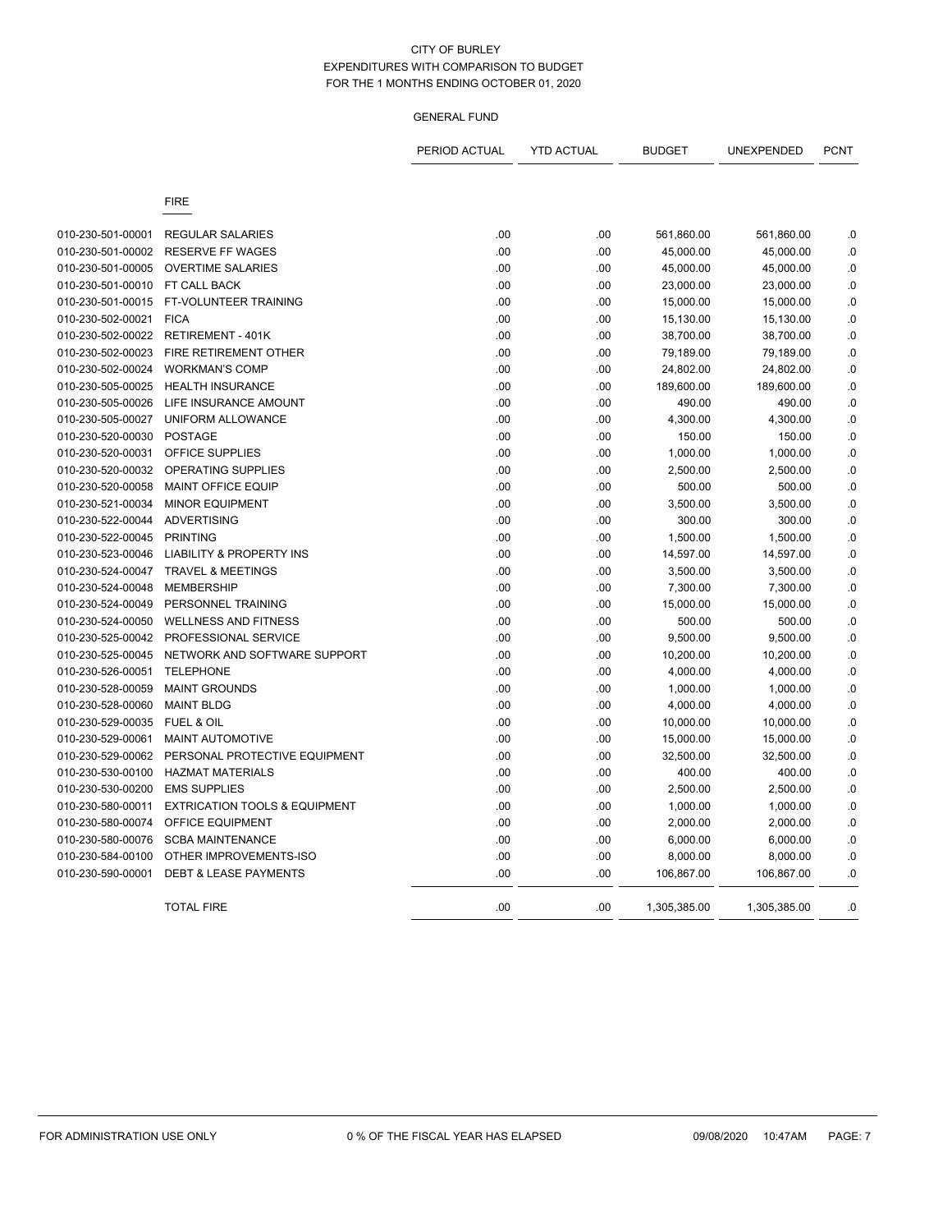| <b>FIRE</b><br>010-230-501-00001<br><b>REGULAR SALARIES</b><br>.00<br>.00<br>561,860.00<br>561,860.00<br>010-230-501-00002<br><b>RESERVE FF WAGES</b><br>.00<br>.00<br>45,000.00<br>45,000.00<br>010-230-501-00005<br><b>OVERTIME SALARIES</b><br>.00<br>.00<br>45,000.00<br>45,000.00<br>010-230-501-00010<br>FT CALL BACK<br>.00<br>.00<br>23,000.00<br>23,000.00<br>010-230-501-00015<br>FT-VOLUNTEER TRAINING<br>.00<br>.00<br>15,000.00<br>15,000.00<br>010-230-502-00021<br><b>FICA</b><br>.00<br>.00<br>15,130.00<br>15,130.00<br>010-230-502-00022<br><b>RETIREMENT - 401K</b><br>.00<br>.00<br>38,700.00<br>38,700.00<br>FIRE RETIREMENT OTHER<br>.00<br>010-230-502-00023<br>.00<br>79,189.00<br>79,189.00<br>010-230-502-00024<br><b>WORKMAN'S COMP</b><br>.00<br>.00<br>24,802.00<br>24,802.00<br>010-230-505-00025<br><b>HEALTH INSURANCE</b><br>.00<br>.00<br>189,600.00<br>189,600.00<br>010-230-505-00026<br>LIFE INSURANCE AMOUNT<br>.00<br>.00<br>490.00<br>490.00<br>010-230-505-00027<br><b>UNIFORM ALLOWANCE</b><br>.00<br>.00<br>4,300.00<br>4,300.00<br>010-230-520-00030<br><b>POSTAGE</b><br>.00<br>.00<br>150.00<br>150.00<br>OFFICE SUPPLIES<br>010-230-520-00031<br>.00<br>.00<br>1,000.00<br>1,000.00<br>010-230-520-00032<br>OPERATING SUPPLIES<br>.00<br>.00<br>2,500.00<br>2,500.00<br>010-230-520-00058<br><b>MAINT OFFICE EQUIP</b><br>.00<br>.00<br>500.00<br>500.00<br>010-230-521-00034<br><b>MINOR EQUIPMENT</b><br>.00<br>.00<br>3,500.00<br>3,500.00<br>010-230-522-00044<br><b>ADVERTISING</b><br>.00<br>.00<br>300.00<br>300.00<br>010-230-522-00045<br><b>PRINTING</b><br>.00<br>.00<br>1,500.00<br>1,500.00<br>010-230-523-00046<br><b>LIABILITY &amp; PROPERTY INS</b><br>.00<br>.00<br>14,597.00<br>14,597.00<br>010-230-524-00047<br><b>TRAVEL &amp; MEETINGS</b><br>.00<br>.00<br>3,500.00<br>3,500.00<br><b>MEMBERSHIP</b><br>.00<br>.00<br>010-230-524-00048<br>7,300.00<br>7,300.00<br>.00<br>010-230-524-00049<br>PERSONNEL TRAINING<br>.00<br>15,000.00<br>15,000.00<br>010-230-524-00050<br><b>WELLNESS AND FITNESS</b><br>.00<br>.00<br>500.00<br>500.00 | .0<br>$\cdot$ 0<br>0.0<br>0.<br>0. |
|-----------------------------------------------------------------------------------------------------------------------------------------------------------------------------------------------------------------------------------------------------------------------------------------------------------------------------------------------------------------------------------------------------------------------------------------------------------------------------------------------------------------------------------------------------------------------------------------------------------------------------------------------------------------------------------------------------------------------------------------------------------------------------------------------------------------------------------------------------------------------------------------------------------------------------------------------------------------------------------------------------------------------------------------------------------------------------------------------------------------------------------------------------------------------------------------------------------------------------------------------------------------------------------------------------------------------------------------------------------------------------------------------------------------------------------------------------------------------------------------------------------------------------------------------------------------------------------------------------------------------------------------------------------------------------------------------------------------------------------------------------------------------------------------------------------------------------------------------------------------------------------------------------------------------------------------------------------------------------------------------------------------------------------------------------------------------------------------------------------------|------------------------------------|
|                                                                                                                                                                                                                                                                                                                                                                                                                                                                                                                                                                                                                                                                                                                                                                                                                                                                                                                                                                                                                                                                                                                                                                                                                                                                                                                                                                                                                                                                                                                                                                                                                                                                                                                                                                                                                                                                                                                                                                                                                                                                                                                 |                                    |
|                                                                                                                                                                                                                                                                                                                                                                                                                                                                                                                                                                                                                                                                                                                                                                                                                                                                                                                                                                                                                                                                                                                                                                                                                                                                                                                                                                                                                                                                                                                                                                                                                                                                                                                                                                                                                                                                                                                                                                                                                                                                                                                 |                                    |
|                                                                                                                                                                                                                                                                                                                                                                                                                                                                                                                                                                                                                                                                                                                                                                                                                                                                                                                                                                                                                                                                                                                                                                                                                                                                                                                                                                                                                                                                                                                                                                                                                                                                                                                                                                                                                                                                                                                                                                                                                                                                                                                 |                                    |
|                                                                                                                                                                                                                                                                                                                                                                                                                                                                                                                                                                                                                                                                                                                                                                                                                                                                                                                                                                                                                                                                                                                                                                                                                                                                                                                                                                                                                                                                                                                                                                                                                                                                                                                                                                                                                                                                                                                                                                                                                                                                                                                 |                                    |
|                                                                                                                                                                                                                                                                                                                                                                                                                                                                                                                                                                                                                                                                                                                                                                                                                                                                                                                                                                                                                                                                                                                                                                                                                                                                                                                                                                                                                                                                                                                                                                                                                                                                                                                                                                                                                                                                                                                                                                                                                                                                                                                 |                                    |
|                                                                                                                                                                                                                                                                                                                                                                                                                                                                                                                                                                                                                                                                                                                                                                                                                                                                                                                                                                                                                                                                                                                                                                                                                                                                                                                                                                                                                                                                                                                                                                                                                                                                                                                                                                                                                                                                                                                                                                                                                                                                                                                 |                                    |
|                                                                                                                                                                                                                                                                                                                                                                                                                                                                                                                                                                                                                                                                                                                                                                                                                                                                                                                                                                                                                                                                                                                                                                                                                                                                                                                                                                                                                                                                                                                                                                                                                                                                                                                                                                                                                                                                                                                                                                                                                                                                                                                 |                                    |
|                                                                                                                                                                                                                                                                                                                                                                                                                                                                                                                                                                                                                                                                                                                                                                                                                                                                                                                                                                                                                                                                                                                                                                                                                                                                                                                                                                                                                                                                                                                                                                                                                                                                                                                                                                                                                                                                                                                                                                                                                                                                                                                 | .0                                 |
|                                                                                                                                                                                                                                                                                                                                                                                                                                                                                                                                                                                                                                                                                                                                                                                                                                                                                                                                                                                                                                                                                                                                                                                                                                                                                                                                                                                                                                                                                                                                                                                                                                                                                                                                                                                                                                                                                                                                                                                                                                                                                                                 | .0                                 |
|                                                                                                                                                                                                                                                                                                                                                                                                                                                                                                                                                                                                                                                                                                                                                                                                                                                                                                                                                                                                                                                                                                                                                                                                                                                                                                                                                                                                                                                                                                                                                                                                                                                                                                                                                                                                                                                                                                                                                                                                                                                                                                                 | .0                                 |
|                                                                                                                                                                                                                                                                                                                                                                                                                                                                                                                                                                                                                                                                                                                                                                                                                                                                                                                                                                                                                                                                                                                                                                                                                                                                                                                                                                                                                                                                                                                                                                                                                                                                                                                                                                                                                                                                                                                                                                                                                                                                                                                 | 0.                                 |
|                                                                                                                                                                                                                                                                                                                                                                                                                                                                                                                                                                                                                                                                                                                                                                                                                                                                                                                                                                                                                                                                                                                                                                                                                                                                                                                                                                                                                                                                                                                                                                                                                                                                                                                                                                                                                                                                                                                                                                                                                                                                                                                 | .0                                 |
|                                                                                                                                                                                                                                                                                                                                                                                                                                                                                                                                                                                                                                                                                                                                                                                                                                                                                                                                                                                                                                                                                                                                                                                                                                                                                                                                                                                                                                                                                                                                                                                                                                                                                                                                                                                                                                                                                                                                                                                                                                                                                                                 | .0                                 |
|                                                                                                                                                                                                                                                                                                                                                                                                                                                                                                                                                                                                                                                                                                                                                                                                                                                                                                                                                                                                                                                                                                                                                                                                                                                                                                                                                                                                                                                                                                                                                                                                                                                                                                                                                                                                                                                                                                                                                                                                                                                                                                                 | 0.0                                |
|                                                                                                                                                                                                                                                                                                                                                                                                                                                                                                                                                                                                                                                                                                                                                                                                                                                                                                                                                                                                                                                                                                                                                                                                                                                                                                                                                                                                                                                                                                                                                                                                                                                                                                                                                                                                                                                                                                                                                                                                                                                                                                                 | $\cdot$ 0                          |
|                                                                                                                                                                                                                                                                                                                                                                                                                                                                                                                                                                                                                                                                                                                                                                                                                                                                                                                                                                                                                                                                                                                                                                                                                                                                                                                                                                                                                                                                                                                                                                                                                                                                                                                                                                                                                                                                                                                                                                                                                                                                                                                 | $\cdot$ 0                          |
|                                                                                                                                                                                                                                                                                                                                                                                                                                                                                                                                                                                                                                                                                                                                                                                                                                                                                                                                                                                                                                                                                                                                                                                                                                                                                                                                                                                                                                                                                                                                                                                                                                                                                                                                                                                                                                                                                                                                                                                                                                                                                                                 | $\cdot$ 0                          |
|                                                                                                                                                                                                                                                                                                                                                                                                                                                                                                                                                                                                                                                                                                                                                                                                                                                                                                                                                                                                                                                                                                                                                                                                                                                                                                                                                                                                                                                                                                                                                                                                                                                                                                                                                                                                                                                                                                                                                                                                                                                                                                                 | .0                                 |
|                                                                                                                                                                                                                                                                                                                                                                                                                                                                                                                                                                                                                                                                                                                                                                                                                                                                                                                                                                                                                                                                                                                                                                                                                                                                                                                                                                                                                                                                                                                                                                                                                                                                                                                                                                                                                                                                                                                                                                                                                                                                                                                 | .0                                 |
|                                                                                                                                                                                                                                                                                                                                                                                                                                                                                                                                                                                                                                                                                                                                                                                                                                                                                                                                                                                                                                                                                                                                                                                                                                                                                                                                                                                                                                                                                                                                                                                                                                                                                                                                                                                                                                                                                                                                                                                                                                                                                                                 | .0                                 |
|                                                                                                                                                                                                                                                                                                                                                                                                                                                                                                                                                                                                                                                                                                                                                                                                                                                                                                                                                                                                                                                                                                                                                                                                                                                                                                                                                                                                                                                                                                                                                                                                                                                                                                                                                                                                                                                                                                                                                                                                                                                                                                                 | .0                                 |
|                                                                                                                                                                                                                                                                                                                                                                                                                                                                                                                                                                                                                                                                                                                                                                                                                                                                                                                                                                                                                                                                                                                                                                                                                                                                                                                                                                                                                                                                                                                                                                                                                                                                                                                                                                                                                                                                                                                                                                                                                                                                                                                 | .0                                 |
|                                                                                                                                                                                                                                                                                                                                                                                                                                                                                                                                                                                                                                                                                                                                                                                                                                                                                                                                                                                                                                                                                                                                                                                                                                                                                                                                                                                                                                                                                                                                                                                                                                                                                                                                                                                                                                                                                                                                                                                                                                                                                                                 | .0                                 |
|                                                                                                                                                                                                                                                                                                                                                                                                                                                                                                                                                                                                                                                                                                                                                                                                                                                                                                                                                                                                                                                                                                                                                                                                                                                                                                                                                                                                                                                                                                                                                                                                                                                                                                                                                                                                                                                                                                                                                                                                                                                                                                                 | .0                                 |
|                                                                                                                                                                                                                                                                                                                                                                                                                                                                                                                                                                                                                                                                                                                                                                                                                                                                                                                                                                                                                                                                                                                                                                                                                                                                                                                                                                                                                                                                                                                                                                                                                                                                                                                                                                                                                                                                                                                                                                                                                                                                                                                 | .0                                 |
|                                                                                                                                                                                                                                                                                                                                                                                                                                                                                                                                                                                                                                                                                                                                                                                                                                                                                                                                                                                                                                                                                                                                                                                                                                                                                                                                                                                                                                                                                                                                                                                                                                                                                                                                                                                                                                                                                                                                                                                                                                                                                                                 | 0.                                 |
| 010-230-525-00042<br>PROFESSIONAL SERVICE<br>.00<br>.00<br>9,500.00<br>9,500.00                                                                                                                                                                                                                                                                                                                                                                                                                                                                                                                                                                                                                                                                                                                                                                                                                                                                                                                                                                                                                                                                                                                                                                                                                                                                                                                                                                                                                                                                                                                                                                                                                                                                                                                                                                                                                                                                                                                                                                                                                                 | $\cdot$ 0                          |
| 010-230-525-00045<br>NETWORK AND SOFTWARE SUPPORT<br>.00<br>10,200.00<br>.00<br>10,200.00                                                                                                                                                                                                                                                                                                                                                                                                                                                                                                                                                                                                                                                                                                                                                                                                                                                                                                                                                                                                                                                                                                                                                                                                                                                                                                                                                                                                                                                                                                                                                                                                                                                                                                                                                                                                                                                                                                                                                                                                                       | 0.                                 |
| <b>TELEPHONE</b><br>010-230-526-00051<br>.00<br>.00<br>4,000.00<br>4,000.00                                                                                                                                                                                                                                                                                                                                                                                                                                                                                                                                                                                                                                                                                                                                                                                                                                                                                                                                                                                                                                                                                                                                                                                                                                                                                                                                                                                                                                                                                                                                                                                                                                                                                                                                                                                                                                                                                                                                                                                                                                     | 0.                                 |
| .00<br>010-230-528-00059<br><b>MAINT GROUNDS</b><br>.00<br>1,000.00<br>1,000.00                                                                                                                                                                                                                                                                                                                                                                                                                                                                                                                                                                                                                                                                                                                                                                                                                                                                                                                                                                                                                                                                                                                                                                                                                                                                                                                                                                                                                                                                                                                                                                                                                                                                                                                                                                                                                                                                                                                                                                                                                                 | $\cdot$ 0                          |
| 010-230-528-00060<br><b>MAINT BLDG</b><br>.00<br>.00<br>4,000.00<br>4,000.00                                                                                                                                                                                                                                                                                                                                                                                                                                                                                                                                                                                                                                                                                                                                                                                                                                                                                                                                                                                                                                                                                                                                                                                                                                                                                                                                                                                                                                                                                                                                                                                                                                                                                                                                                                                                                                                                                                                                                                                                                                    | $\cdot$ 0                          |
| 010-230-529-00035<br>FUEL & OIL<br>.00<br>.00<br>10,000.00<br>10,000.00                                                                                                                                                                                                                                                                                                                                                                                                                                                                                                                                                                                                                                                                                                                                                                                                                                                                                                                                                                                                                                                                                                                                                                                                                                                                                                                                                                                                                                                                                                                                                                                                                                                                                                                                                                                                                                                                                                                                                                                                                                         | $\cdot$ 0                          |
| 010-230-529-00061<br><b>MAINT AUTOMOTIVE</b><br>.00<br>.00<br>15,000.00<br>15,000.00                                                                                                                                                                                                                                                                                                                                                                                                                                                                                                                                                                                                                                                                                                                                                                                                                                                                                                                                                                                                                                                                                                                                                                                                                                                                                                                                                                                                                                                                                                                                                                                                                                                                                                                                                                                                                                                                                                                                                                                                                            | $\cdot$ 0                          |
| 010-230-529-00062<br>PERSONAL PROTECTIVE EQUIPMENT<br>.00<br>.00<br>32,500.00<br>32,500.00                                                                                                                                                                                                                                                                                                                                                                                                                                                                                                                                                                                                                                                                                                                                                                                                                                                                                                                                                                                                                                                                                                                                                                                                                                                                                                                                                                                                                                                                                                                                                                                                                                                                                                                                                                                                                                                                                                                                                                                                                      | 0.                                 |
| 010-230-530-00100<br><b>HAZMAT MATERIALS</b><br>.00<br>.00<br>400.00<br>400.00                                                                                                                                                                                                                                                                                                                                                                                                                                                                                                                                                                                                                                                                                                                                                                                                                                                                                                                                                                                                                                                                                                                                                                                                                                                                                                                                                                                                                                                                                                                                                                                                                                                                                                                                                                                                                                                                                                                                                                                                                                  | .0                                 |
| 010-230-530-00200<br><b>EMS SUPPLIES</b><br>.00<br>.00<br>2,500.00<br>2,500.00                                                                                                                                                                                                                                                                                                                                                                                                                                                                                                                                                                                                                                                                                                                                                                                                                                                                                                                                                                                                                                                                                                                                                                                                                                                                                                                                                                                                                                                                                                                                                                                                                                                                                                                                                                                                                                                                                                                                                                                                                                  | .0                                 |
| 010-230-580-00011<br><b>EXTRICATION TOOLS &amp; EQUIPMENT</b><br>.00<br>.00<br>1,000.00<br>1,000.00                                                                                                                                                                                                                                                                                                                                                                                                                                                                                                                                                                                                                                                                                                                                                                                                                                                                                                                                                                                                                                                                                                                                                                                                                                                                                                                                                                                                                                                                                                                                                                                                                                                                                                                                                                                                                                                                                                                                                                                                             | .0                                 |
| 010-230-580-00074<br>OFFICE EQUIPMENT<br>.00<br>.00<br>2,000.00<br>2,000.00                                                                                                                                                                                                                                                                                                                                                                                                                                                                                                                                                                                                                                                                                                                                                                                                                                                                                                                                                                                                                                                                                                                                                                                                                                                                                                                                                                                                                                                                                                                                                                                                                                                                                                                                                                                                                                                                                                                                                                                                                                     | .0                                 |
| 010-230-580-00076<br>.00<br>.00<br><b>SCBA MAINTENANCE</b><br>6,000.00<br>6,000.00                                                                                                                                                                                                                                                                                                                                                                                                                                                                                                                                                                                                                                                                                                                                                                                                                                                                                                                                                                                                                                                                                                                                                                                                                                                                                                                                                                                                                                                                                                                                                                                                                                                                                                                                                                                                                                                                                                                                                                                                                              | .0                                 |
| .00<br>010-230-584-00100<br>OTHER IMPROVEMENTS-ISO<br>.00<br>8,000.00<br>8,000.00                                                                                                                                                                                                                                                                                                                                                                                                                                                                                                                                                                                                                                                                                                                                                                                                                                                                                                                                                                                                                                                                                                                                                                                                                                                                                                                                                                                                                                                                                                                                                                                                                                                                                                                                                                                                                                                                                                                                                                                                                               | $\cdot$ 0                          |
| <b>DEBT &amp; LEASE PAYMENTS</b><br>.00<br>.00<br>010-230-590-00001<br>106,867.00<br>106,867.00                                                                                                                                                                                                                                                                                                                                                                                                                                                                                                                                                                                                                                                                                                                                                                                                                                                                                                                                                                                                                                                                                                                                                                                                                                                                                                                                                                                                                                                                                                                                                                                                                                                                                                                                                                                                                                                                                                                                                                                                                 | .0                                 |
| <b>TOTAL FIRE</b><br>.00<br>.00<br>1,305,385.00<br>1,305,385.00                                                                                                                                                                                                                                                                                                                                                                                                                                                                                                                                                                                                                                                                                                                                                                                                                                                                                                                                                                                                                                                                                                                                                                                                                                                                                                                                                                                                                                                                                                                                                                                                                                                                                                                                                                                                                                                                                                                                                                                                                                                 | 0.                                 |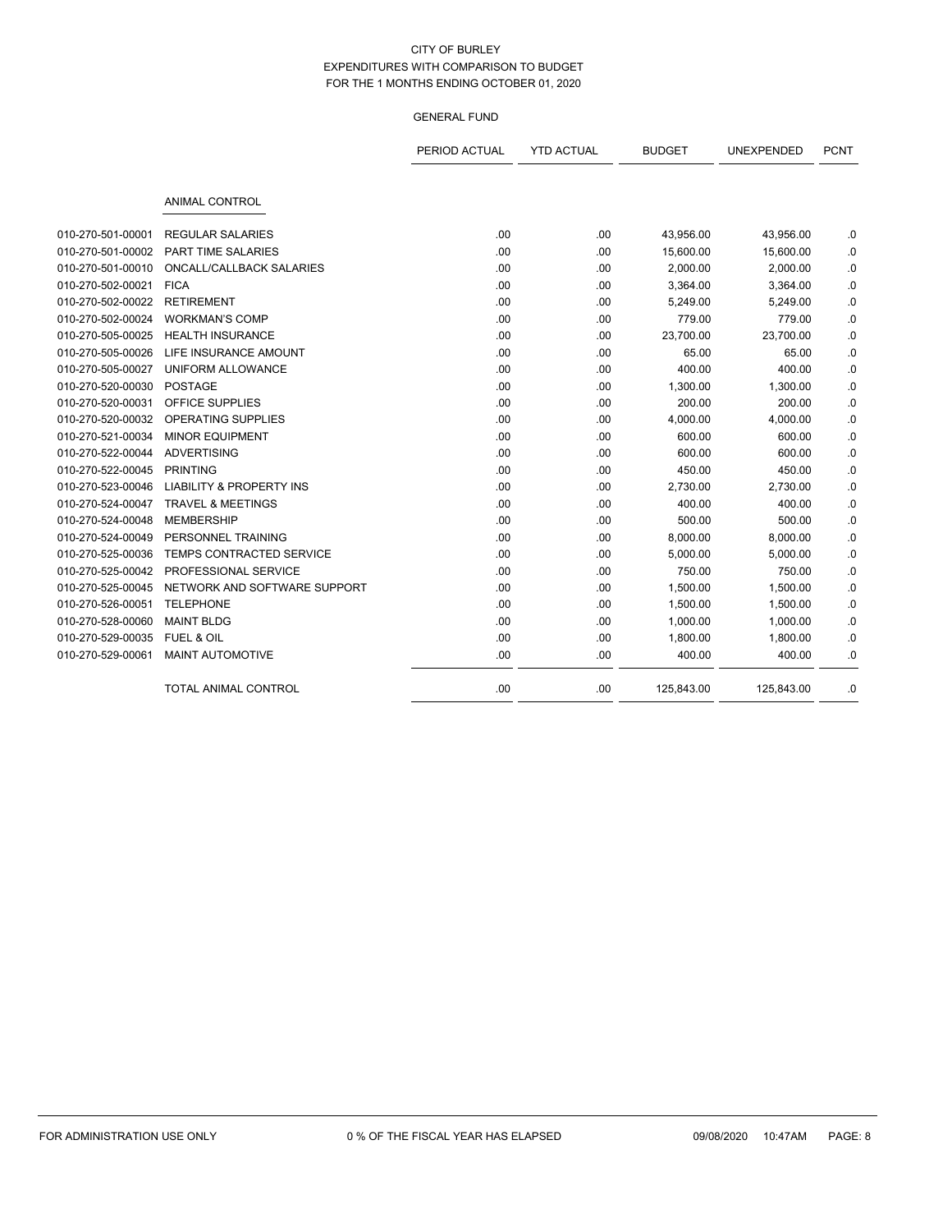|                   |                                     | PERIOD ACTUAL | <b>YTD ACTUAL</b> | <b>BUDGET</b> | UNEXPENDED | <b>PCNT</b> |
|-------------------|-------------------------------------|---------------|-------------------|---------------|------------|-------------|
|                   | <b>ANIMAL CONTROL</b>               |               |                   |               |            |             |
| 010-270-501-00001 | <b>REGULAR SALARIES</b>             | .00           | .00               | 43,956.00     | 43,956.00  | .0          |
| 010-270-501-00002 | PART TIME SALARIES                  | .00           | .00               | 15,600.00     | 15,600.00  | .0          |
| 010-270-501-00010 | ONCALL/CALLBACK SALARIES            | .00           | .00               | 2,000.00      | 2,000.00   | .0          |
| 010-270-502-00021 | <b>FICA</b>                         | .00           | .00               | 3,364.00      | 3,364.00   | .0          |
| 010-270-502-00022 | <b>RETIREMENT</b>                   | .00           | .00               | 5,249.00      | 5,249.00   | .0          |
| 010-270-502-00024 | <b>WORKMAN'S COMP</b>               | .00           | .00               | 779.00        | 779.00     | .0          |
| 010-270-505-00025 | <b>HEALTH INSURANCE</b>             | .00           | .00               | 23,700.00     | 23,700.00  | .0          |
| 010-270-505-00026 | LIFE INSURANCE AMOUNT               | .00           | .00               | 65.00         | 65.00      | .0          |
| 010-270-505-00027 | UNIFORM ALLOWANCE                   | .00           | .00               | 400.00        | 400.00     | .0          |
| 010-270-520-00030 | <b>POSTAGE</b>                      | .00           | .00               | 1,300.00      | 1,300.00   | .0          |
| 010-270-520-00031 | OFFICE SUPPLIES                     | .00           | .00               | 200.00        | 200.00     | .0          |
| 010-270-520-00032 | <b>OPERATING SUPPLIES</b>           | .00           | .00               | 4,000.00      | 4,000.00   | .0          |
| 010-270-521-00034 | <b>MINOR EQUIPMENT</b>              | .00           | .00               | 600.00        | 600.00     | .0          |
| 010-270-522-00044 | <b>ADVERTISING</b>                  | .00           | .00               | 600.00        | 600.00     | .0          |
| 010-270-522-00045 | <b>PRINTING</b>                     | .00           | .00               | 450.00        | 450.00     | .0          |
| 010-270-523-00046 | <b>LIABILITY &amp; PROPERTY INS</b> | .00           | .00               | 2,730.00      | 2,730.00   | .0          |
| 010-270-524-00047 | <b>TRAVEL &amp; MEETINGS</b>        | .00           | .00               | 400.00        | 400.00     | .0          |
| 010-270-524-00048 | <b>MEMBERSHIP</b>                   | .00           | .00               | 500.00        | 500.00     | .0          |
| 010-270-524-00049 | PERSONNEL TRAINING                  | .00           | .00               | 8,000.00      | 8,000.00   | .0          |
| 010-270-525-00036 | TEMPS CONTRACTED SERVICE            | .00           | .00               | 5,000.00      | 5,000.00   | .0          |
| 010-270-525-00042 | PROFESSIONAL SERVICE                | .00           | .00               | 750.00        | 750.00     | .0          |
| 010-270-525-00045 | NETWORK AND SOFTWARE SUPPORT        | .00           | .00               | 1,500.00      | 1,500.00   | .0          |
| 010-270-526-00051 | <b>TELEPHONE</b>                    | .00           | .00               | 1,500.00      | 1,500.00   | .0          |
| 010-270-528-00060 | <b>MAINT BLDG</b>                   | .00           | .00               | 1,000.00      | 1,000.00   | .0          |
| 010-270-529-00035 | FUEL & OIL                          | .00           | .00               | 1,800.00      | 1,800.00   | .0          |
| 010-270-529-00061 | <b>MAINT AUTOMOTIVE</b>             | .00           | .00               | 400.00        | 400.00     | .0          |
|                   | <b>TOTAL ANIMAL CONTROL</b>         | .00           | .00               | 125,843.00    | 125,843.00 | .0          |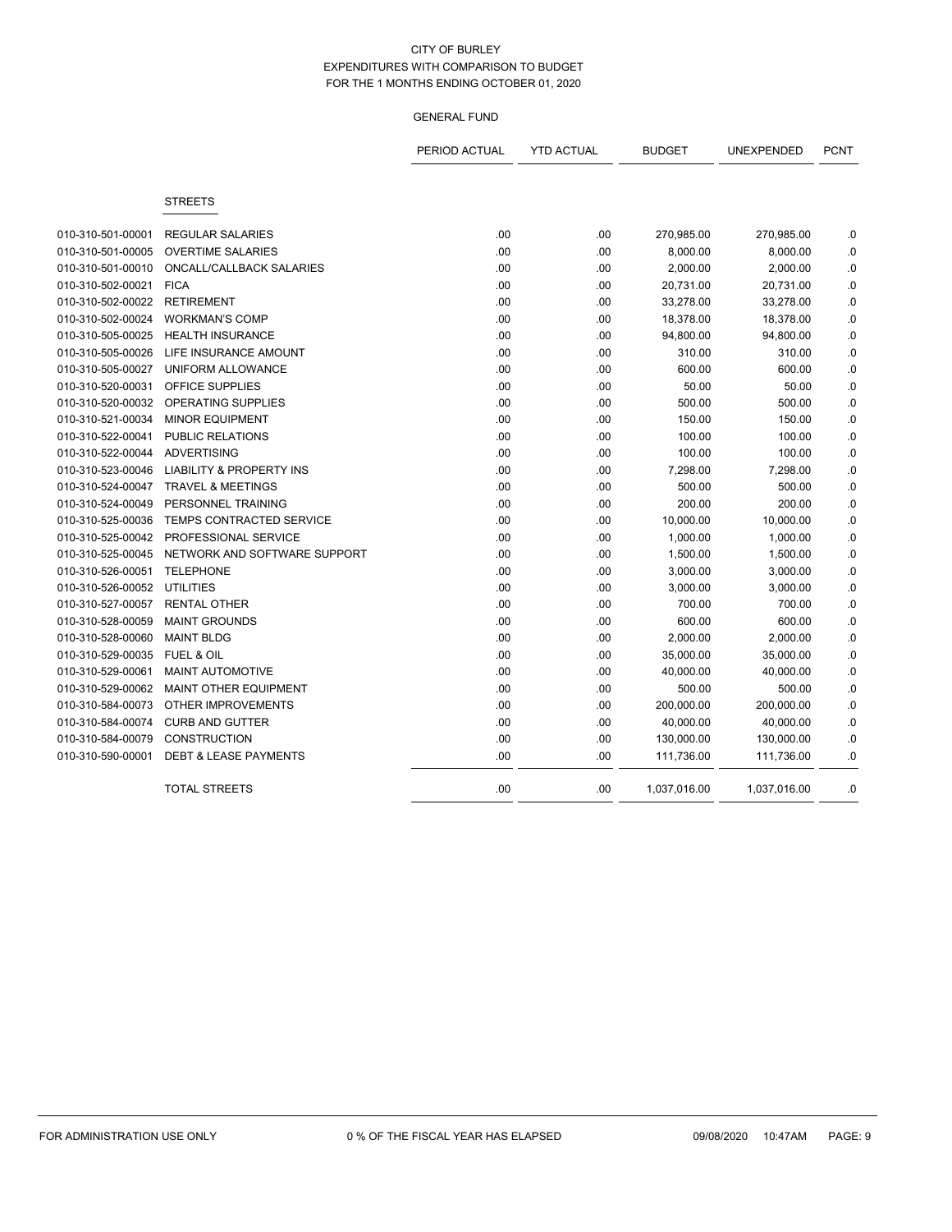|                   |                                     | PERIOD ACTUAL | <b>YTD ACTUAL</b> | <b>BUDGET</b> | UNEXPENDED   | <b>PCNT</b> |
|-------------------|-------------------------------------|---------------|-------------------|---------------|--------------|-------------|
|                   | <b>STREETS</b>                      |               |                   |               |              |             |
| 010-310-501-00001 | <b>REGULAR SALARIES</b>             | .00           | .00               | 270,985.00    | 270,985.00   | .0          |
| 010-310-501-00005 | <b>OVERTIME SALARIES</b>            | .00           | .00               | 8,000.00      | 8,000.00     | .0          |
| 010-310-501-00010 | ONCALL/CALLBACK SALARIES            | .00           | .00               | 2,000.00      | 2,000.00     | .0          |
| 010-310-502-00021 | <b>FICA</b>                         | .00           | .00               | 20,731.00     | 20,731.00    | 0.0         |
| 010-310-502-00022 | <b>RETIREMENT</b>                   | .00           | .00               | 33,278.00     | 33,278.00    | 0.0         |
| 010-310-502-00024 | <b>WORKMAN'S COMP</b>               | .00           | .00               | 18,378.00     | 18,378.00    | 0.0         |
| 010-310-505-00025 | <b>HEALTH INSURANCE</b>             | .00           | .00               | 94,800.00     | 94,800.00    | 0.0         |
| 010-310-505-00026 | LIFE INSURANCE AMOUNT               | .00           | .00               | 310.00        | 310.00       | .0          |
| 010-310-505-00027 | UNIFORM ALLOWANCE                   | .00           | .00               | 600.00        | 600.00       | .0          |
| 010-310-520-00031 | <b>OFFICE SUPPLIES</b>              | .00           | .00               | 50.00         | 50.00        | .0          |
| 010-310-520-00032 | <b>OPERATING SUPPLIES</b>           | .00           | .00               | 500.00        | 500.00       | .0          |
| 010-310-521-00034 | <b>MINOR EQUIPMENT</b>              | .00           | .00               | 150.00        | 150.00       | .0          |
| 010-310-522-00041 | <b>PUBLIC RELATIONS</b>             | .00           | .00               | 100.00        | 100.00       | 0.0         |
| 010-310-522-00044 | <b>ADVERTISING</b>                  | .00           | .00               | 100.00        | 100.00       | .0          |
| 010-310-523-00046 | <b>LIABILITY &amp; PROPERTY INS</b> | .00           | .00               | 7,298.00      | 7,298.00     | .0          |
| 010-310-524-00047 | <b>TRAVEL &amp; MEETINGS</b>        | .00           | .00               | 500.00        | 500.00       | .0          |
| 010-310-524-00049 | PERSONNEL TRAINING                  | .00           | .00               | 200.00        | 200.00       | $\cdot$ 0   |
| 010-310-525-00036 | <b>TEMPS CONTRACTED SERVICE</b>     | .00           | .00               | 10,000.00     | 10,000.00    | .0          |
| 010-310-525-00042 | PROFESSIONAL SERVICE                | .00           | .00               | 1,000.00      | 1,000.00     | .0          |
| 010-310-525-00045 | NETWORK AND SOFTWARE SUPPORT        | .00           | .00               | 1,500.00      | 1,500.00     | .0          |
| 010-310-526-00051 | <b>TELEPHONE</b>                    | .00           | .00               | 3,000.00      | 3,000.00     | .0          |
| 010-310-526-00052 | <b>UTILITIES</b>                    | .00           | .00               | 3,000.00      | 3,000.00     | 0.0         |
| 010-310-527-00057 | <b>RENTAL OTHER</b>                 | .00           | .00               | 700.00        | 700.00       | .0          |
| 010-310-528-00059 | <b>MAINT GROUNDS</b>                | .00           | .00               | 600.00        | 600.00       | 0.0         |
| 010-310-528-00060 | <b>MAINT BLDG</b>                   | .00           | .00               | 2,000.00      | 2,000.00     | .0          |
| 010-310-529-00035 | FUEL & OIL                          | .00           | .00               | 35,000.00     | 35,000.00    | .0          |
| 010-310-529-00061 | MAINT AUTOMOTIVE                    | .00           | .00               | 40,000.00     | 40,000.00    | .0          |
| 010-310-529-00062 | <b>MAINT OTHER EQUIPMENT</b>        | .00           | .00               | 500.00        | 500.00       | .0          |
| 010-310-584-00073 | <b>OTHER IMPROVEMENTS</b>           | .00           | .00               | 200,000.00    | 200,000.00   | .0          |
| 010-310-584-00074 | <b>CURB AND GUTTER</b>              | .00           | .00               | 40,000.00     | 40,000.00    | .0          |
| 010-310-584-00079 | <b>CONSTRUCTION</b>                 | .00           | .00               | 130,000.00    | 130,000.00   | .0          |
| 010-310-590-00001 | <b>DEBT &amp; LEASE PAYMENTS</b>    | .00           | .00               | 111,736.00    | 111,736.00   | .0          |
|                   | <b>TOTAL STREETS</b>                | .00           | .00               | 1,037,016.00  | 1,037,016.00 | .0          |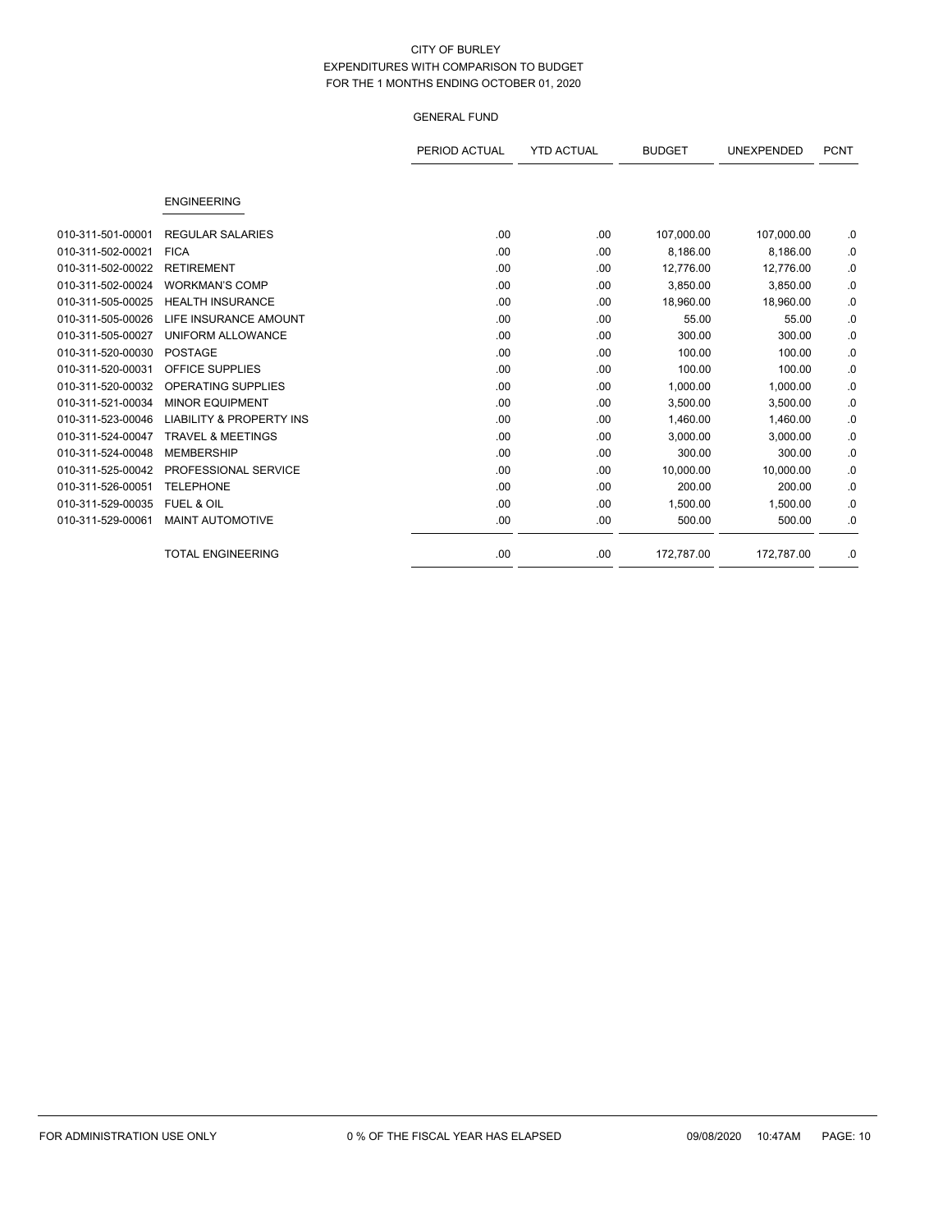|                   |                                     | PERIOD ACTUAL | <b>YTD ACTUAL</b> | <b>BUDGET</b> | UNEXPENDED | <b>PCNT</b> |
|-------------------|-------------------------------------|---------------|-------------------|---------------|------------|-------------|
|                   | <b>ENGINEERING</b>                  |               |                   |               |            |             |
|                   |                                     |               |                   |               |            |             |
| 010-311-501-00001 | <b>REGULAR SALARIES</b>             | .00           | .00               | 107,000.00    | 107,000.00 | .0          |
| 010-311-502-00021 | <b>FICA</b>                         | .00           | .00               | 8,186.00      | 8,186.00   | .0          |
| 010-311-502-00022 | <b>RETIREMENT</b>                   | .00           | .00               | 12,776.00     | 12,776.00  | .0          |
| 010-311-502-00024 | <b>WORKMAN'S COMP</b>               | .00.          | .00               | 3,850.00      | 3,850.00   | .0          |
| 010-311-505-00025 | <b>HEALTH INSURANCE</b>             | .00           | .00               | 18,960.00     | 18,960.00  | .0          |
| 010-311-505-00026 | LIFE INSURANCE AMOUNT               | .00           | .00               | 55.00         | 55.00      | .0          |
| 010-311-505-00027 | UNIFORM ALLOWANCE                   | .00           | .00               | 300.00        | 300.00     | .0          |
| 010-311-520-00030 | <b>POSTAGE</b>                      | .00.          | .00               | 100.00        | 100.00     | .0          |
| 010-311-520-00031 | <b>OFFICE SUPPLIES</b>              | .00           | .00               | 100.00        | 100.00     | .0          |
| 010-311-520-00032 | <b>OPERATING SUPPLIES</b>           | .00           | .00               | 1,000.00      | 1,000.00   | .0          |
| 010-311-521-00034 | <b>MINOR EQUIPMENT</b>              | .00           | .00               | 3.500.00      | 3,500.00   | .0          |
| 010-311-523-00046 | <b>LIABILITY &amp; PROPERTY INS</b> | .00           | .00               | 1,460.00      | 1,460.00   | .0          |
| 010-311-524-00047 | <b>TRAVEL &amp; MEETINGS</b>        | .00.          | .00               | 3,000.00      | 3.000.00   | .0          |
| 010-311-524-00048 | <b>MEMBERSHIP</b>                   | .00.          | .00               | 300.00        | 300.00     | .0          |
| 010-311-525-00042 | PROFESSIONAL SERVICE                | .00.          | .00               | 10,000.00     | 10,000.00  | .0          |
| 010-311-526-00051 | <b>TELEPHONE</b>                    | .00           | .00               | 200.00        | 200.00     | .0          |
| 010-311-529-00035 | <b>FUEL &amp; OIL</b>               | .00           | .00               | 1,500.00      | 1,500.00   | .0          |
| 010-311-529-00061 | <b>MAINT AUTOMOTIVE</b>             | .00.          | .00               | 500.00        | 500.00     | .0          |
|                   | <b>TOTAL ENGINEERING</b>            | .00           | .00               | 172,787.00    | 172,787.00 | .0          |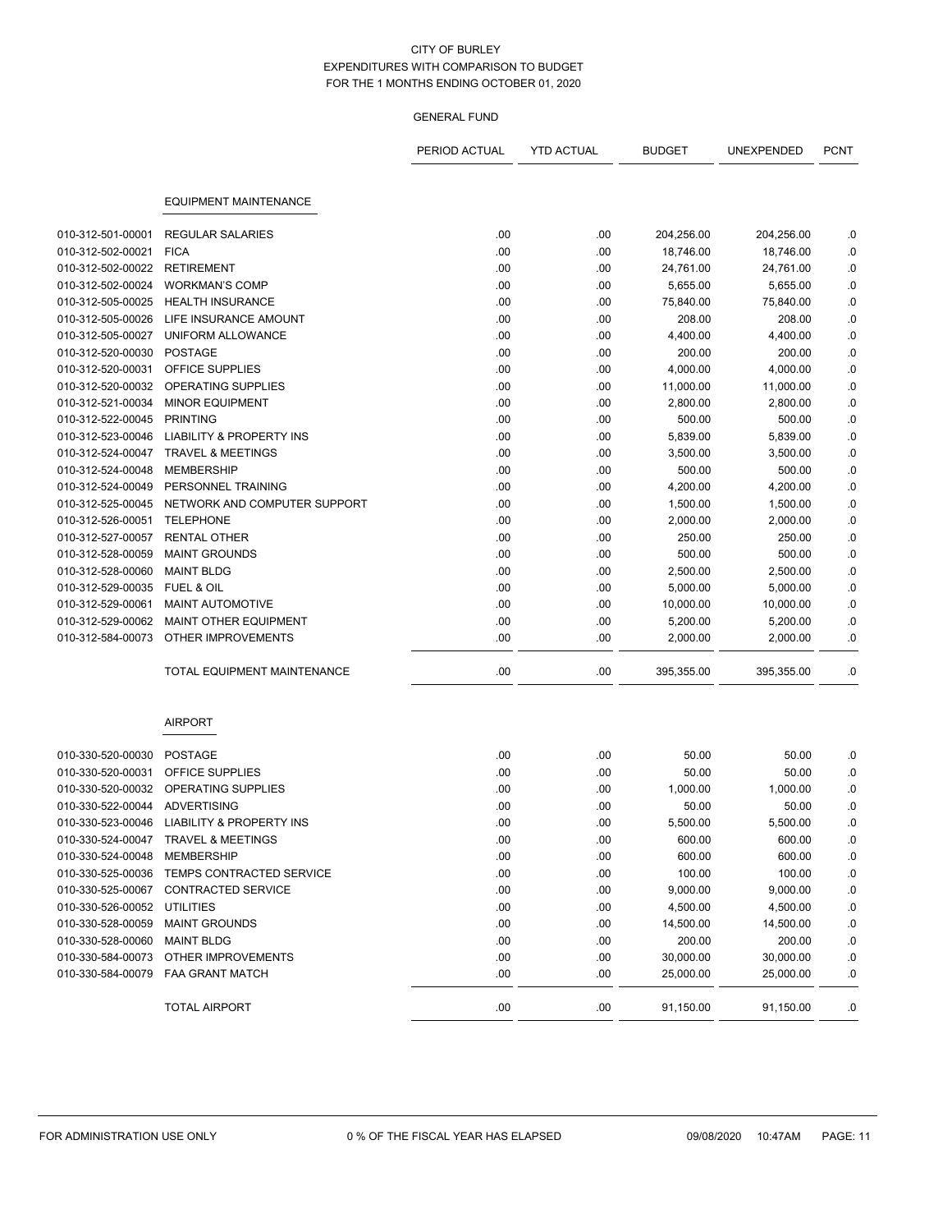|                              |                                            | PERIOD ACTUAL | <b>YTD ACTUAL</b> | <b>BUDGET</b> | UNEXPENDED         | <b>PCNT</b> |
|------------------------------|--------------------------------------------|---------------|-------------------|---------------|--------------------|-------------|
|                              | <b>EQUIPMENT MAINTENANCE</b>               |               |                   |               |                    |             |
| 010-312-501-00001            | <b>REGULAR SALARIES</b>                    | .00           | .00               | 204,256.00    | 204,256.00         | .0          |
| 010-312-502-00021            | <b>FICA</b>                                | .00           | .00               | 18,746.00     | 18,746.00          | .0          |
| 010-312-502-00022            | <b>RETIREMENT</b>                          | .00           | .00               | 24,761.00     | 24,761.00          | .0          |
| 010-312-502-00024            | <b>WORKMAN'S COMP</b>                      | .00           | .00               | 5,655.00      | 5,655.00           | $\cdot$ 0   |
| 010-312-505-00025            | <b>HEALTH INSURANCE</b>                    | .00           | .00               | 75,840.00     | 75,840.00          | .0          |
| 010-312-505-00026            | LIFE INSURANCE AMOUNT                      | .00           | .00               | 208.00        | 208.00             | .0          |
| 010-312-505-00027            | UNIFORM ALLOWANCE                          | .00           | .00               | 4,400.00      | 4,400.00           | .0          |
| 010-312-520-00030            | <b>POSTAGE</b>                             | .00           | .00               | 200.00        | 200.00             | .0          |
| 010-312-520-00031            | OFFICE SUPPLIES                            | .00           | .00               | 4,000.00      | 4,000.00           | .0          |
| 010-312-520-00032            | OPERATING SUPPLIES                         | .00           | .00               | 11,000.00     |                    | .0          |
| 010-312-521-00034            | <b>MINOR EQUIPMENT</b>                     | .00           |                   |               | 11,000.00          |             |
|                              | <b>PRINTING</b>                            | .00           | .00               | 2,800.00      | 2,800.00<br>500.00 | .0          |
| 010-312-522-00045            | <b>LIABILITY &amp; PROPERTY INS</b>        | .00           | .00               | 500.00        |                    | .0          |
| 010-312-523-00046            | <b>TRAVEL &amp; MEETINGS</b>               |               | .00               | 5,839.00      | 5,839.00           | .0          |
| 010-312-524-00047            |                                            | .00           | .00               | 3,500.00      | 3,500.00           | .0          |
| 010-312-524-00048            | <b>MEMBERSHIP</b>                          | .00           | .00               | 500.00        | 500.00             | .0          |
| 010-312-524-00049            | PERSONNEL TRAINING                         | .00           | .00               | 4,200.00      | 4,200.00           | .0          |
| 010-312-525-00045            | NETWORK AND COMPUTER SUPPORT               | .00           | .00               | 1,500.00      | 1,500.00           | .0          |
| 010-312-526-00051            | <b>TELEPHONE</b>                           | .00           | .00               | 2,000.00      | 2,000.00           | .0          |
| 010-312-527-00057            | <b>RENTAL OTHER</b>                        | .00           | .00               | 250.00        | 250.00             | 0.          |
| 010-312-528-00059            | <b>MAINT GROUNDS</b>                       | .00           | .00               | 500.00        | 500.00             | .0          |
| 010-312-528-00060            | <b>MAINT BLDG</b>                          | .00           | .00               | 2,500.00      | 2,500.00           | .0          |
| 010-312-529-00035            | <b>FUEL &amp; OIL</b>                      | .00           | .00               | 5,000.00      | 5,000.00           | .0          |
| 010-312-529-00061            | <b>MAINT AUTOMOTIVE</b>                    | .00           | .00               | 10,000.00     | 10,000.00          | .0          |
| 010-312-529-00062            | MAINT OTHER EQUIPMENT                      | .00           | .00               | 5,200.00      | 5,200.00           | .0          |
| 010-312-584-00073            | OTHER IMPROVEMENTS                         | .00           | .00               | 2,000.00      | 2,000.00           | .0          |
|                              | TOTAL EQUIPMENT MAINTENANCE                | .00           | .00               | 395,355.00    | 395,355.00         | .0          |
|                              | <b>AIRPORT</b>                             |               |                   |               |                    |             |
| 010-330-520-00030            | <b>POSTAGE</b>                             | .00           | .00               | 50.00         | 50.00              | .0          |
| 010-330-520-00031            | OFFICE SUPPLIES                            | .00           | .00               | 50.00         | 50.00              | .0          |
| 010-330-520-00032            | OPERATING SUPPLIES                         | .00           | .00               | 1,000.00      | 1,000.00           | .0          |
| 010-330-522-00044            | <b>ADVERTISING</b>                         | .00           | .00               | 50.00         | 50.00              | .0          |
|                              | 010-330-523-00046 LIABILITY & PROPERTY INS | .00           | .00               | 5,500.00      | 5,500.00           | .0          |
|                              | 010-330-524-00047 TRAVEL & MEETINGS        | .00           | .00               | 600.00        | 600.00             | .0          |
| 010-330-524-00048 MEMBERSHIP |                                            | .00           | .00               | 600.00        | 600.00             | .0          |
|                              | 010-330-525-00036 TEMPS CONTRACTED SERVICE | .00           | .00               | 100.00        | 100.00             | .0          |
| 010-330-525-00067            | CONTRACTED SERVICE                         | .00           | .00               | 9,000.00      | 9,000.00           | .0          |
| 010-330-526-00052            | <b>UTILITIES</b>                           | .00           | .00               | 4,500.00      | 4,500.00           | .0          |
| 010-330-528-00059            | <b>MAINT GROUNDS</b>                       | .00           | .00               | 14,500.00     | 14,500.00          | .0          |
| 010-330-528-00060            | <b>MAINT BLDG</b>                          | .00           | .00               | 200.00        | 200.00             | 0.          |
| 010-330-584-00073            | OTHER IMPROVEMENTS                         | .00           | .00               | 30,000.00     | 30,000.00          | .0          |
|                              | 010-330-584-00079  FAA GRANT MATCH         | .00           | .00               | 25,000.00     | 25,000.00          | .0          |
|                              | <b>TOTAL AIRPORT</b>                       | .00           | .00               | 91,150.00     | 91,150.00          | .0          |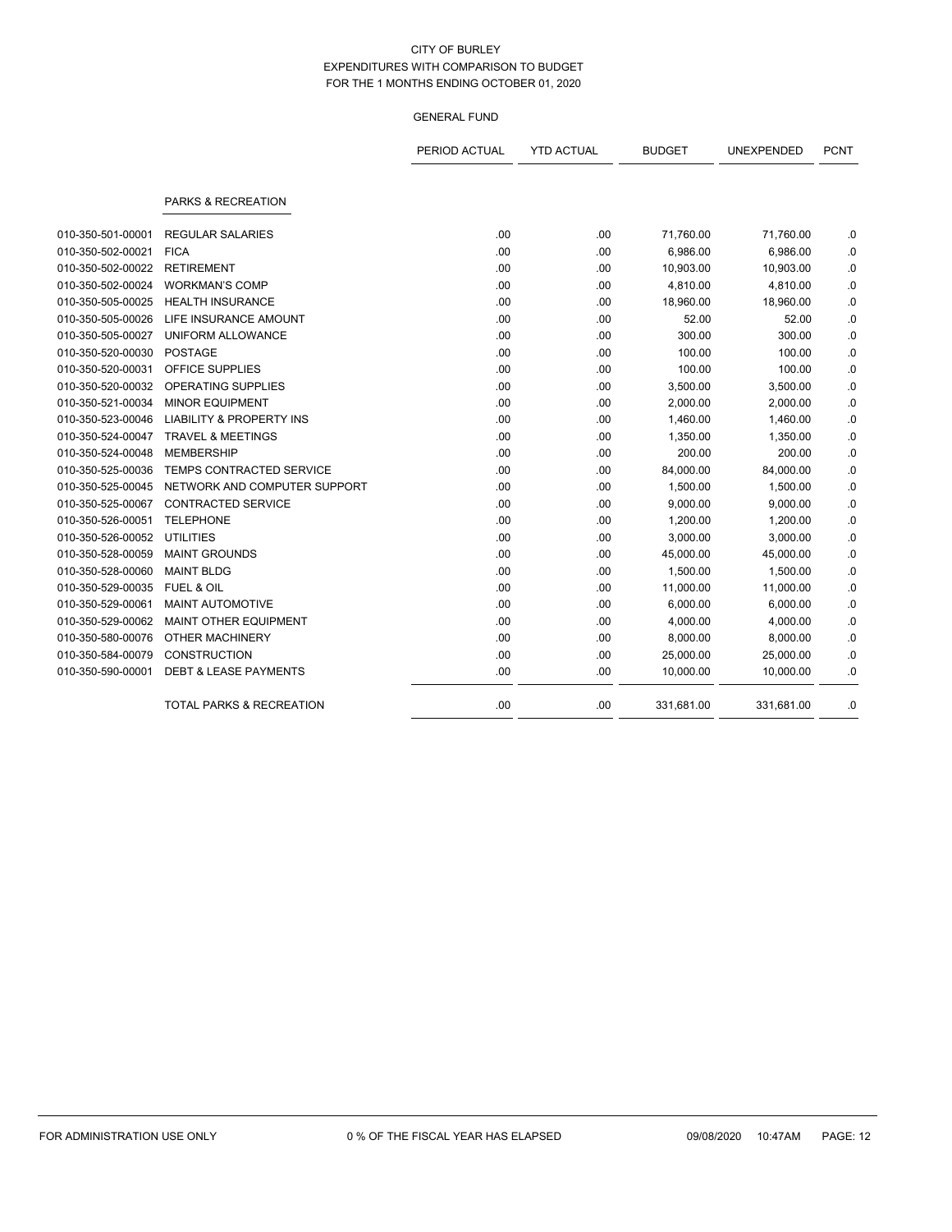|                   |                                     | PERIOD ACTUAL | <b>YTD ACTUAL</b> | <b>BUDGET</b> | UNEXPENDED | <b>PCNT</b> |
|-------------------|-------------------------------------|---------------|-------------------|---------------|------------|-------------|
|                   | PARKS & RECREATION                  |               |                   |               |            |             |
| 010-350-501-00001 | <b>REGULAR SALARIES</b>             | .00           | .00               | 71,760.00     | 71,760.00  | .0          |
| 010-350-502-00021 | <b>FICA</b>                         | .00           | .00               | 6,986.00      | 6,986.00   | $\cdot$ 0   |
| 010-350-502-00022 | <b>RETIREMENT</b>                   | .00           | .00               | 10,903.00     | 10,903.00  | .0          |
| 010-350-502-00024 | <b>WORKMAN'S COMP</b>               | .00           | .00               | 4,810.00      | 4,810.00   | .0          |
| 010-350-505-00025 | <b>HEALTH INSURANCE</b>             | .00           | .00               | 18,960.00     | 18,960.00  | 0.0         |
| 010-350-505-00026 | LIFE INSURANCE AMOUNT               | .00           | .00               | 52.00         | 52.00      | .0          |
| 010-350-505-00027 | UNIFORM ALLOWANCE                   | .00           | .00               | 300.00        | 300.00     | .0          |
| 010-350-520-00030 | <b>POSTAGE</b>                      | .00           | .00               | 100.00        | 100.00     | .0          |
| 010-350-520-00031 | <b>OFFICE SUPPLIES</b>              | .00           | .00               | 100.00        | 100.00     | .0          |
| 010-350-520-00032 | <b>OPERATING SUPPLIES</b>           | .00           | .00               | 3,500.00      | 3,500.00   | 0.0         |
| 010-350-521-00034 | <b>MINOR EQUIPMENT</b>              | .00           | .00               | 2,000.00      | 2,000.00   | .0          |
| 010-350-523-00046 | <b>LIABILITY &amp; PROPERTY INS</b> | .00           | .00               | 1,460.00      | 1,460.00   | .0          |
| 010-350-524-00047 | <b>TRAVEL &amp; MEETINGS</b>        | .00           | .00               | 1,350.00      | 1,350.00   | $\cdot$ 0   |
| 010-350-524-00048 | <b>MEMBERSHIP</b>                   | .00           | .00               | 200.00        | 200.00     | .0          |
| 010-350-525-00036 | <b>TEMPS CONTRACTED SERVICE</b>     | .00           | .00               | 84,000.00     | 84,000.00  | .0          |
| 010-350-525-00045 | NETWORK AND COMPUTER SUPPORT        | .00           | .00               | 1,500.00      | 1,500.00   | .0          |
| 010-350-525-00067 | <b>CONTRACTED SERVICE</b>           | .00           | .00               | 9,000.00      | 9,000.00   | $\cdot$ 0   |
| 010-350-526-00051 | <b>TELEPHONE</b>                    | .00           | .00               | 1,200.00      | 1,200.00   | .0          |
| 010-350-526-00052 | <b>UTILITIES</b>                    | .00           | .00               | 3,000.00      | 3,000.00   | 0.0         |
| 010-350-528-00059 | <b>MAINT GROUNDS</b>                | .00           | .00               | 45,000.00     | 45,000.00  | .0          |
| 010-350-528-00060 | <b>MAINT BLDG</b>                   | .00           | .00               | 1,500.00      | 1,500.00   | 0.0         |
| 010-350-529-00035 | FUEL & OIL                          | .00           | .00               | 11,000.00     | 11,000.00  | .0          |
| 010-350-529-00061 | MAINT AUTOMOTIVE                    | .00           | .00               | 6,000.00      | 6,000.00   | .0          |
| 010-350-529-00062 | <b>MAINT OTHER EQUIPMENT</b>        | .00           | .00               | 4,000.00      | 4,000.00   | .0          |
| 010-350-580-00076 | OTHER MACHINERY                     | .00           | .00               | 8,000.00      | 8,000.00   | $\cdot$ 0   |
| 010-350-584-00079 | <b>CONSTRUCTION</b>                 | .00           | .00               | 25,000.00     | 25,000.00  | .0          |
| 010-350-590-00001 | <b>DEBT &amp; LEASE PAYMENTS</b>    | .00           | .00               | 10,000.00     | 10,000.00  | .0          |
|                   | <b>TOTAL PARKS &amp; RECREATION</b> | .00           | .00               | 331,681.00    | 331,681.00 | .0          |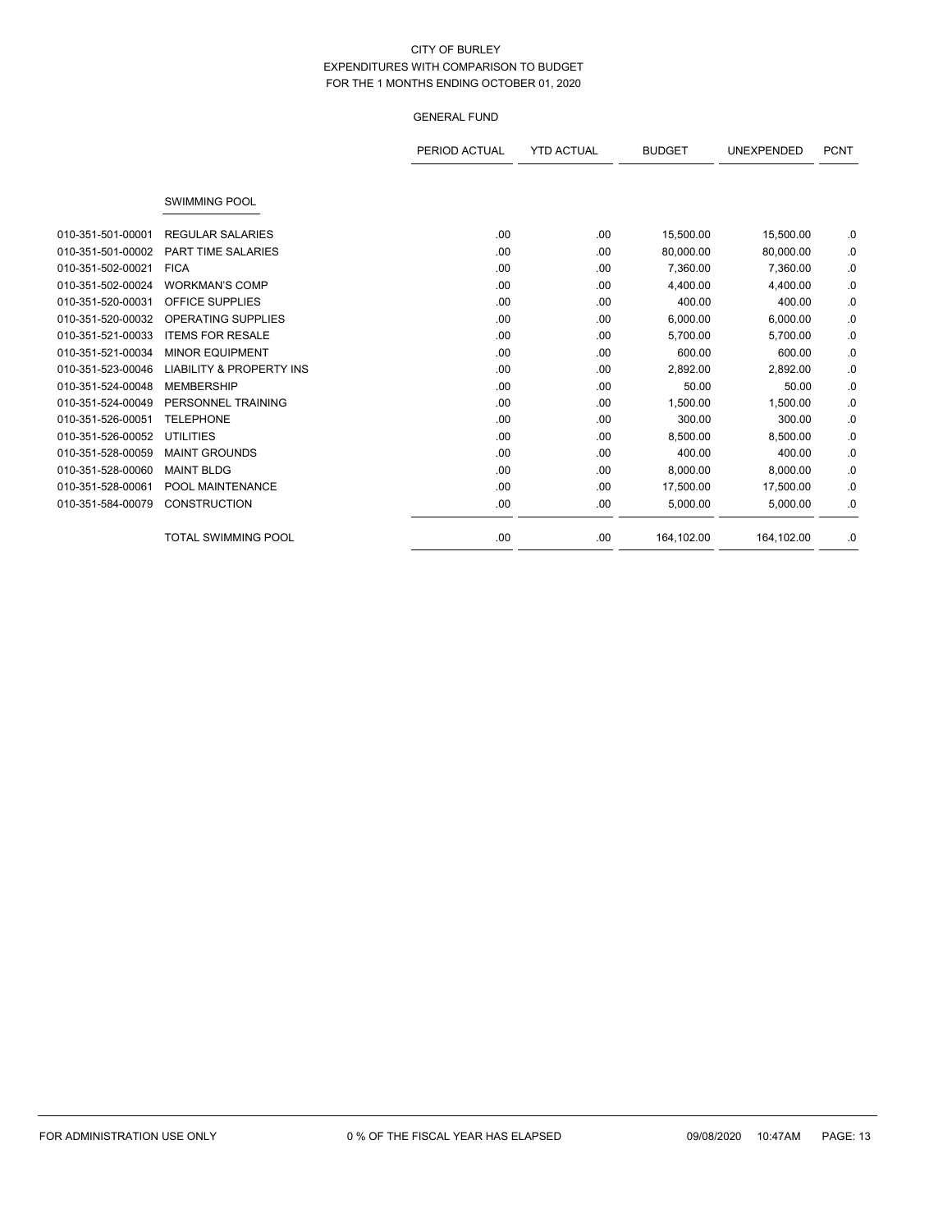|                   |                                     | PERIOD ACTUAL | <b>YTD ACTUAL</b> | <b>BUDGET</b> | <b>UNEXPENDED</b> | <b>PCNT</b> |
|-------------------|-------------------------------------|---------------|-------------------|---------------|-------------------|-------------|
|                   |                                     |               |                   |               |                   |             |
|                   | <b>SWIMMING POOL</b>                |               |                   |               |                   |             |
| 010-351-501-00001 | <b>REGULAR SALARIES</b>             | .00.          | .00               | 15,500.00     | 15,500.00         | .0          |
| 010-351-501-00002 | <b>PART TIME SALARIES</b>           | .00.          | .00               | 80,000.00     | 80,000.00         | .0          |
| 010-351-502-00021 | <b>FICA</b>                         | .00.          | .00.              | 7,360.00      | 7,360.00          | .0          |
| 010-351-502-00024 | <b>WORKMAN'S COMP</b>               | .00.          | .00               | 4,400.00      | 4,400.00          | .0          |
| 010-351-520-00031 | <b>OFFICE SUPPLIES</b>              | .00           | .00               | 400.00        | 400.00            | .0          |
| 010-351-520-00032 | <b>OPERATING SUPPLIES</b>           | .00.          | .00               | 6,000.00      | 6,000.00          | .0          |
| 010-351-521-00033 | <b>ITEMS FOR RESALE</b>             | .00.          | .00.              | 5,700.00      | 5,700.00          | .0          |
| 010-351-521-00034 | <b>MINOR EQUIPMENT</b>              | .00           | .00               | 600.00        | 600.00            | .0          |
| 010-351-523-00046 | <b>LIABILITY &amp; PROPERTY INS</b> | .00.          | .00               | 2,892.00      | 2,892.00          | .0          |
| 010-351-524-00048 | <b>MEMBERSHIP</b>                   | .00.          | .00               | 50.00         | 50.00             | .0          |
| 010-351-524-00049 | PERSONNEL TRAINING                  | .00.          | .00               | 1,500.00      | 1,500.00          | .0          |
| 010-351-526-00051 | <b>TELEPHONE</b>                    | .00.          | .00.              | 300.00        | 300.00            | .0          |
| 010-351-526-00052 | <b>UTILITIES</b>                    | .00.          | .00               | 8.500.00      | 8.500.00          | .0          |
| 010-351-528-00059 | <b>MAINT GROUNDS</b>                | .00.          | .00               | 400.00        | 400.00            | .0          |
| 010-351-528-00060 | <b>MAINT BLDG</b>                   | .00.          | .00               | 8,000.00      | 8,000.00          | .0          |
| 010-351-528-00061 | POOL MAINTENANCE                    | .00.          | .00               | 17,500.00     | 17,500.00         | .0          |
| 010-351-584-00079 | <b>CONSTRUCTION</b>                 | .00           | .00               | 5,000.00      | 5,000.00          | .0          |
|                   | <b>TOTAL SWIMMING POOL</b>          | .00.          | .00               | 164,102.00    | 164,102.00        | .0          |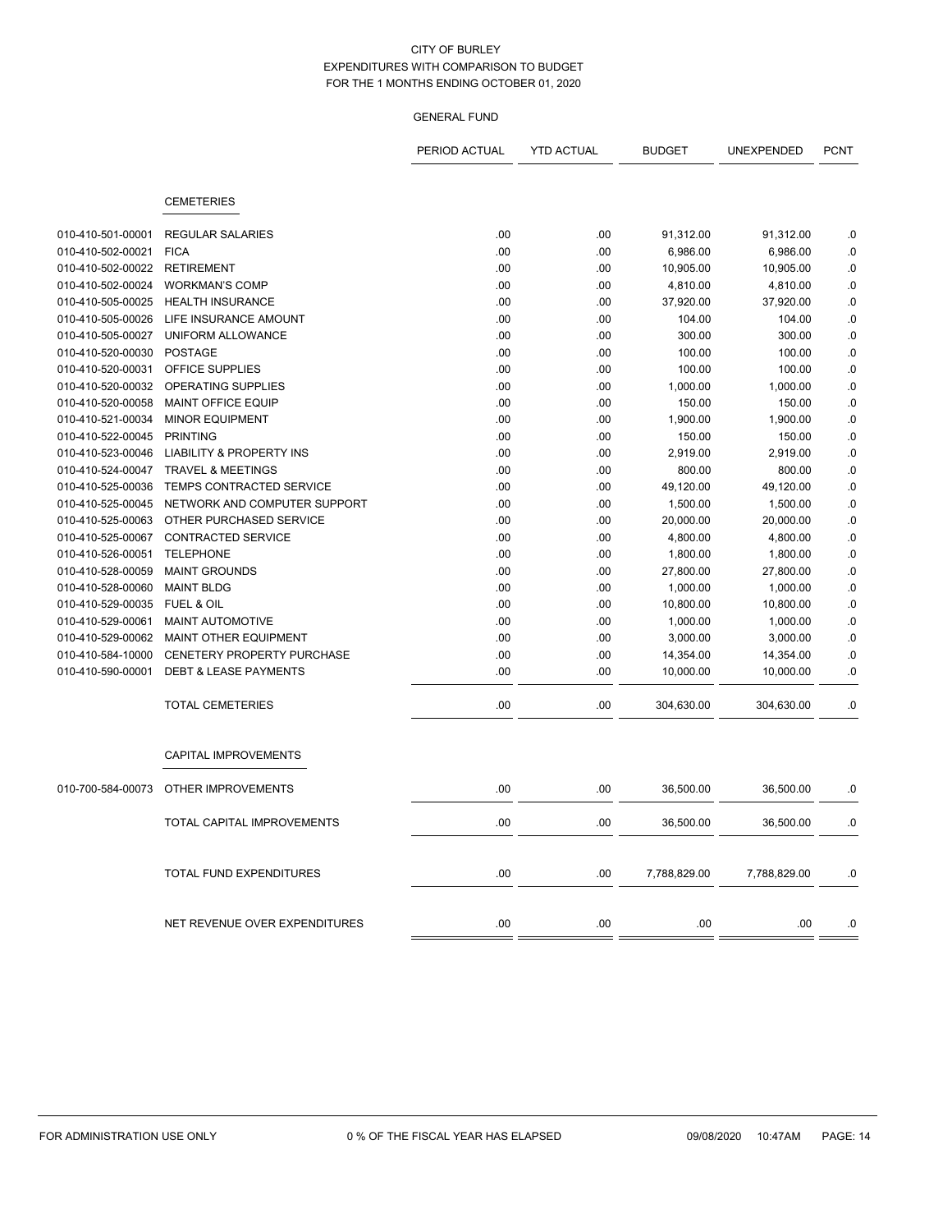|                   |                                     | PERIOD ACTUAL | <b>YTD ACTUAL</b> | <b>BUDGET</b> | UNEXPENDED   | <b>PCNT</b> |
|-------------------|-------------------------------------|---------------|-------------------|---------------|--------------|-------------|
|                   | <b>CEMETERIES</b>                   |               |                   |               |              |             |
|                   |                                     |               |                   |               |              |             |
| 010-410-501-00001 | <b>REGULAR SALARIES</b>             | .00           | .00               | 91,312.00     | 91,312.00    | .0          |
| 010-410-502-00021 | <b>FICA</b>                         | .00           | .00               | 6,986.00      | 6,986.00     | .0          |
| 010-410-502-00022 | <b>RETIREMENT</b>                   | .00           | .00               | 10,905.00     | 10,905.00    | .0          |
| 010-410-502-00024 | <b>WORKMAN'S COMP</b>               | .00           | .00               | 4,810.00      | 4,810.00     | .0          |
| 010-410-505-00025 | <b>HEALTH INSURANCE</b>             | .00           | .00               | 37,920.00     | 37,920.00    | 0.0         |
| 010-410-505-00026 | LIFE INSURANCE AMOUNT               | .00           | .00               | 104.00        | 104.00       | .0          |
| 010-410-505-00027 | UNIFORM ALLOWANCE                   | .00           | .00               | 300.00        | 300.00       | .0          |
| 010-410-520-00030 | <b>POSTAGE</b>                      | .00           | .00               | 100.00        | 100.00       | .0          |
| 010-410-520-00031 | OFFICE SUPPLIES                     | .00           | .00               | 100.00        | 100.00       | .0          |
| 010-410-520-00032 | OPERATING SUPPLIES                  | .00           | .00               | 1,000.00      | 1,000.00     | .0          |
| 010-410-520-00058 | MAINT OFFICE EQUIP                  | .00           | .00               | 150.00        | 150.00       | .0          |
| 010-410-521-00034 | <b>MINOR EQUIPMENT</b>              | .00           | .00               | 1,900.00      | 1,900.00     | .0          |
| 010-410-522-00045 | <b>PRINTING</b>                     | .00           | .00               | 150.00        | 150.00       | .0          |
| 010-410-523-00046 | <b>LIABILITY &amp; PROPERTY INS</b> | .00           | .00               | 2,919.00      | 2,919.00     | .0          |
| 010-410-524-00047 | <b>TRAVEL &amp; MEETINGS</b>        | .00           | .00               | 800.00        | 800.00       | .0          |
| 010-410-525-00036 | TEMPS CONTRACTED SERVICE            | .00           | .00               | 49,120.00     | 49,120.00    | .0          |
| 010-410-525-00045 | NETWORK AND COMPUTER SUPPORT        | .00           | .00               | 1,500.00      | 1,500.00     | .0          |
| 010-410-525-00063 | OTHER PURCHASED SERVICE             | .00           | .00               | 20,000.00     | 20,000.00    | .0          |
| 010-410-525-00067 | <b>CONTRACTED SERVICE</b>           | .00           | .00               | 4,800.00      | 4,800.00     | .0          |
| 010-410-526-00051 | <b>TELEPHONE</b>                    | .00           | .00               | 1,800.00      | 1,800.00     | .0          |
| 010-410-528-00059 | <b>MAINT GROUNDS</b>                | .00           | .00               | 27,800.00     | 27,800.00    | 0.0         |
| 010-410-528-00060 | <b>MAINT BLDG</b>                   | .00           | .00               | 1,000.00      | 1,000.00     | .0          |
| 010-410-529-00035 | FUEL & OIL                          | .00           | .00               | 10,800.00     | 10,800.00    | .0          |
| 010-410-529-00061 | MAINT AUTOMOTIVE                    | .00           | .00               | 1,000.00      | 1,000.00     | .0          |
| 010-410-529-00062 | <b>MAINT OTHER EQUIPMENT</b>        | .00           | .00               | 3,000.00      | 3,000.00     | .0          |
| 010-410-584-10000 | CENETERY PROPERTY PURCHASE          | .00           | .00               | 14,354.00     | 14,354.00    | .0          |
| 010-410-590-00001 | <b>DEBT &amp; LEASE PAYMENTS</b>    | .00           | .00               | 10,000.00     | 10.000.00    | .0          |
|                   | <b>TOTAL CEMETERIES</b>             | .00           | .00               | 304,630.00    | 304,630.00   | .0          |
|                   | CAPITAL IMPROVEMENTS                |               |                   |               |              |             |
| 010-700-584-00073 | OTHER IMPROVEMENTS                  | .00           | .00               | 36,500.00     | 36,500.00    | .0          |
|                   | TOTAL CAPITAL IMPROVEMENTS          | .00           | .00               | 36,500.00     | 36,500.00    | .0          |
|                   | TOTAL FUND EXPENDITURES             | .00           | .00               | 7,788,829.00  | 7.788.829.00 | .0          |
|                   | NET REVENUE OVER EXPENDITURES       | .00           | .00               | .00           | .00          | .0          |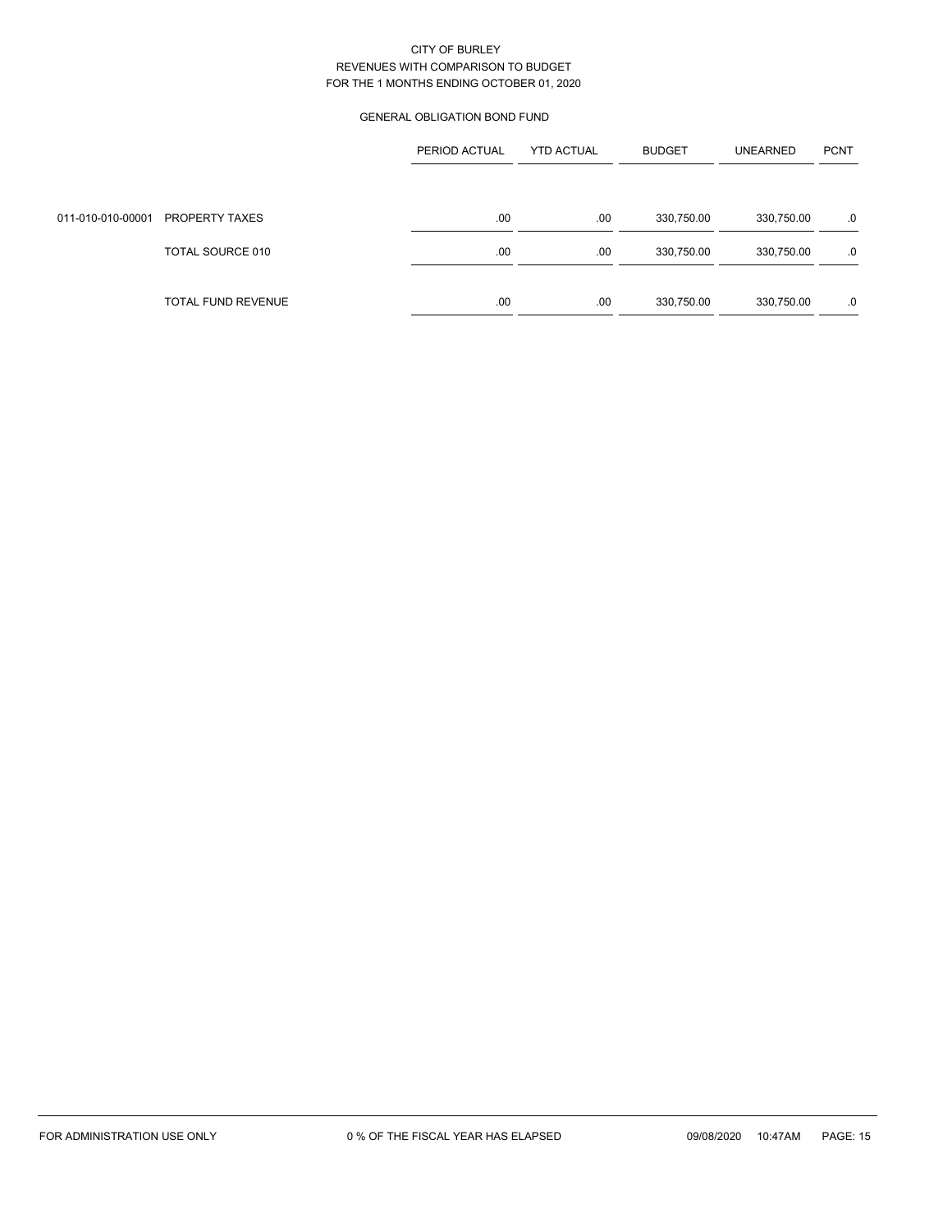# GENERAL OBLIGATION BOND FUND

|                   |                    | PERIOD ACTUAL | <b>YTD ACTUAL</b> | <b>BUDGET</b> | <b>UNEARNED</b> | <b>PCNT</b> |
|-------------------|--------------------|---------------|-------------------|---------------|-----------------|-------------|
|                   |                    |               |                   |               |                 |             |
| 011-010-010-00001 | PROPERTY TAXES     | .00           | .00               | 330,750.00    | 330,750.00      | .0          |
|                   | TOTAL SOURCE 010   | .00           | .00               | 330,750.00    | 330,750.00      | .0          |
|                   |                    |               |                   |               |                 |             |
|                   | TOTAL FUND REVENUE | .00           | .00               | 330,750.00    | 330,750.00      | .0          |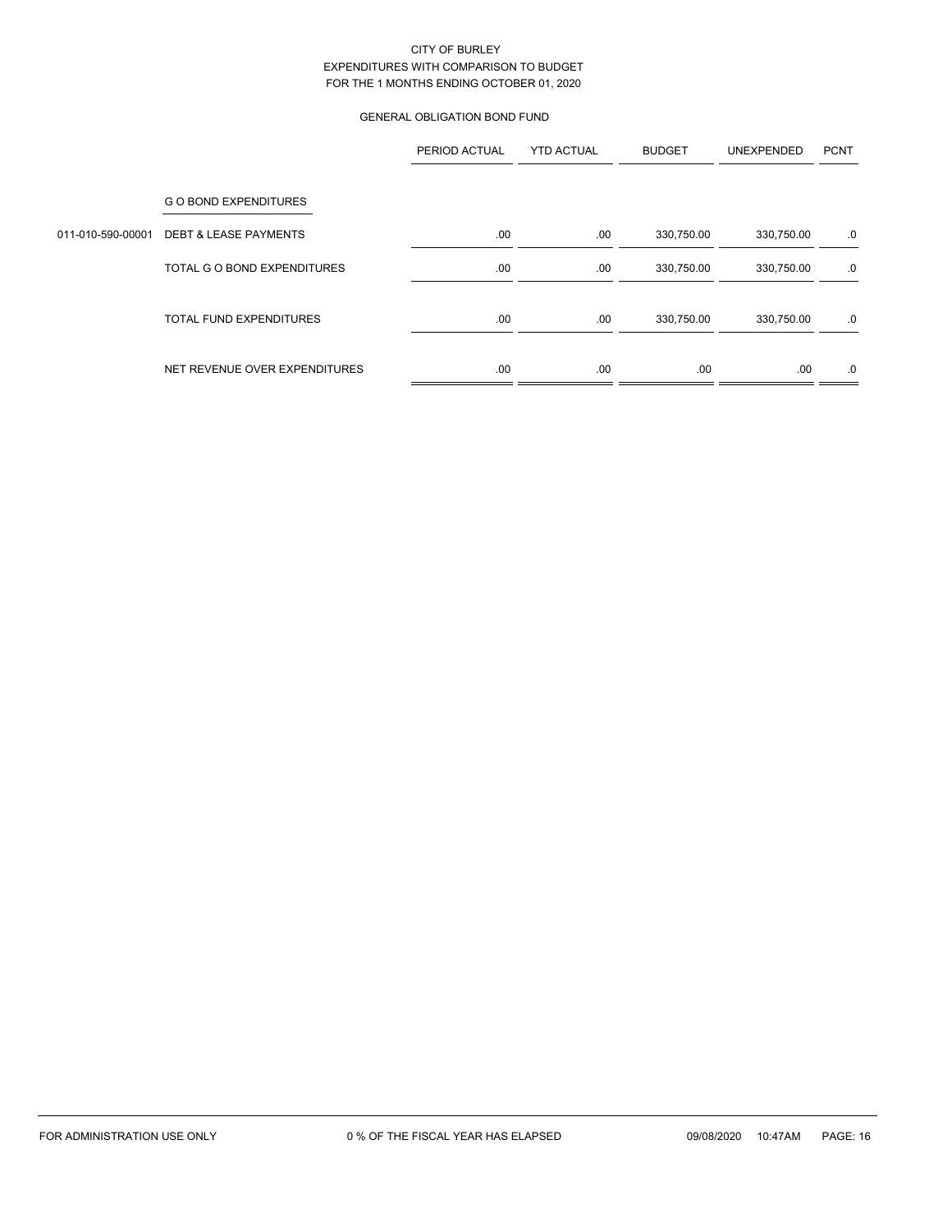# GENERAL OBLIGATION BOND FUND

|                   |                                  | PERIOD ACTUAL | <b>YTD ACTUAL</b> | <b>BUDGET</b> | UNEXPENDED | <b>PCNT</b> |
|-------------------|----------------------------------|---------------|-------------------|---------------|------------|-------------|
|                   | <b>GO BOND EXPENDITURES</b>      |               |                   |               |            |             |
| 011-010-590-00001 | <b>DEBT &amp; LEASE PAYMENTS</b> | .00           | .00               | 330,750.00    | 330,750.00 | .0          |
|                   | TOTAL G O BOND EXPENDITURES      | .00           | .00               | 330,750.00    | 330,750.00 | .0          |
|                   | <b>TOTAL FUND EXPENDITURES</b>   | .00           | .00               | 330,750.00    | 330,750.00 | .0          |
|                   | NET REVENUE OVER EXPENDITURES    | .00           | .00               | .00           | .00        | .0          |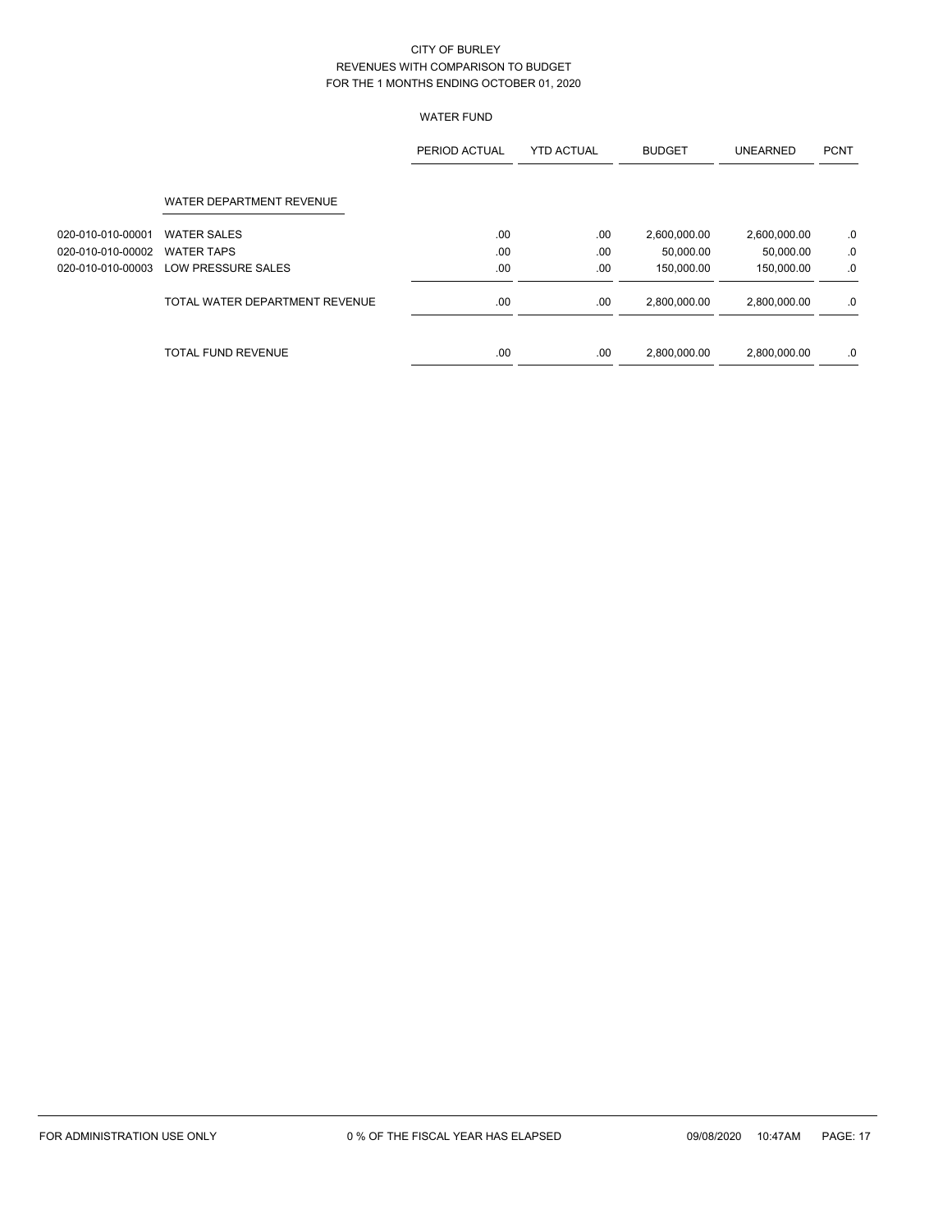# WATER FUND

|                   |                                | PERIOD ACTUAL | <b>YTD ACTUAL</b> | <b>BUDGET</b> | <b>UNEARNED</b> | <b>PCNT</b> |
|-------------------|--------------------------------|---------------|-------------------|---------------|-----------------|-------------|
|                   | WATER DEPARTMENT REVENUE       |               |                   |               |                 |             |
| 020-010-010-00001 | <b>WATER SALES</b>             | .00.          | .00               | 2,600,000.00  | 2,600,000.00    | .0          |
| 020-010-010-00002 | <b>WATER TAPS</b>              | .00.          | .00               | 50.000.00     | 50.000.00       | .0          |
| 020-010-010-00003 | LOW PRESSURE SALES             | .00           | .00               | 150,000.00    | 150,000.00      | .0          |
|                   | TOTAL WATER DEPARTMENT REVENUE | .00.          | .00               | 2,800,000.00  | 2,800,000.00    | .0          |
|                   | <b>TOTAL FUND REVENUE</b>      | .00           | .00               | 2,800,000.00  | 2,800,000.00    | .0          |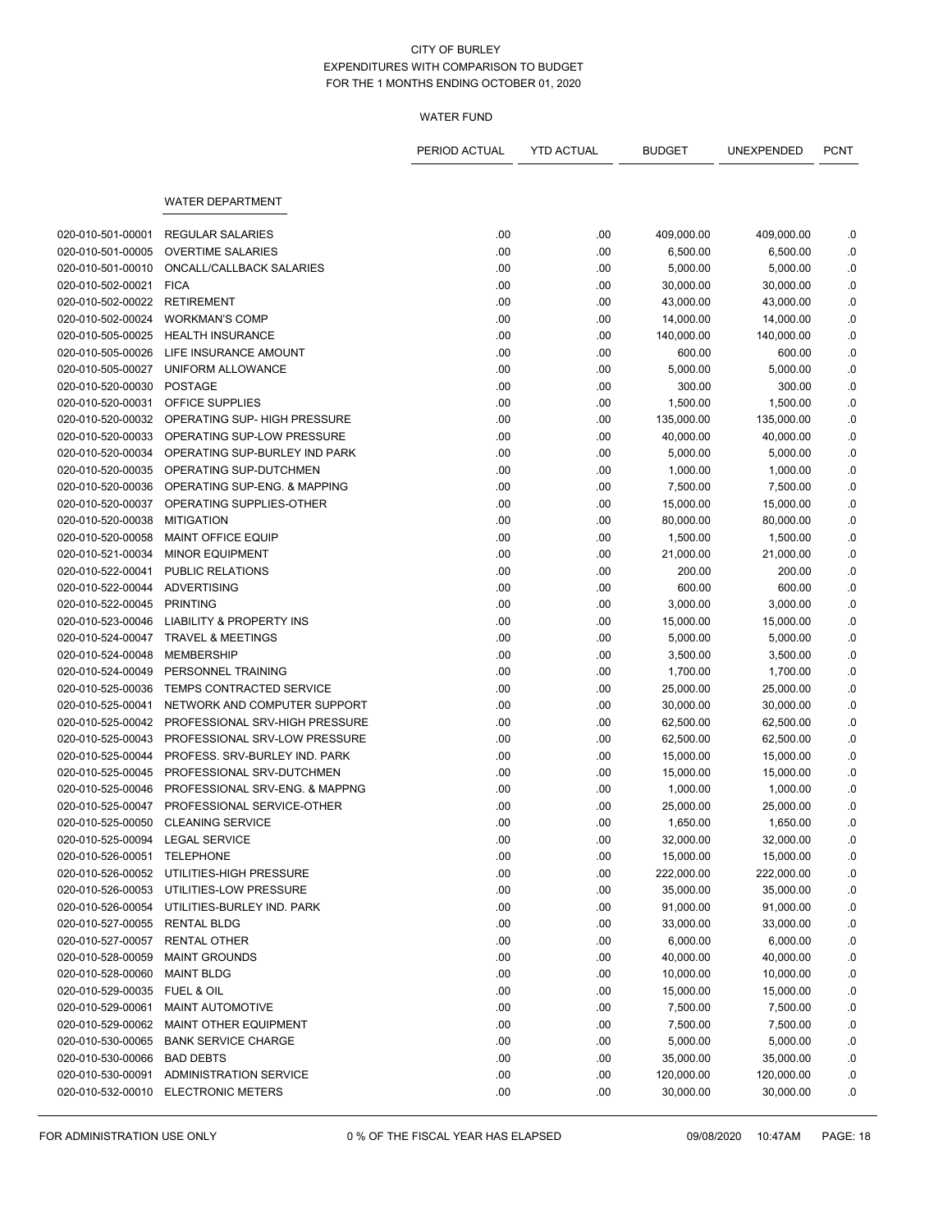## WATER FUND

|                                 |                                                     | PERIOD ACTUAL | <b>YTD ACTUAL</b> | <b>BUDGET</b>          | UNEXPENDED | <b>PCNT</b> |
|---------------------------------|-----------------------------------------------------|---------------|-------------------|------------------------|------------|-------------|
|                                 | <b>WATER DEPARTMENT</b>                             |               |                   |                        |            |             |
|                                 |                                                     |               |                   |                        |            |             |
| 020-010-501-00001               | <b>REGULAR SALARIES</b><br><b>OVERTIME SALARIES</b> | .00           | .00               | 409,000.00<br>6,500.00 | 409,000.00 | .0          |
| 020-010-501-00005               |                                                     | .00           | .00               |                        | 6,500.00   | .0          |
| 020-010-501-00010               | ONCALL/CALLBACK SALARIES                            | .00           | .00               | 5,000.00               | 5,000.00   | .0          |
| 020-010-502-00021               | <b>FICA</b>                                         | .00           | .00               | 30,000.00              | 30,000.00  | .0          |
| 020-010-502-00022               | <b>RETIREMENT</b>                                   | .00           | .00               | 43,000.00              | 43,000.00  | .0          |
| 020-010-502-00024               | <b>WORKMAN'S COMP</b>                               | .00           | .00               | 14,000.00              | 14,000.00  | .0          |
| 020-010-505-00025               | <b>HEALTH INSURANCE</b>                             | .00           | .00               | 140,000.00             | 140,000.00 | .0          |
| 020-010-505-00026               | LIFE INSURANCE AMOUNT                               | .00           | .00               | 600.00                 | 600.00     | .0          |
| 020-010-505-00027               | UNIFORM ALLOWANCE                                   | .00           | .00               | 5,000.00               | 5,000.00   | .0          |
| 020-010-520-00030               | <b>POSTAGE</b>                                      | .00           | .00.              | 300.00                 | 300.00     | .0          |
| 020-010-520-00031               | OFFICE SUPPLIES                                     | .00           | .00               | 1,500.00               | 1,500.00   | .0          |
| 020-010-520-00032               | OPERATING SUP- HIGH PRESSURE                        | .00           | .00               | 135,000.00             | 135,000.00 | .0          |
| 020-010-520-00033               | OPERATING SUP-LOW PRESSURE                          | .00           | .00               | 40,000.00              | 40,000.00  | .0          |
| 020-010-520-00034               | OPERATING SUP-BURLEY IND PARK                       | .00           | .00               | 5,000.00               | 5,000.00   | .0          |
| 020-010-520-00035               | OPERATING SUP-DUTCHMEN                              | .00           | .00               | 1,000.00               | 1,000.00   | .0          |
| 020-010-520-00036               | OPERATING SUP-ENG. & MAPPING                        | .00           | .00               | 7,500.00               | 7,500.00   | .0          |
| 020-010-520-00037               | OPERATING SUPPLIES-OTHER                            | .00           | .00               | 15,000.00              | 15,000.00  | 0.0         |
| 020-010-520-00038               | <b>MITIGATION</b>                                   | .00           | .00               | 80,000.00              | 80,000.00  | .0          |
| 020-010-520-00058               | <b>MAINT OFFICE EQUIP</b>                           | .00           | .00               | 1,500.00               | 1,500.00   | .0          |
| 020-010-521-00034               | <b>MINOR EQUIPMENT</b>                              | .00           | .00               | 21,000.00              | 21,000.00  | .0          |
| 020-010-522-00041               | PUBLIC RELATIONS                                    | .00           | .00               | 200.00                 | 200.00     | .0          |
| 020-010-522-00044               | <b>ADVERTISING</b>                                  | .00           | .00               | 600.00                 | 600.00     | .0          |
| 020-010-522-00045               | <b>PRINTING</b>                                     | .00           | .00               | 3,000.00               | 3,000.00   | .0          |
| 020-010-523-00046               | <b>LIABILITY &amp; PROPERTY INS</b>                 | .00           | .00               | 15,000.00              | 15,000.00  | .0          |
| 020-010-524-00047               | <b>TRAVEL &amp; MEETINGS</b>                        | .00           | .00               | 5,000.00               | 5,000.00   | .0          |
| 020-010-524-00048               | <b>MEMBERSHIP</b>                                   | .00           | .00               | 3,500.00               | 3,500.00   | .0          |
| 020-010-524-00049               | PERSONNEL TRAINING                                  | .00           | .00               | 1,700.00               | 1,700.00   | $\cdot$ 0   |
| 020-010-525-00036               | TEMPS CONTRACTED SERVICE                            | .00           | .00               | 25,000.00              | 25,000.00  | .0          |
| 020-010-525-00041               | NETWORK AND COMPUTER SUPPORT                        | .00           | .00               | 30,000.00              | 30,000.00  | .0          |
| 020-010-525-00042               | PROFESSIONAL SRV-HIGH PRESSURE                      | .00           | .00               | 62,500.00              | 62,500.00  | .0          |
| 020-010-525-00043               | PROFESSIONAL SRV-LOW PRESSURE                       | .00           | .00               | 62,500.00              | 62,500.00  | .0          |
| 020-010-525-00044               | PROFESS. SRV-BURLEY IND. PARK                       | .00           | .00               | 15,000.00              | 15,000.00  | .0          |
| 020-010-525-00045               | PROFESSIONAL SRV-DUTCHMEN                           | .00           | .00               | 15,000.00              | 15,000.00  | .0          |
| 020-010-525-00046               | PROFESSIONAL SRV-ENG. & MAPPNG                      | .00           | .00               | 1,000.00               | 1,000.00   | .0          |
| 020-010-525-00047               | PROFESSIONAL SERVICE-OTHER                          | .00           | .00.              | 25,000.00              | 25,000.00  | .0          |
| 020-010-525-00050               | <b>CLEANING SERVICE</b>                             | .00           | .00               | 1,650.00               | 1,650.00   | .0          |
| 020-010-525-00094 LEGAL SERVICE |                                                     | .00           | .00               | 32,000.00              | 32,000.00  | .0          |
| 020-010-526-00051 TELEPHONE     |                                                     | .00           | .00.              | 15,000.00              | 15,000.00  | .0          |
| 020-010-526-00052               | UTILITIES-HIGH PRESSURE                             | .00           | .00               | 222,000.00             | 222,000.00 | .0          |
| 020-010-526-00053               | UTILITIES-LOW PRESSURE                              | .00           | .00               | 35,000.00              | 35,000.00  | .0          |
| 020-010-526-00054               | UTILITIES-BURLEY IND. PARK                          | .00           | .00               | 91,000.00              | 91,000.00  | .0          |
| 020-010-527-00055               | <b>RENTAL BLDG</b>                                  | .00           | .00               | 33,000.00              | 33,000.00  | .0          |
| 020-010-527-00057               | <b>RENTAL OTHER</b>                                 | .00           | .00.              | 6,000.00               | 6,000.00   | .0          |
| 020-010-528-00059               | <b>MAINT GROUNDS</b>                                | .00           | .00               | 40,000.00              | 40,000.00  | .0          |
| 020-010-528-00060               | <b>MAINT BLDG</b>                                   | .00           | .00               | 10,000.00              | 10,000.00  | .0          |
| 020-010-529-00035               | FUEL & OIL                                          | .00           | .00               | 15,000.00              | 15,000.00  | $\cdot$     |
| 020-010-529-00061               | MAINT AUTOMOTIVE                                    | .00           | .00               | 7,500.00               | 7,500.00   | .0          |
| 020-010-529-00062               | MAINT OTHER EQUIPMENT                               | .00           | .00               | 7,500.00               | 7,500.00   | .0          |
| 020-010-530-00065               | <b>BANK SERVICE CHARGE</b>                          | .00           | .00               | 5,000.00               | 5,000.00   | .0          |
| 020-010-530-00066               | <b>BAD DEBTS</b>                                    | .00           | .00.              | 35,000.00              | 35,000.00  | .0          |
| 020-010-530-00091               | <b>ADMINISTRATION SERVICE</b>                       | .00           | .00               | 120,000.00             | 120,000.00 | .0          |
| 020-010-532-00010               | <b>ELECTRONIC METERS</b>                            | .00           | .00               | 30,000.00              | 30,000.00  | .0          |
|                                 |                                                     |               |                   |                        |            |             |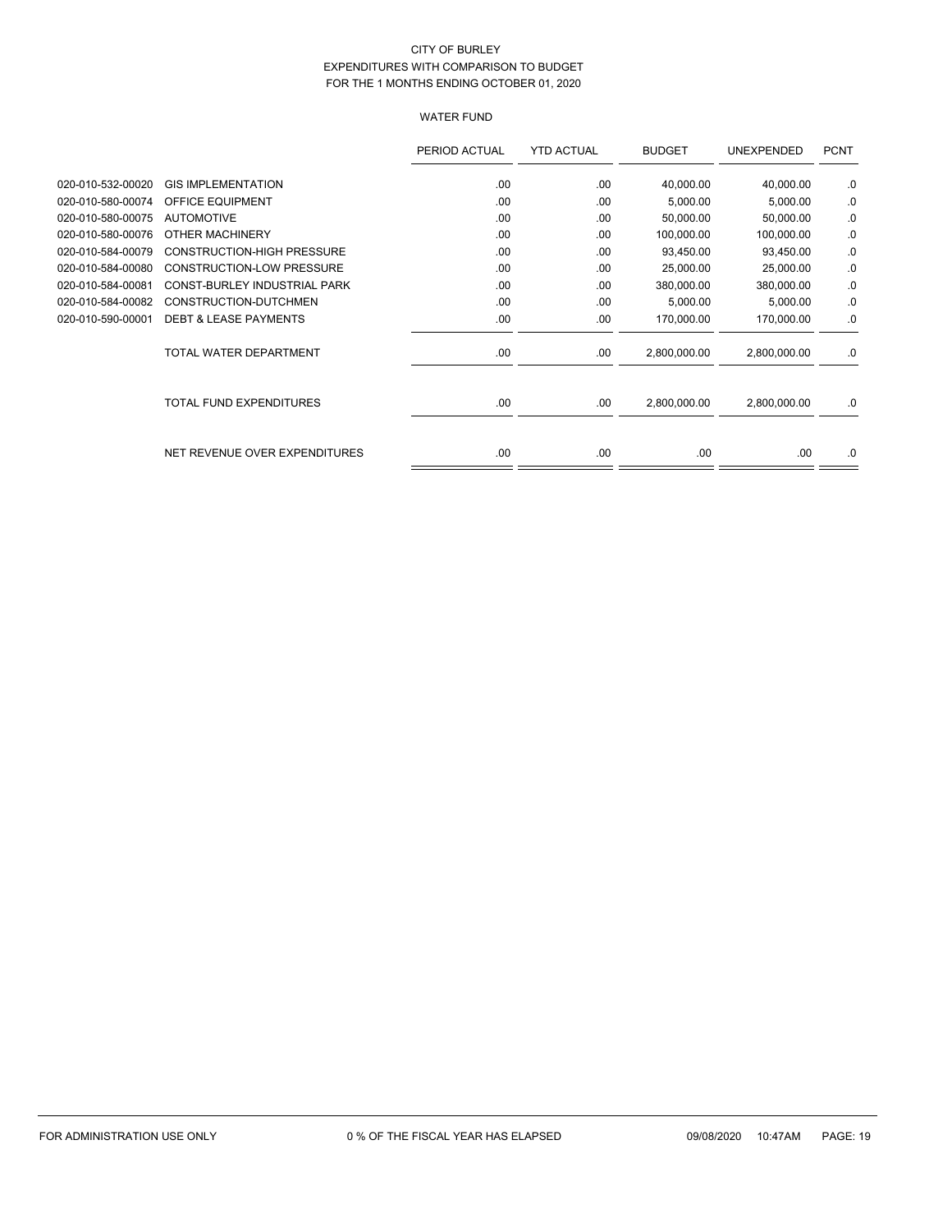# WATER FUND

|                   |                                   | PERIOD ACTUAL | <b>YTD ACTUAL</b> | <b>BUDGET</b> | UNEXPENDED   | <b>PCNT</b> |
|-------------------|-----------------------------------|---------------|-------------------|---------------|--------------|-------------|
| 020-010-532-00020 | <b>GIS IMPLEMENTATION</b>         | .00           | .00               | 40,000.00     | 40,000.00    | .0          |
| 020-010-580-00074 | <b>OFFICE EQUIPMENT</b>           | .00           | .00               | 5,000.00      | 5,000.00     | .0          |
| 020-010-580-00075 | <b>AUTOMOTIVE</b>                 | .00           | .00               | 50,000.00     | 50,000.00    | .0          |
| 020-010-580-00076 | OTHER MACHINERY                   | .00.          | .00               | 100,000.00    | 100,000.00   | .0          |
| 020-010-584-00079 | <b>CONSTRUCTION-HIGH PRESSURE</b> | .00           | .00               | 93,450.00     | 93,450.00    | .0          |
| 020-010-584-00080 | <b>CONSTRUCTION-LOW PRESSURE</b>  | .00           | .00               | 25,000.00     | 25,000.00    | .0          |
| 020-010-584-00081 | CONST-BURLEY INDUSTRIAL PARK      | .00           | .00               | 380,000.00    | 380,000.00   | .0          |
| 020-010-584-00082 | CONSTRUCTION-DUTCHMEN             | .00           | .00               | 5,000.00      | 5,000.00     | .0          |
| 020-010-590-00001 | <b>DEBT &amp; LEASE PAYMENTS</b>  | .00           | .00               | 170,000.00    | 170,000.00   | .0          |
|                   | TOTAL WATER DEPARTMENT            | .00           | .00               | 2,800,000.00  | 2,800,000.00 | .0          |
|                   | <b>TOTAL FUND EXPENDITURES</b>    | .00.          | .00               | 2,800,000.00  | 2,800,000.00 | .0          |
|                   |                                   |               |                   |               |              |             |
|                   | NET REVENUE OVER EXPENDITURES     | .00           | .00               | .00           | .00          | .0          |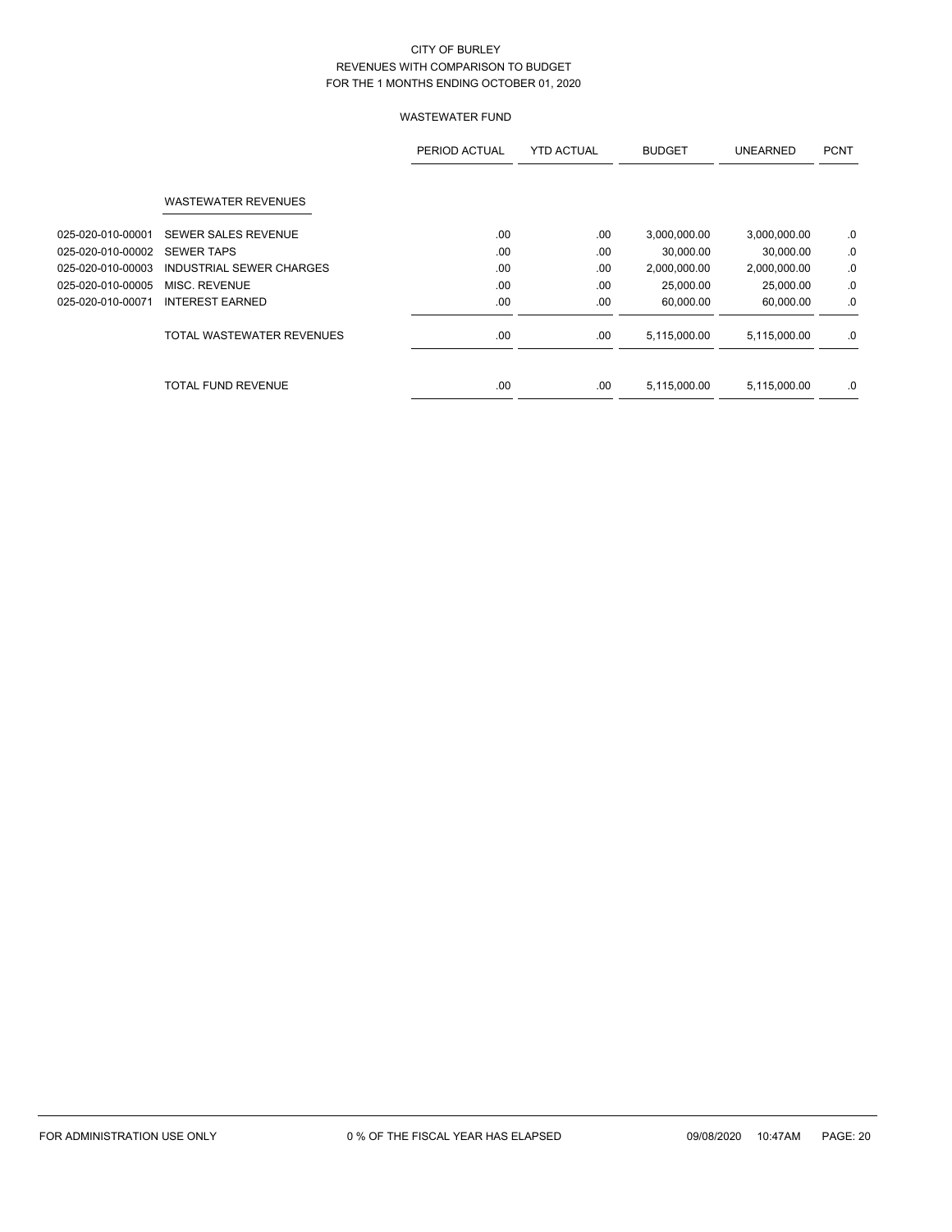|                   |                            | PERIOD ACTUAL | <b>YTD ACTUAL</b> | <b>BUDGET</b> | <b>UNEARNED</b> | <b>PCNT</b> |
|-------------------|----------------------------|---------------|-------------------|---------------|-----------------|-------------|
|                   | <b>WASTEWATER REVENUES</b> |               |                   |               |                 |             |
| 025-020-010-00001 | SEWER SALES REVENUE        | .00.          | .00               | 3,000,000.00  | 3,000,000.00    | .0          |
| 025-020-010-00002 | <b>SEWER TAPS</b>          | .00           | .00               | 30,000.00     | 30,000.00       | .0          |
| 025-020-010-00003 | INDUSTRIAL SEWER CHARGES   | .00           | .00               | 2,000,000.00  | 2,000,000.00    | .0          |
| 025-020-010-00005 | MISC. REVENUE              | .00.          | .00               | 25,000.00     | 25,000.00       | .0          |
| 025-020-010-00071 | <b>INTEREST EARNED</b>     | .00.          | .00               | 60,000.00     | 60,000.00       | .0          |
|                   | TOTAL WASTEWATER REVENUES  | .00           | .00               | 5,115,000.00  | 5,115,000.00    | .0          |
|                   | <b>TOTAL FUND REVENUE</b>  | .00           | .00               | 5,115,000.00  | 5,115,000.00    | .0          |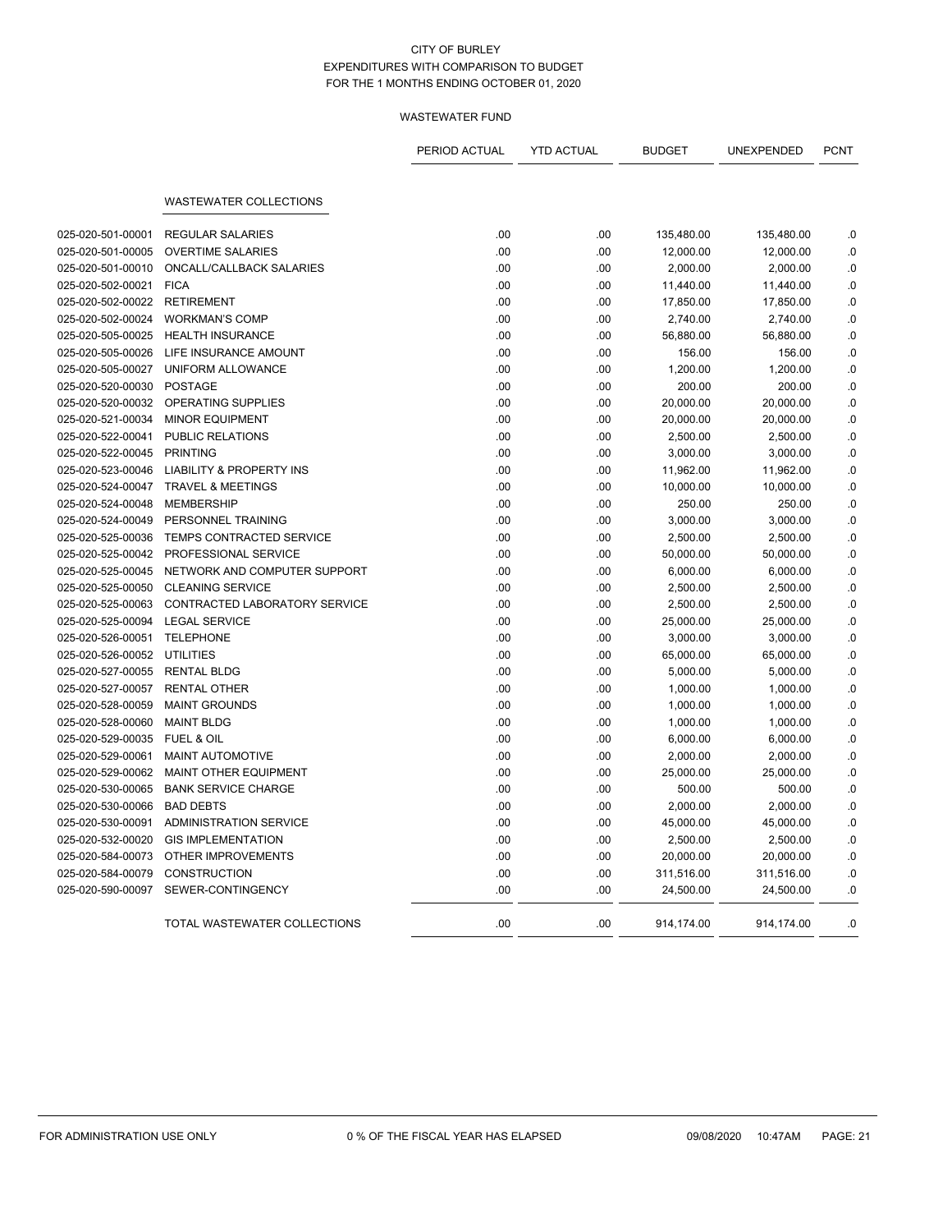|                   |                                     | PERIOD ACTUAL | <b>YTD ACTUAL</b> | <b>BUDGET</b> | UNEXPENDED | <b>PCNT</b> |
|-------------------|-------------------------------------|---------------|-------------------|---------------|------------|-------------|
|                   | <b>WASTEWATER COLLECTIONS</b>       |               |                   |               |            |             |
| 025-020-501-00001 | <b>REGULAR SALARIES</b>             | .00           | .00               | 135,480.00    | 135,480.00 | .0          |
| 025-020-501-00005 | <b>OVERTIME SALARIES</b>            | .00           | .00               | 12,000.00     | 12,000.00  | .0          |
| 025-020-501-00010 | ONCALL/CALLBACK SALARIES            | .00           | .00               | 2,000.00      | 2,000.00   | .0          |
| 025-020-502-00021 | <b>FICA</b>                         | .00           | .00               | 11,440.00     | 11,440.00  | .0          |
| 025-020-502-00022 | <b>RETIREMENT</b>                   | .00           | .00               | 17,850.00     | 17,850.00  | .0          |
| 025-020-502-00024 | <b>WORKMAN'S COMP</b>               | .00           | .00               | 2,740.00      | 2,740.00   | .0          |
| 025-020-505-00025 | <b>HEALTH INSURANCE</b>             | .00           | .00               | 56,880.00     | 56,880.00  | .0          |
| 025-020-505-00026 | LIFE INSURANCE AMOUNT               | .00           | .00               | 156.00        | 156.00     | .0          |
| 025-020-505-00027 | UNIFORM ALLOWANCE                   | .00           | .00               | 1,200.00      | 1,200.00   | .0          |
| 025-020-520-00030 | <b>POSTAGE</b>                      | .00           | .00               | 200.00        | 200.00     | .0          |
| 025-020-520-00032 | OPERATING SUPPLIES                  | .00           | .00               | 20,000.00     | 20,000.00  | .0          |
| 025-020-521-00034 | <b>MINOR EQUIPMENT</b>              | .00           | .00               | 20,000.00     | 20,000.00  | .0          |
| 025-020-522-00041 | <b>PUBLIC RELATIONS</b>             | .00           | .00               | 2,500.00      | 2,500.00   | .0          |
| 025-020-522-00045 | <b>PRINTING</b>                     | .00           | .00               | 3,000.00      | 3,000.00   | .0          |
| 025-020-523-00046 | <b>LIABILITY &amp; PROPERTY INS</b> | .00           | .00               | 11,962.00     | 11,962.00  | .0          |
| 025-020-524-00047 | <b>TRAVEL &amp; MEETINGS</b>        | .00           | .00               | 10,000.00     | 10,000.00  | .0          |
| 025-020-524-00048 | <b>MEMBERSHIP</b>                   | .00           | .00               | 250.00        | 250.00     | .0          |
| 025-020-524-00049 | PERSONNEL TRAINING                  | .00           | .00               | 3,000.00      | 3,000.00   | .0          |
| 025-020-525-00036 | TEMPS CONTRACTED SERVICE            | .00           | .00               | 2,500.00      | 2,500.00   | .0          |
| 025-020-525-00042 | PROFESSIONAL SERVICE                | .00           | .00               | 50,000.00     | 50,000.00  | 0.0         |
| 025-020-525-00045 | NETWORK AND COMPUTER SUPPORT        | .00           | .00               | 6,000.00      | 6,000.00   | .0          |
| 025-020-525-00050 | <b>CLEANING SERVICE</b>             | .00           | .00               | 2,500.00      | 2,500.00   | .0          |
| 025-020-525-00063 | CONTRACTED LABORATORY SERVICE       | .00           | .00               | 2,500.00      | 2,500.00   | .0          |
| 025-020-525-00094 | <b>LEGAL SERVICE</b>                | .00           | .00               | 25,000.00     | 25,000.00  | .0          |
| 025-020-526-00051 | <b>TELEPHONE</b>                    | .00           | .00               | 3,000.00      | 3,000.00   | .0          |
| 025-020-526-00052 | <b>UTILITIES</b>                    | .00           | .00               | 65,000.00     | 65,000.00  | 0.0         |
| 025-020-527-00055 | <b>RENTAL BLDG</b>                  | .00           | .00               | 5,000.00      | 5,000.00   | .0          |
| 025-020-527-00057 | <b>RENTAL OTHER</b>                 | .00           | .00               | 1,000.00      | 1,000.00   | .0          |
| 025-020-528-00059 | <b>MAINT GROUNDS</b>                | .00           | .00               | 1,000.00      | 1,000.00   | .0          |
| 025-020-528-00060 | <b>MAINT BLDG</b>                   | .00           | .00               | 1,000.00      | 1,000.00   | .0          |
| 025-020-529-00035 | <b>FUEL &amp; OIL</b>               | .00           | .00               | 6,000.00      | 6,000.00   | .0          |
| 025-020-529-00061 | MAINT AUTOMOTIVE                    | .00           | .00               | 2,000.00      | 2,000.00   | 0.0         |
| 025-020-529-00062 | <b>MAINT OTHER EQUIPMENT</b>        | .00           | .00               | 25,000.00     | 25,000.00  | .0          |
| 025-020-530-00065 | <b>BANK SERVICE CHARGE</b>          | .00           | .00               | 500.00        | 500.00     | .0          |
| 025-020-530-00066 | <b>BAD DEBTS</b>                    | .00           | .00               | 2,000.00      | 2,000.00   | .0          |
| 025-020-530-00091 | <b>ADMINISTRATION SERVICE</b>       | .00           | .00               | 45,000.00     | 45,000.00  | .0          |
| 025-020-532-00020 | <b>GIS IMPLEMENTATION</b>           | .00           | .00               | 2,500.00      | 2,500.00   | .0          |
| 025-020-584-00073 | OTHER IMPROVEMENTS                  | .00           | .00               | 20,000.00     | 20,000.00  | .0          |
| 025-020-584-00079 | <b>CONSTRUCTION</b>                 | .00           | .00               | 311,516.00    | 311,516.00 | .0          |
| 025-020-590-00097 | SEWER-CONTINGENCY                   | .00           | .00               | 24,500.00     | 24,500.00  | .0          |
|                   | TOTAL WASTEWATER COLLECTIONS        | .00           | .00               | 914,174.00    | 914,174.00 | .0          |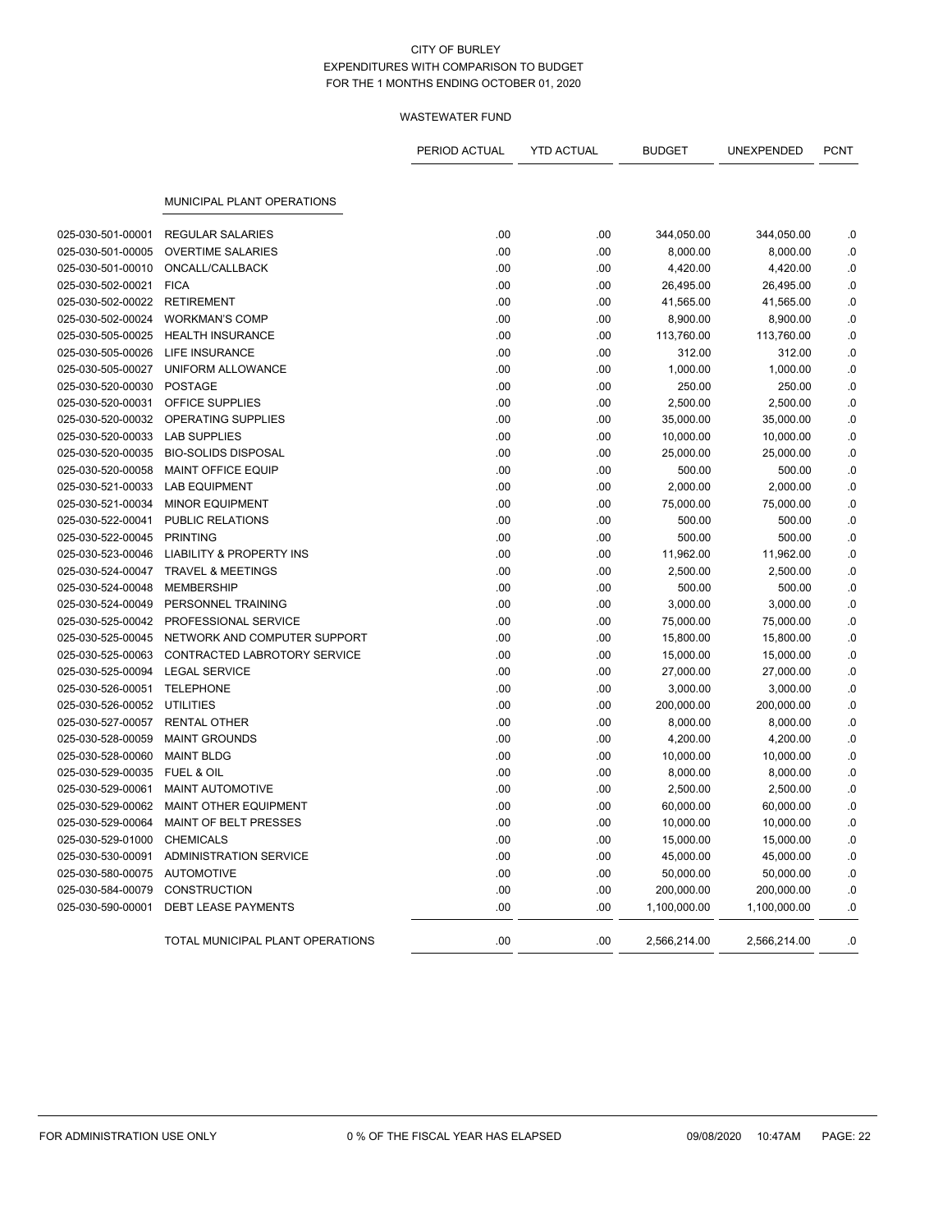|                   |                                     | PERIOD ACTUAL | <b>YTD ACTUAL</b> | <b>BUDGET</b> | UNEXPENDED   | <b>PCNT</b> |
|-------------------|-------------------------------------|---------------|-------------------|---------------|--------------|-------------|
|                   | <b>MUNICIPAL PLANT OPERATIONS</b>   |               |                   |               |              |             |
| 025-030-501-00001 | <b>REGULAR SALARIES</b>             | .00           | .00               | 344,050.00    | 344,050.00   | .0          |
| 025-030-501-00005 | <b>OVERTIME SALARIES</b>            | .00           | .00               | 8,000.00      | 8,000.00     | .0          |
| 025-030-501-00010 | ONCALL/CALLBACK                     | .00           | .00               | 4,420.00      | 4,420.00     | .0          |
| 025-030-502-00021 | <b>FICA</b>                         | .00           | .00               | 26,495.00     | 26,495.00    | $0.$        |
| 025-030-502-00022 | <b>RETIREMENT</b>                   | .00           | .00               | 41,565.00     | 41,565.00    | .0          |
| 025-030-502-00024 | <b>WORKMAN'S COMP</b>               | .00           | .00               | 8,900.00      | 8,900.00     | .0          |
| 025-030-505-00025 | <b>HEALTH INSURANCE</b>             | .00           | .00               | 113,760.00    | 113,760.00   | .0          |
| 025-030-505-00026 | LIFE INSURANCE                      | .00           | .00               | 312.00        | 312.00       | $0.$        |
| 025-030-505-00027 | UNIFORM ALLOWANCE                   | .00           | .00               | 1,000.00      | 1,000.00     | .0          |
| 025-030-520-00030 | <b>POSTAGE</b>                      | .00           | .00               | 250.00        | 250.00       | .0          |
| 025-030-520-00031 | OFFICE SUPPLIES                     | .00           | .00               | 2,500.00      | 2,500.00     | .0          |
| 025-030-520-00032 | OPERATING SUPPLIES                  | .00           | .00               | 35,000.00     | 35,000.00    | .0          |
| 025-030-520-00033 | <b>LAB SUPPLIES</b>                 | .00           | .00               | 10,000.00     | 10,000.00    | .0          |
| 025-030-520-00035 | <b>BIO-SOLIDS DISPOSAL</b>          | .00           | .00               | 25,000.00     | 25,000.00    | .0          |
| 025-030-520-00058 | MAINT OFFICE EQUIP                  | .00           | .00               | 500.00        | 500.00       | 0.          |
| 025-030-521-00033 | <b>LAB EQUIPMENT</b>                | .00           | .00               | 2,000.00      | 2,000.00     | .0          |
| 025-030-521-00034 | <b>MINOR EQUIPMENT</b>              | .00           | .00               | 75,000.00     | 75,000.00    | .0          |
| 025-030-522-00041 | PUBLIC RELATIONS                    | .00           | .00               | 500.00        | 500.00       | .0          |
| 025-030-522-00045 | <b>PRINTING</b>                     | .00           | .00               | 500.00        | 500.00       | .0          |
| 025-030-523-00046 | <b>LIABILITY &amp; PROPERTY INS</b> | .00           | .00               | 11,962.00     | 11,962.00    | .0          |
| 025-030-524-00047 | <b>TRAVEL &amp; MEETINGS</b>        | .00           | .00               | 2,500.00      | 2,500.00     | .0          |
| 025-030-524-00048 | <b>MEMBERSHIP</b>                   | .00           | .00               | 500.00        | 500.00       | $\cdot$ 0   |
| 025-030-524-00049 | PERSONNEL TRAINING                  | .00           | .00               | 3,000.00      | 3,000.00     | .0          |
| 025-030-525-00042 | PROFESSIONAL SERVICE                | .00           | .00               | 75,000.00     | 75,000.00    | .0          |
| 025-030-525-00045 | NETWORK AND COMPUTER SUPPORT        | .00           | .00               | 15,800.00     | 15,800.00    | .0          |
| 025-030-525-00063 | CONTRACTED LABROTORY SERVICE        | .00           | .00               | 15,000.00     | 15,000.00    | 0.          |
| 025-030-525-00094 | <b>LEGAL SERVICE</b>                | .00           | .00               | 27,000.00     | 27,000.00    | .0          |
| 025-030-526-00051 | <b>TELEPHONE</b>                    | .00           | .00               | 3,000.00      | 3,000.00     | .0          |
| 025-030-526-00052 | UTILITIES                           | .00           | .00               | 200,000.00    | 200,000.00   | $\cdot$ 0   |
| 025-030-527-00057 | <b>RENTAL OTHER</b>                 | .00           | .00               | 8,000.00      | 8,000.00     | .0          |
| 025-030-528-00059 | <b>MAINT GROUNDS</b>                | .00           | .00               | 4,200.00      | 4,200.00     | .0          |
| 025-030-528-00060 | <b>MAINT BLDG</b>                   | .00           | .00               | 10,000.00     | 10,000.00    | .0          |
| 025-030-529-00035 | <b>FUEL &amp; OIL</b>               | .00           | .00               | 8,000.00      | 8,000.00     | 0.          |
| 025-030-529-00061 | MAINT AUTOMOTIVE                    | .00           | .00               | 2,500.00      | 2,500.00     | .0          |
| 025-030-529-00062 | MAINT OTHER EQUIPMENT               | .00           | .00               | 60,000.00     | 60,000.00    | .0          |
| 025-030-529-00064 | MAINT OF BELT PRESSES               | .00           | .00               | 10,000.00     | 10,000.00    | .0          |
| 025-030-529-01000 | <b>CHEMICALS</b>                    | .00           | .00               | 15,000.00     | 15,000.00    | $\cdot$ 0   |
| 025-030-530-00091 | <b>ADMINISTRATION SERVICE</b>       | .00           | .00               | 45,000.00     | 45,000.00    | .0          |
| 025-030-580-00075 | <b>AUTOMOTIVE</b>                   | .00           | .00               | 50,000.00     | 50,000.00    | .0          |
| 025-030-584-00079 | <b>CONSTRUCTION</b>                 | .00           | .00               | 200,000.00    | 200,000.00   | .0          |
| 025-030-590-00001 | <b>DEBT LEASE PAYMENTS</b>          | .00           | .00               | 1,100,000.00  | 1,100,000.00 | .0          |
|                   | TOTAL MUNICIPAL PLANT OPERATIONS    | .00           | .00               | 2,566,214.00  | 2,566,214.00 | .0          |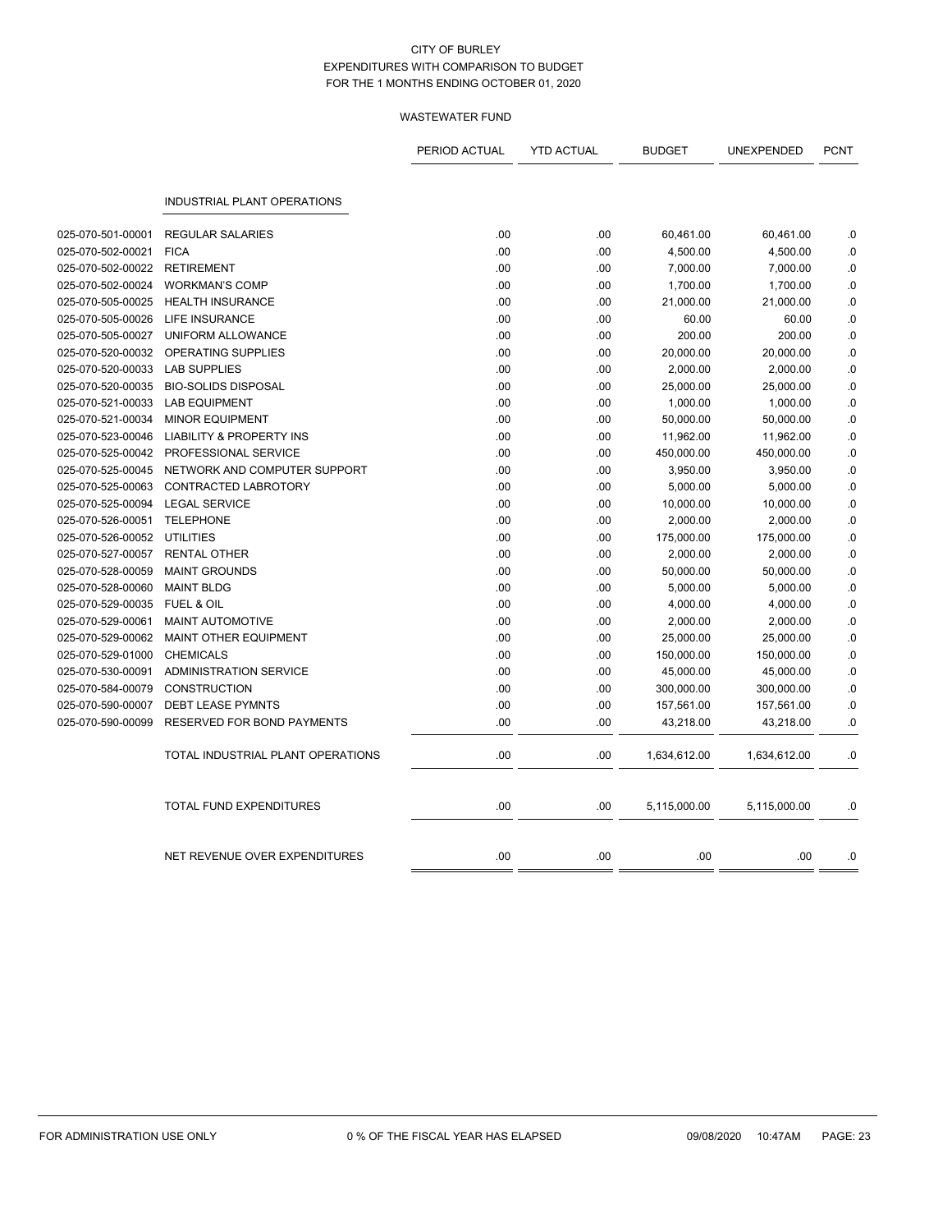|                   |                                     | PERIOD ACTUAL | <b>YTD ACTUAL</b> | <b>BUDGET</b> | UNEXPENDED   | <b>PCNT</b> |
|-------------------|-------------------------------------|---------------|-------------------|---------------|--------------|-------------|
|                   | <b>INDUSTRIAL PLANT OPERATIONS</b>  |               |                   |               |              |             |
| 025-070-501-00001 | <b>REGULAR SALARIES</b>             | .00           | .00               | 60,461.00     | 60,461.00    | .0          |
| 025-070-502-00021 | <b>FICA</b>                         | .00           | .00               | 4,500.00      | 4,500.00     | .0          |
| 025-070-502-00022 | <b>RETIREMENT</b>                   | .00           | .00               | 7,000.00      | 7,000.00     | .0          |
| 025-070-502-00024 | <b>WORKMAN'S COMP</b>               | .00           | .00               | 1,700.00      | 1,700.00     | .0          |
| 025-070-505-00025 | <b>HEALTH INSURANCE</b>             | .00           | .00               | 21,000.00     | 21,000.00    | .0          |
| 025-070-505-00026 | <b>LIFE INSURANCE</b>               | .00           | .00               | 60.00         | 60.00        | .0          |
| 025-070-505-00027 | UNIFORM ALLOWANCE                   | .00           | .00               | 200.00        | 200.00       | $\cdot$ 0   |
| 025-070-520-00032 | <b>OPERATING SUPPLIES</b>           | .00           | .00               | 20,000.00     | 20,000.00    | .0          |
| 025-070-520-00033 | <b>LAB SUPPLIES</b>                 | .00           | .00               | 2,000.00      | 2,000.00     | .0          |
| 025-070-520-00035 | <b>BIO-SOLIDS DISPOSAL</b>          | .00           | .00               | 25,000.00     | 25,000.00    | .0          |
| 025-070-521-00033 | <b>LAB EQUIPMENT</b>                | .00           | .00               | 1,000.00      | 1,000.00     | $\cdot$ 0   |
| 025-070-521-00034 | <b>MINOR EQUIPMENT</b>              | .00           | .00               | 50,000.00     | 50,000.00    | .0          |
| 025-070-523-00046 | <b>LIABILITY &amp; PROPERTY INS</b> | .00           | .00               | 11,962.00     | 11,962.00    | .0          |
| 025-070-525-00042 | PROFESSIONAL SERVICE                | .00           | .00               | 450,000.00    | 450,000.00   | .0          |
| 025-070-525-00045 | NETWORK AND COMPUTER SUPPORT        | .00           | .00               | 3,950.00      | 3,950.00     | .0          |
| 025-070-525-00063 | <b>CONTRACTED LABROTORY</b>         | .00           | .00               | 5,000.00      | 5,000.00     | .0          |
| 025-070-525-00094 | <b>LEGAL SERVICE</b>                | .00           | .00               | 10,000.00     | 10,000.00    | .0          |
| 025-070-526-00051 | <b>TELEPHONE</b>                    | .00           | .00               | 2,000.00      | 2,000.00     | $\cdot$ 0   |
| 025-070-526-00052 | <b>UTILITIES</b>                    | .00           | .00               | 175,000.00    | 175,000.00   | 0.0         |
| 025-070-527-00057 | <b>RENTAL OTHER</b>                 | .00           | .00               | 2,000.00      | 2,000.00     | .0          |
| 025-070-528-00059 | <b>MAINT GROUNDS</b>                | .00           | .00               | 50,000.00     | 50,000.00    | $0.$        |
| 025-070-528-00060 | <b>MAINT BLDG</b>                   | .00           | .00               | 5,000.00      | 5,000.00     | $\cdot$ 0   |
| 025-070-529-00035 | FUEL & OIL                          | .00           | .00               | 4,000.00      | 4,000.00     | .0          |
| 025-070-529-00061 | <b>MAINT AUTOMOTIVE</b>             | .00           | .00               | 2,000.00      | 2,000.00     | $\cdot$ 0   |
| 025-070-529-00062 | MAINT OTHER EQUIPMENT               | .00           | .00               | 25,000.00     | 25,000.00    | $\cdot$ 0   |
| 025-070-529-01000 | <b>CHEMICALS</b>                    | .00           | .00               | 150,000.00    | 150,000.00   | .0          |
| 025-070-530-00091 | <b>ADMINISTRATION SERVICE</b>       | .00           | .00               | 45,000.00     | 45,000.00    | $\cdot$ 0   |
| 025-070-584-00079 | <b>CONSTRUCTION</b>                 | .00           | .00               | 300,000.00    | 300,000.00   | .0          |
| 025-070-590-00007 | <b>DEBT LEASE PYMNTS</b>            | .00           | .00               | 157,561.00    | 157,561.00   | .0          |
| 025-070-590-00099 | <b>RESERVED FOR BOND PAYMENTS</b>   | .00           | .00               | 43,218.00     | 43,218.00    | .0          |
|                   | TOTAL INDUSTRIAL PLANT OPERATIONS   | .00           | .00               | 1,634,612.00  | 1,634,612.00 | .0          |
|                   | <b>TOTAL FUND EXPENDITURES</b>      | .00           | .00               | 5,115,000.00  | 5,115,000.00 | .0          |
|                   | NET REVENUE OVER EXPENDITURES       | .00           | .00               | .00           | .00          | .0          |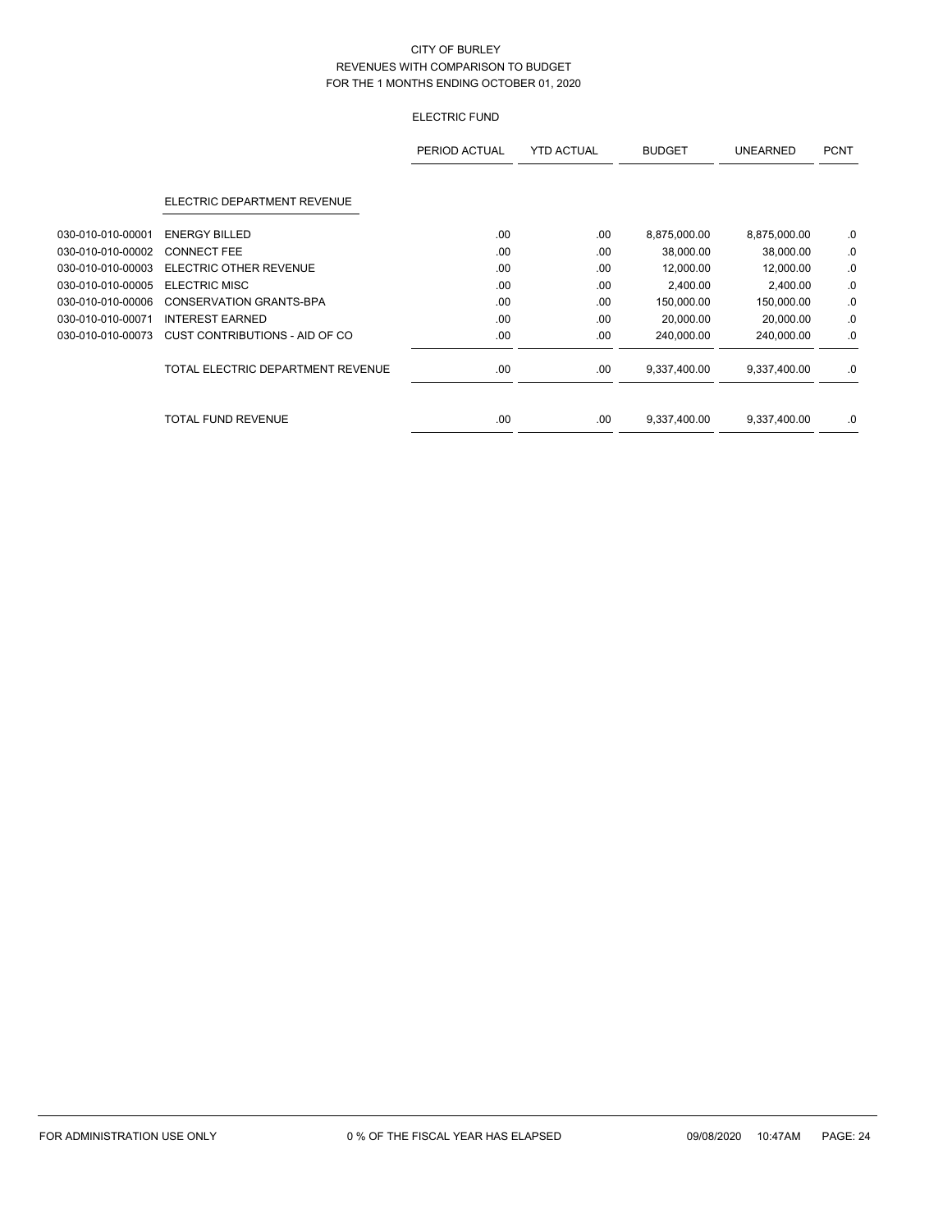# ELECTRIC FUND

|                   |                                   | PERIOD ACTUAL | <b>YTD ACTUAL</b> | <b>BUDGET</b> | <b>UNEARNED</b> | <b>PCNT</b> |
|-------------------|-----------------------------------|---------------|-------------------|---------------|-----------------|-------------|
|                   | ELECTRIC DEPARTMENT REVENUE       |               |                   |               |                 |             |
| 030-010-010-00001 | <b>ENERGY BILLED</b>              | .00           | .00               | 8,875,000.00  | 8,875,000.00    | .0          |
| 030-010-010-00002 | <b>CONNECT FEE</b>                | .00           | .00               | 38,000.00     | 38,000.00       | .0          |
| 030-010-010-00003 | <b>ELECTRIC OTHER REVENUE</b>     | .00           | .00               | 12,000.00     | 12,000.00       | .0          |
| 030-010-010-00005 | <b>ELECTRIC MISC</b>              | .00           | .00               | 2,400.00      | 2,400.00        | .0          |
| 030-010-010-00006 | <b>CONSERVATION GRANTS-BPA</b>    | .00           | .00               | 150,000.00    | 150,000.00      | .0          |
| 030-010-010-00071 | <b>INTEREST EARNED</b>            | .00.          | .00               | 20,000.00     | 20,000.00       | .0          |
| 030-010-010-00073 | CUST CONTRIBUTIONS - AID OF CO    | .00           | .00               | 240,000.00    | 240,000.00      | .0          |
|                   | TOTAL ELECTRIC DEPARTMENT REVENUE | .00.          | .00               | 9,337,400.00  | 9,337,400.00    | .0          |
|                   | <b>TOTAL FUND REVENUE</b>         | .00           | .00               | 9,337,400.00  | 9,337,400.00    | .0          |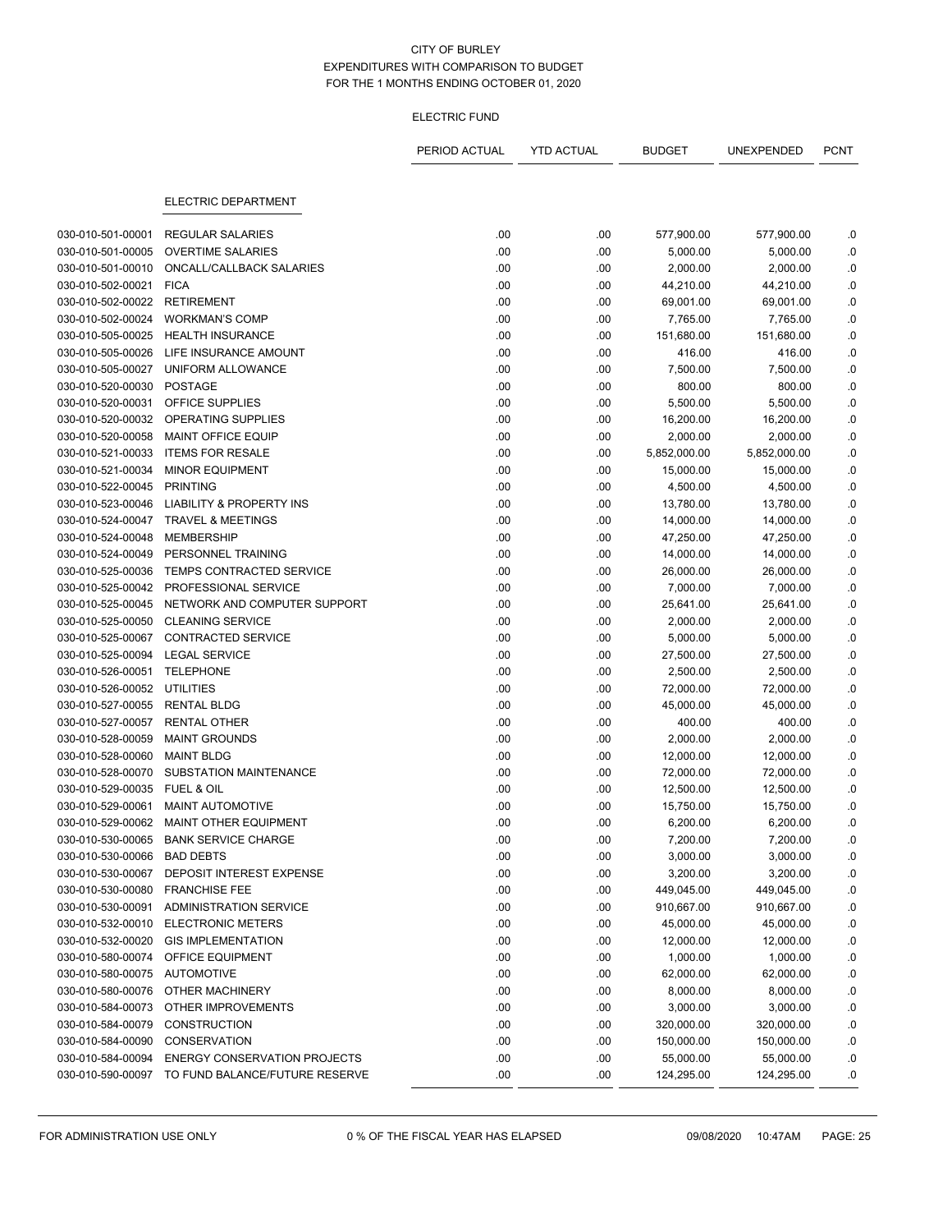## ELECTRIC FUND

|                   |                                     | PERIOD ACTUAL | <b>YTD ACTUAL</b> | <b>BUDGET</b> | UNEXPENDED   | <b>PCNT</b> |
|-------------------|-------------------------------------|---------------|-------------------|---------------|--------------|-------------|
|                   | <b>ELECTRIC DEPARTMENT</b>          |               |                   |               |              |             |
| 030-010-501-00001 | <b>REGULAR SALARIES</b>             | .00           | .00               | 577,900.00    | 577,900.00   | .0          |
| 030-010-501-00005 | <b>OVERTIME SALARIES</b>            | .00           | .00               | 5,000.00      | 5,000.00     | .0          |
| 030-010-501-00010 | ONCALL/CALLBACK SALARIES            | .00           | .00               | 2,000.00      | 2,000.00     | .0          |
| 030-010-502-00021 | <b>FICA</b>                         | .00           | .00               | 44,210.00     | 44,210.00    | $\cdot$ 0   |
| 030-010-502-00022 | <b>RETIREMENT</b>                   | .00           | .00               | 69,001.00     | 69,001.00    | $\cdot$ 0   |
| 030-010-502-00024 | <b>WORKMAN'S COMP</b>               | .00           | .00               | 7,765.00      | 7,765.00     | .0          |
| 030-010-505-00025 | <b>HEALTH INSURANCE</b>             | .00           | .00               | 151,680.00    | 151,680.00   | .0          |
| 030-010-505-00026 | LIFE INSURANCE AMOUNT               | .00           | .00               | 416.00        | 416.00       | .0          |
| 030-010-505-00027 | UNIFORM ALLOWANCE                   | .00           | .00               | 7,500.00      | 7,500.00     | $\cdot$ 0   |
| 030-010-520-00030 | <b>POSTAGE</b>                      | .00           | .00               | 800.00        | 800.00       | .0          |
| 030-010-520-00031 | OFFICE SUPPLIES                     | .00           | .00               | 5,500.00      | 5,500.00     | .0          |
| 030-010-520-00032 | OPERATING SUPPLIES                  | .00           | .00               | 16,200.00     | 16,200.00    | .0          |
| 030-010-520-00058 | MAINT OFFICE EQUIP                  | .00           | .00               | 2,000.00      | 2,000.00     | .0          |
| 030-010-521-00033 | <b>ITEMS FOR RESALE</b>             | .00           | .00               | 5,852,000.00  | 5,852,000.00 | .0          |
| 030-010-521-00034 | <b>MINOR EQUIPMENT</b>              | .00           | .00               | 15,000.00     | 15,000.00    | $\cdot$ 0   |
| 030-010-522-00045 | <b>PRINTING</b>                     | .00           | .00               | 4,500.00      | 4,500.00     | .0          |
| 030-010-523-00046 | <b>LIABILITY &amp; PROPERTY INS</b> | .00           | .00               | 13,780.00     | 13,780.00    | $\cdot$ 0   |
| 030-010-524-00047 | <b>TRAVEL &amp; MEETINGS</b>        | .00           | .00               | 14,000.00     | 14,000.00    | .0          |
| 030-010-524-00048 | <b>MEMBERSHIP</b>                   | .00           | .00               | 47,250.00     | 47,250.00    | .0          |
| 030-010-524-00049 | PERSONNEL TRAINING                  | .00           | .00               | 14,000.00     | 14,000.00    | $\cdot$ 0   |
| 030-010-525-00036 | <b>TEMPS CONTRACTED SERVICE</b>     | .00           | .00               | 26,000.00     | 26,000.00    | .0          |
| 030-010-525-00042 | PROFESSIONAL SERVICE                | .00           | .00               | 7,000.00      | 7,000.00     | .0          |
| 030-010-525-00045 | NETWORK AND COMPUTER SUPPORT        | .00           | .00               | 25,641.00     | 25,641.00    | .0          |
| 030-010-525-00050 | <b>CLEANING SERVICE</b>             | .00           | .00               | 2,000.00      | 2,000.00     | $\cdot$ 0   |
| 030-010-525-00067 | <b>CONTRACTED SERVICE</b>           | .00           | .00               | 5,000.00      | 5,000.00     | $\cdot$ 0   |
| 030-010-525-00094 | <b>LEGAL SERVICE</b>                | .00           | .00               | 27,500.00     | 27,500.00    | .0          |
| 030-010-526-00051 | <b>TELEPHONE</b>                    | .00           | .00               | 2,500.00      | 2,500.00     | $\cdot$ 0   |
| 030-010-526-00052 | <b>UTILITIES</b>                    | .00           | .00               | 72,000.00     | 72,000.00    | .0          |
| 030-010-527-00055 | <b>RENTAL BLDG</b>                  | .00           | .00               | 45,000.00     | 45,000.00    | 0.          |
| 030-010-527-00057 | <b>RENTAL OTHER</b>                 | .00           | .00               | 400.00        | 400.00       | .0          |
| 030-010-528-00059 | <b>MAINT GROUNDS</b>                | .00           | .00               | 2,000.00      | 2,000.00     | .0          |
| 030-010-528-00060 | <b>MAINT BLDG</b>                   | .00           | .00               | 12,000.00     | 12,000.00    | .0          |
| 030-010-528-00070 | SUBSTATION MAINTENANCE              | .00           | .00               | 72,000.00     | 72,000.00    | .0          |
| 030-010-529-00035 | FUEL & OIL                          | .00           | .00               | 12,500.00     | 12,500.00    | .0          |
| 030-010-529-00061 | <b>MAINT AUTOMOTIVE</b>             | .00           | .00               | 15,750.00     | 15,750.00    | .0          |
| 030-010-529-00062 | MAINT OTHER EQUIPMENT               | .00           | .00               | 6,200.00      | 6,200.00     | .0          |
| 030-010-530-00065 | <b>BANK SERVICE CHARGE</b>          | .00           | .00               | 7,200.00      | 7,200.00     | 0.          |
| 030-010-530-00066 | <b>BAD DEBTS</b>                    | .00           | .00               | 3,000.00      | 3,000.00     | .0          |
| 030-010-530-00067 | DEPOSIT INTEREST EXPENSE            | .00           | .00               | 3,200.00      | 3,200.00     | .0          |
| 030-010-530-00080 | <b>FRANCHISE FEE</b>                | .00           | .00               | 449,045.00    | 449,045.00   | .0          |
| 030-010-530-00091 | <b>ADMINISTRATION SERVICE</b>       | .00           | .00               | 910,667.00    | 910,667.00   | .0          |
| 030-010-532-00010 | <b>ELECTRONIC METERS</b>            | .00           | .00               | 45,000.00     | 45,000.00    | .0          |
| 030-010-532-00020 | <b>GIS IMPLEMENTATION</b>           | .00           | .00               | 12,000.00     | 12,000.00    | .0          |
| 030-010-580-00074 | OFFICE EQUIPMENT                    | .00           | .00               | 1,000.00      | 1,000.00     | .0          |
| 030-010-580-00075 | <b>AUTOMOTIVE</b>                   | .00           | .00               | 62,000.00     | 62,000.00    | .0          |
| 030-010-580-00076 | OTHER MACHINERY                     | .00           | .00               | 8,000.00      | 8,000.00     | .0          |
| 030-010-584-00073 | OTHER IMPROVEMENTS                  | .00           | .00               | 3,000.00      | 3,000.00     | .0          |
| 030-010-584-00079 | <b>CONSTRUCTION</b>                 | .00           | .00               | 320,000.00    | 320,000.00   | .0          |
| 030-010-584-00090 | CONSERVATION                        | .00           | .00               | 150,000.00    | 150,000.00   | .0          |
| 030-010-584-00094 | <b>ENERGY CONSERVATION PROJECTS</b> | .00           | .00               | 55,000.00     | 55,000.00    | .0          |
| 030-010-590-00097 | TO FUND BALANCE/FUTURE RESERVE      | .00           | .00.              | 124,295.00    | 124,295.00   | 0.          |
|                   |                                     |               |                   |               |              |             |

FOR ADMINISTRATION USE ONLY 0 % OF THE FISCAL YEAR HAS ELAPSED 09/08/2020 10:47AM PAGE: 25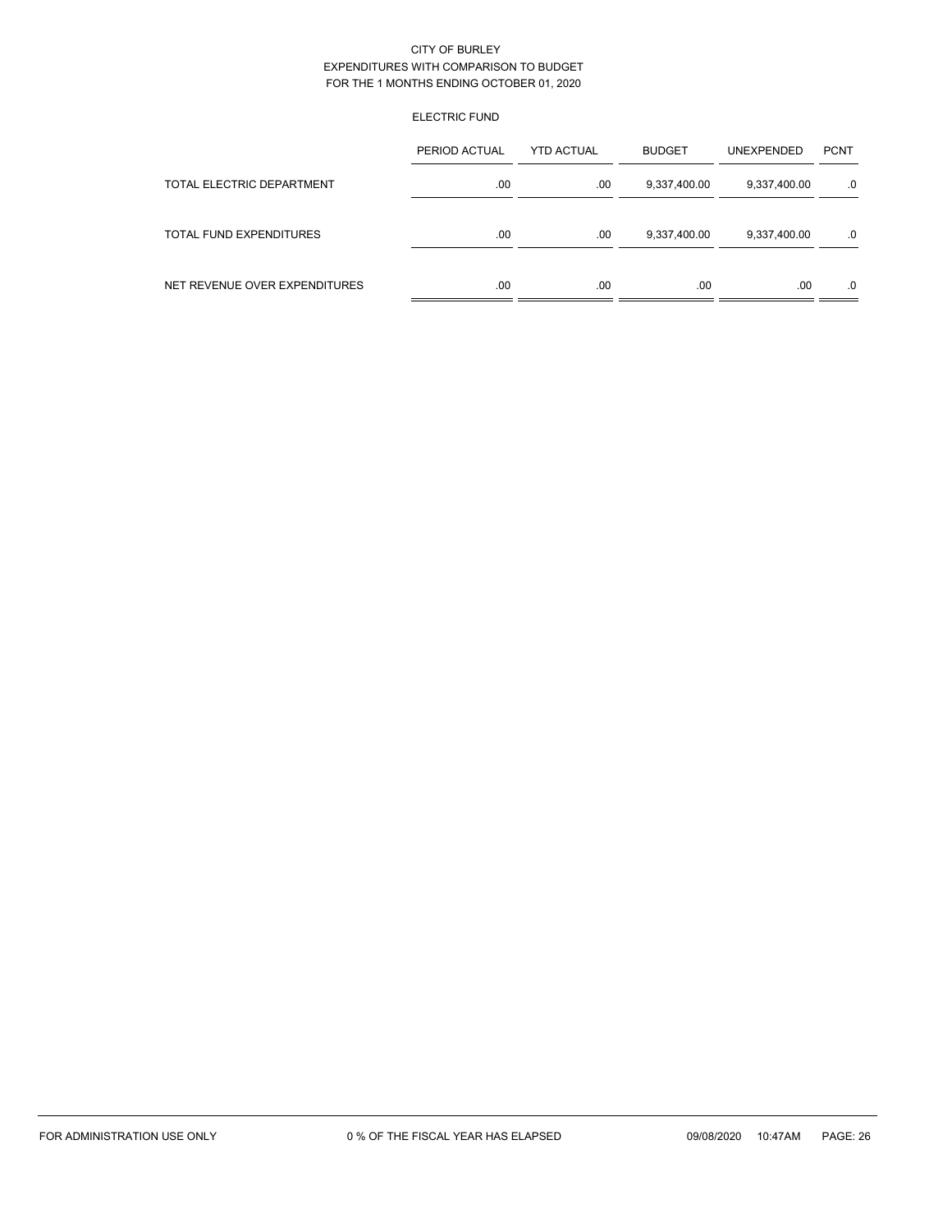# ELECTRIC FUND

|                               | PERIOD ACTUAL | <b>YTD ACTUAL</b> | <b>BUDGET</b> | <b>UNEXPENDED</b> | <b>PCNT</b> |
|-------------------------------|---------------|-------------------|---------------|-------------------|-------------|
| TOTAL ELECTRIC DEPARTMENT     | .00           | .00               | 9,337,400.00  | 9,337,400.00      | $.0 \,$     |
| TOTAL FUND EXPENDITURES       | .00           | .00               | 9,337,400.00  | 9,337,400.00      | .0          |
| NET REVENUE OVER EXPENDITURES | .00           | .00               | .00           | .00               | .0          |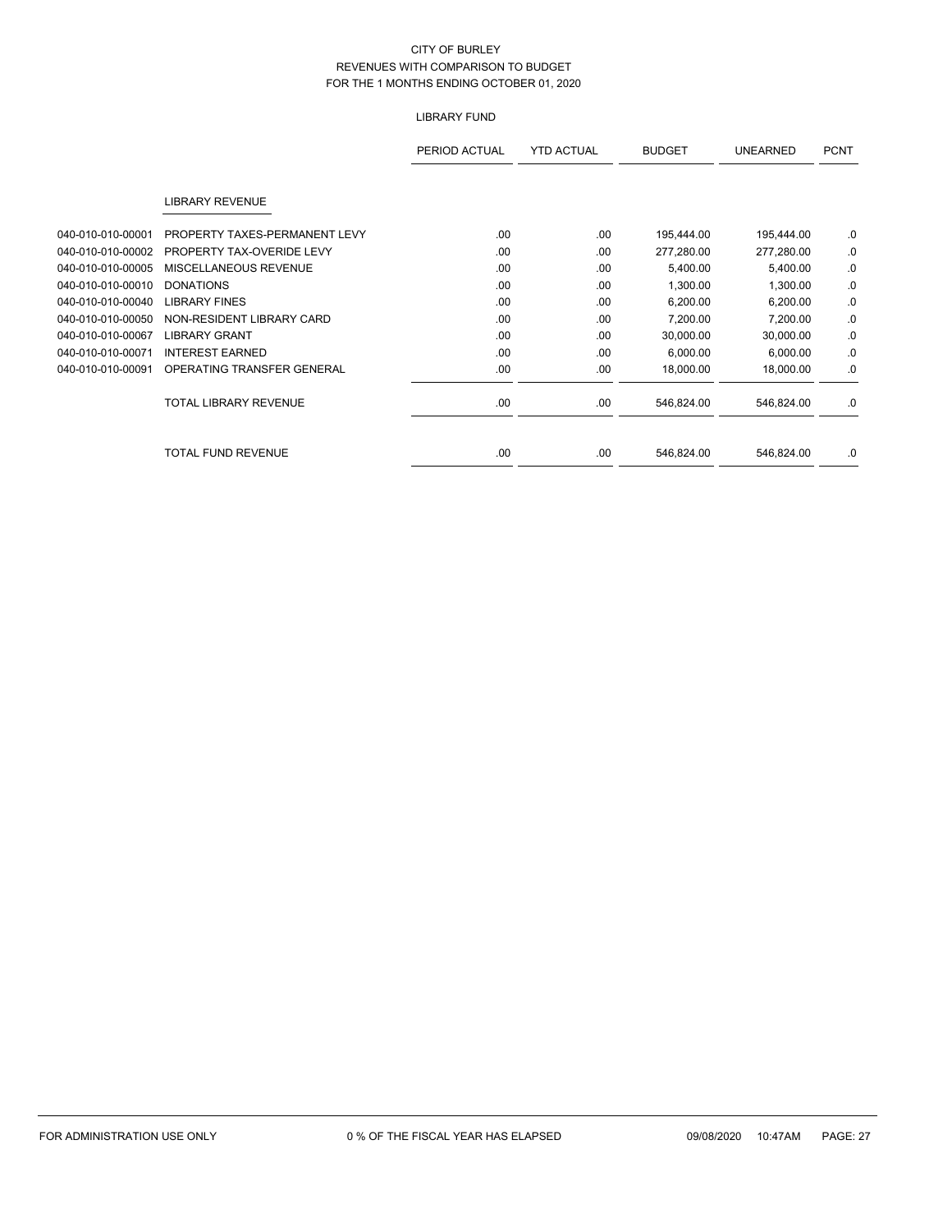# LIBRARY FUND

|                   |                               | PERIOD ACTUAL | <b>YTD ACTUAL</b> | <b>BUDGET</b> | <b>UNEARNED</b> | <b>PCNT</b> |
|-------------------|-------------------------------|---------------|-------------------|---------------|-----------------|-------------|
|                   | <b>LIBRARY REVENUE</b>        |               |                   |               |                 |             |
| 040-010-010-00001 | PROPERTY TAXES-PERMANENT LEVY | .00           | .00               | 195,444.00    | 195,444.00      | .0          |
| 040-010-010-00002 | PROPERTY TAX-OVERIDE LEVY     | .00           | .00               | 277,280.00    | 277,280.00      | .0          |
| 040-010-010-00005 | MISCELLANEOUS REVENUE         | .00           | .00               | 5,400.00      | 5,400.00        | .0          |
| 040-010-010-00010 | <b>DONATIONS</b>              | .00           | .00               | 1,300.00      | 1,300.00        | .0          |
| 040-010-010-00040 | <b>LIBRARY FINES</b>          | .00           | .00               | 6,200.00      | 6,200.00        | .0          |
| 040-010-010-00050 | NON-RESIDENT LIBRARY CARD     | .00           | .00               | 7,200.00      | 7,200.00        | .0          |
| 040-010-010-00067 | <b>LIBRARY GRANT</b>          | .00           | .00               | 30,000.00     | 30,000.00       | .0          |
| 040-010-010-00071 | <b>INTEREST EARNED</b>        | .00           | .00               | 6,000.00      | 6,000.00        | .0          |
| 040-010-010-00091 | OPERATING TRANSFER GENERAL    | .00           | .00               | 18,000.00     | 18,000.00       | .0          |
|                   | <b>TOTAL LIBRARY REVENUE</b>  | .00           | .00               | 546,824.00    | 546,824.00      | .0          |
|                   | <b>TOTAL FUND REVENUE</b>     | .00           | .00               | 546,824.00    | 546,824.00      | .0          |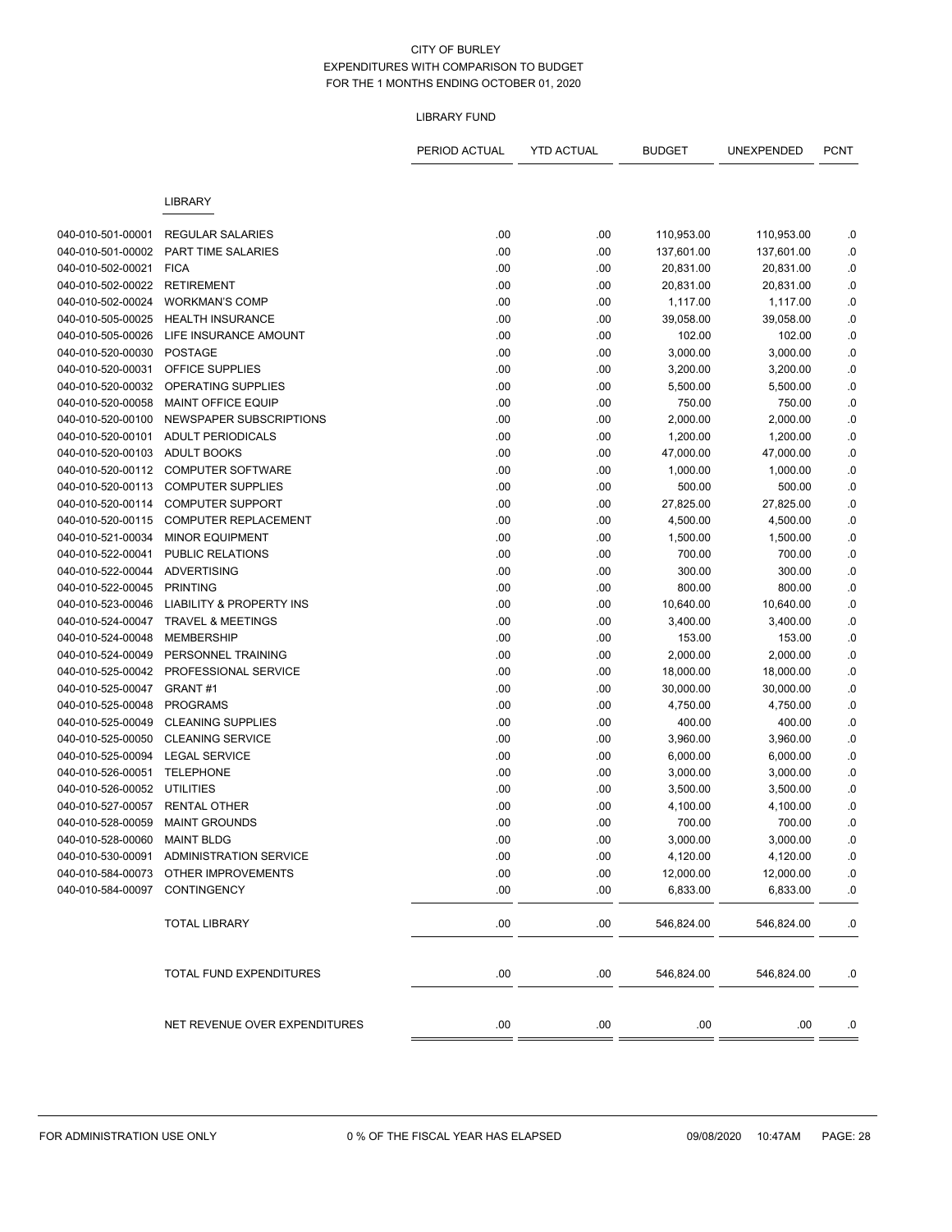# LIBRARY FUND

|                                        |                                                      | PERIOD ACTUAL | <b>YTD ACTUAL</b> | <b>BUDGET</b>           | UNEXPENDED              | <b>PCNT</b>     |
|----------------------------------------|------------------------------------------------------|---------------|-------------------|-------------------------|-------------------------|-----------------|
|                                        | <b>LIBRARY</b>                                       |               |                   |                         |                         |                 |
|                                        |                                                      |               |                   |                         |                         |                 |
| 040-010-501-00001<br>040-010-501-00002 | <b>REGULAR SALARIES</b><br><b>PART TIME SALARIES</b> | .00<br>.00    | .00<br>.00        | 110,953.00              | 110,953.00              | .0              |
| 040-010-502-00021                      | <b>FICA</b>                                          | .00           | .00               | 137,601.00<br>20,831.00 | 137,601.00<br>20,831.00 | .0<br>$\cdot$ 0 |
| 040-010-502-00022                      | <b>RETIREMENT</b>                                    | .00           | .00               | 20,831.00               | 20,831.00               | .0              |
| 040-010-502-00024                      | <b>WORKMAN'S COMP</b>                                | .00           | .00               | 1,117.00                | 1,117.00                | 0.0             |
| 040-010-505-00025                      | <b>HEALTH INSURANCE</b>                              | .00           | .00               | 39,058.00               | 39,058.00               | .0              |
| 040-010-505-00026                      | LIFE INSURANCE AMOUNT                                | .00           | .00               | 102.00                  | 102.00                  | $\cdot$ 0       |
| 040-010-520-00030                      | <b>POSTAGE</b>                                       | .00           | .00               | 3,000.00                | 3,000.00                | .0              |
| 040-010-520-00031                      | OFFICE SUPPLIES                                      | .00           | .00               | 3,200.00                | 3,200.00                | 0.0             |
| 040-010-520-00032                      | OPERATING SUPPLIES                                   | .00           | .00               | 5,500.00                | 5,500.00                | 0.0             |
| 040-010-520-00058                      | <b>MAINT OFFICE EQUIP</b>                            | .00           | .00               | 750.00                  | 750.00                  | .0              |
| 040-010-520-00100                      | NEWSPAPER SUBSCRIPTIONS                              | .00           | .00               | 2,000.00                | 2,000.00                | .0              |
| 040-010-520-00101                      | <b>ADULT PERIODICALS</b>                             | .00           | .00               | 1,200.00                | 1,200.00                | 0.0             |
| 040-010-520-00103                      | <b>ADULT BOOKS</b>                                   | .00           | .00               | 47,000.00               | 47,000.00               | 0.0             |
| 040-010-520-00112                      | <b>COMPUTER SOFTWARE</b>                             | .00           | .00               | 1,000.00                | 1,000.00                | 0.0             |
| 040-010-520-00113                      | <b>COMPUTER SUPPLIES</b>                             | .00           | .00               | 500.00                  | 500.00                  | .0              |
| 040-010-520-00114                      | <b>COMPUTER SUPPORT</b>                              | .00           | .00               | 27,825.00               | 27,825.00               | .0              |
| 040-010-520-00115                      | <b>COMPUTER REPLACEMENT</b>                          | .00           | .00               | 4,500.00                | 4,500.00                | .0              |
| 040-010-521-00034                      | <b>MINOR EQUIPMENT</b>                               | .00           | .00               | 1,500.00                | 1,500.00                | .0              |
| 040-010-522-00041                      | <b>PUBLIC RELATIONS</b>                              | .00           | .00               | 700.00                  | 700.00                  | .0              |
| 040-010-522-00044                      | <b>ADVERTISING</b>                                   | .00           | .00               | 300.00                  | 300.00                  | .0              |
| 040-010-522-00045                      | <b>PRINTING</b>                                      | .00           | .00               | 800.00                  | 800.00                  | .0              |
| 040-010-523-00046                      | <b>LIABILITY &amp; PROPERTY INS</b>                  | .00           | .00               | 10,640.00               | 10,640.00               | .0              |
| 040-010-524-00047                      | <b>TRAVEL &amp; MEETINGS</b>                         | .00           | .00               | 3,400.00                | 3,400.00                | .0              |
| 040-010-524-00048                      | <b>MEMBERSHIP</b>                                    | .00           | .00               | 153.00                  | 153.00                  | .0              |
| 040-010-524-00049                      | PERSONNEL TRAINING                                   | .00           | .00               | 2,000.00                | 2,000.00                | .0              |
| 040-010-525-00042                      | PROFESSIONAL SERVICE                                 | .00           | .00               | 18,000.00               | 18,000.00               | .0              |
| 040-010-525-00047                      | GRANT#1                                              | .00           | .00               | 30,000.00               | 30,000.00               | .0              |
| 040-010-525-00048                      | <b>PROGRAMS</b>                                      | .00           | .00               | 4,750.00                | 4,750.00                | .0              |
| 040-010-525-00049                      | <b>CLEANING SUPPLIES</b>                             | .00           | .00               | 400.00                  | 400.00                  | .0              |
| 040-010-525-00050                      | <b>CLEANING SERVICE</b>                              | .00           | .00               | 3,960.00                | 3,960.00                | .0              |
| 040-010-525-00094                      | <b>LEGAL SERVICE</b>                                 | .00           | .00               | 6,000.00                | 6,000.00                | .0              |
| 040-010-526-00051                      | <b>TELEPHONE</b>                                     | .00           | .00               | 3,000.00                | 3,000.00                | .0              |
| 040-010-526-00052                      | <b>UTILITIES</b>                                     | .00           | .00               | 3,500.00                | 3,500.00                | .0              |
| 040-010-527-00057                      | <b>RENTAL OTHER</b>                                  | .00           | .00               | 4,100.00                | 4,100.00                | .0              |
| 040-010-528-00059                      | <b>MAINT GROUNDS</b>                                 | .00           | .00               | 700.00                  | 700.00                  | .0              |
| 040-010-528-00060 MAINT BLDG           |                                                      | .00           | .00               | 3,000.00                | 3,000.00                | 0.              |
|                                        | 040-010-530-00091 ADMINISTRATION SERVICE             | .00           | .00               | 4,120.00                | 4,120.00                | .0              |
|                                        | 040-010-584-00073 OTHER IMPROVEMENTS                 | .00           | .00               | 12,000.00               | 12,000.00               | $.0\,$          |
| 040-010-584-00097 CONTINGENCY          |                                                      | .00           | .00               | 6,833.00                | 6,833.00                | 0.              |
|                                        |                                                      |               |                   |                         |                         |                 |
|                                        | <b>TOTAL LIBRARY</b>                                 | .00           | .00               | 546,824.00              | 546,824.00              | .0              |
|                                        | TOTAL FUND EXPENDITURES                              | .00           | .00               | 546,824.00              | 546,824.00              | .0              |
|                                        | NET REVENUE OVER EXPENDITURES                        | .00           | .00               | .00                     | .00                     | .0              |
|                                        |                                                      |               |                   |                         |                         |                 |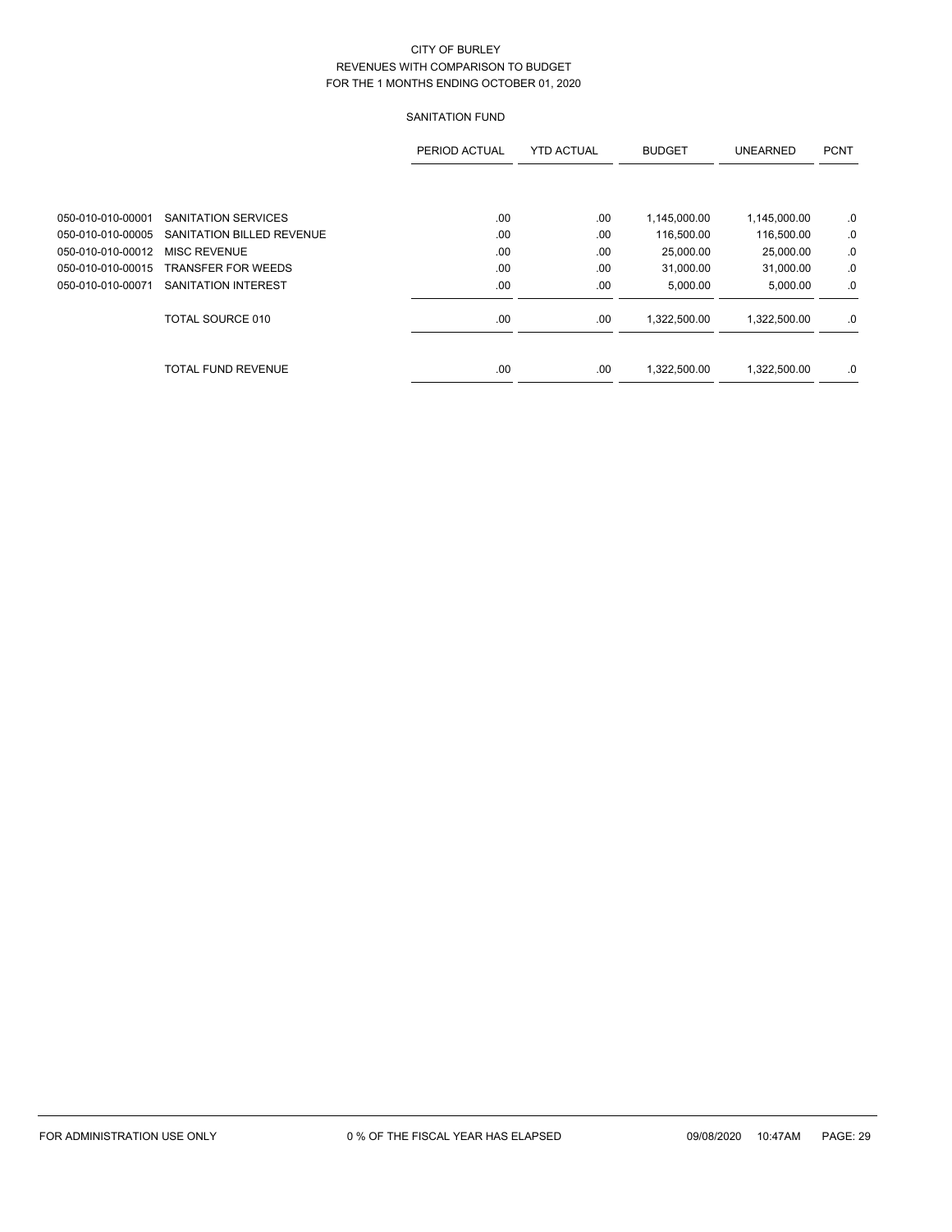# SANITATION FUND

|                   |                            | PERIOD ACTUAL | <b>YTD ACTUAL</b> | <b>BUDGET</b> | <b>UNEARNED</b> | <b>PCNT</b> |
|-------------------|----------------------------|---------------|-------------------|---------------|-----------------|-------------|
|                   |                            |               |                   |               |                 |             |
| 050-010-010-00001 | SANITATION SERVICES        | .00           | .00               | 1,145,000.00  | 1,145,000.00    | .0          |
| 050-010-010-00005 | SANITATION BILLED REVENUE  | .00           | .00               | 116,500.00    | 116,500.00      | .0          |
| 050-010-010-00012 | <b>MISC REVENUE</b>        | .00           | .00               | 25,000.00     | 25,000.00       | .0          |
| 050-010-010-00015 | <b>TRANSFER FOR WEEDS</b>  | .00           | .00               | 31.000.00     | 31,000.00       | .0          |
| 050-010-010-00071 | <b>SANITATION INTEREST</b> | .00           | .00               | 5,000.00      | 5,000.00        | .0          |
|                   | TOTAL SOURCE 010           | .00           | .00               | 1,322,500.00  | 1.322.500.00    | .0          |
|                   | <b>TOTAL FUND REVENUE</b>  | .00.          | .00               | 1.322.500.00  | 1.322.500.00    | .0          |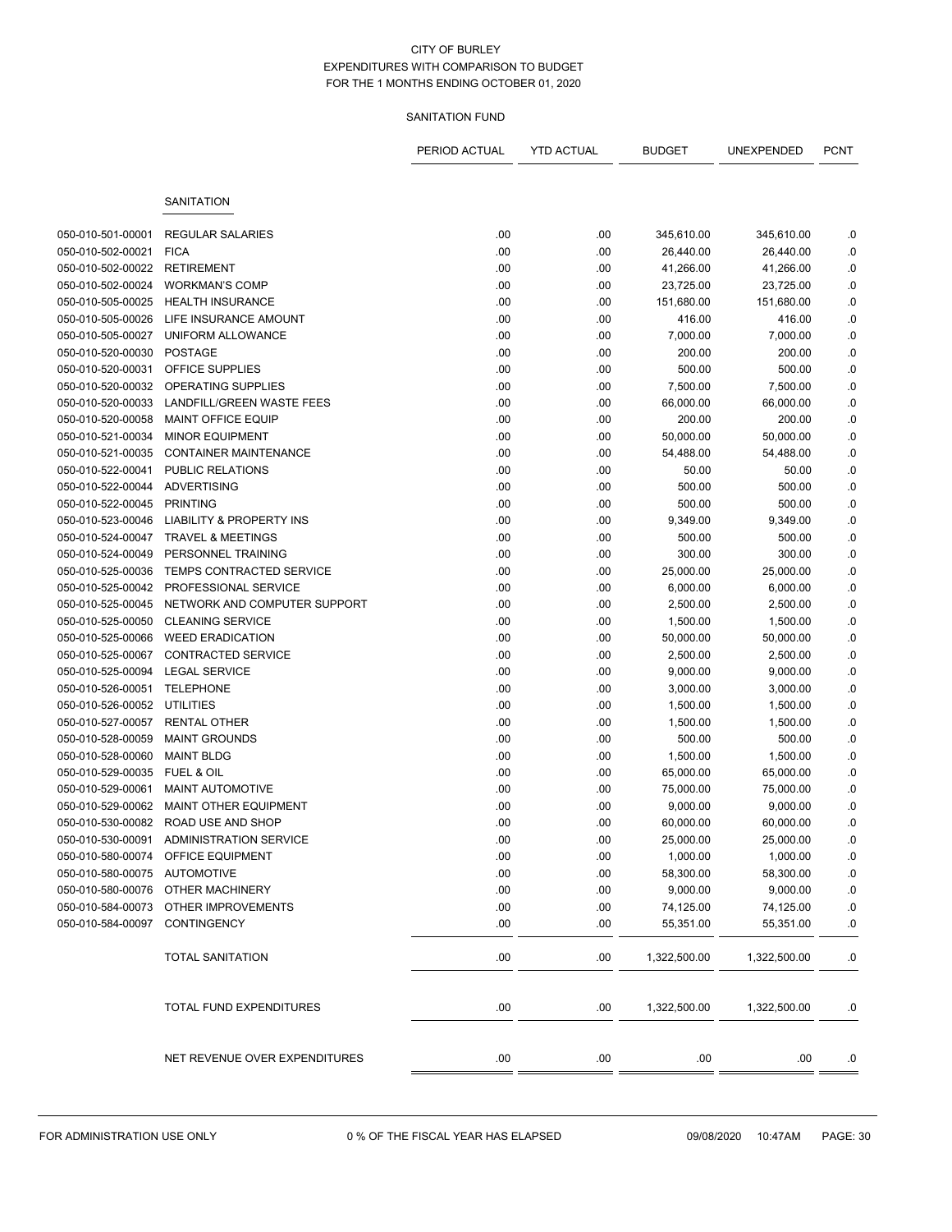# SANITATION FUND

|                   |                                          | PERIOD ACTUAL | <b>YTD ACTUAL</b> | <b>BUDGET</b> | UNEXPENDED   | <b>PCNT</b> |
|-------------------|------------------------------------------|---------------|-------------------|---------------|--------------|-------------|
|                   |                                          |               |                   |               |              |             |
|                   | SANITATION                               |               |                   |               |              |             |
| 050-010-501-00001 | <b>REGULAR SALARIES</b>                  | .00           | .00               | 345,610.00    | 345,610.00   | .0          |
| 050-010-502-00021 | <b>FICA</b>                              | .00           | .00               | 26,440.00     | 26,440.00    | .0          |
| 050-010-502-00022 | <b>RETIREMENT</b>                        | .00           | .00               | 41,266.00     | 41,266.00    | .0          |
| 050-010-502-00024 | <b>WORKMAN'S COMP</b>                    | .00           | .00               | 23,725.00     | 23,725.00    | .0          |
| 050-010-505-00025 | <b>HEALTH INSURANCE</b>                  | .00           | .00               | 151,680.00    | 151,680.00   | $\cdot$ 0   |
| 050-010-505-00026 | LIFE INSURANCE AMOUNT                    | .00           | .00               | 416.00        | 416.00       | .0          |
| 050-010-505-00027 | <b>UNIFORM ALLOWANCE</b>                 | .00           | .00               | 7,000.00      | 7,000.00     | .0          |
| 050-010-520-00030 | <b>POSTAGE</b>                           | .00           | .00               | 200.00        | 200.00       | $0.$        |
| 050-010-520-00031 | OFFICE SUPPLIES                          | .00           | .00               | 500.00        | 500.00       | .0          |
| 050-010-520-00032 | OPERATING SUPPLIES                       | .00           | .00               | 7,500.00      | 7,500.00     | $0.$        |
| 050-010-520-00033 | LANDFILL/GREEN WASTE FEES                | .00           | .00               | 66,000.00     | 66,000.00    | .0          |
| 050-010-520-00058 | <b>MAINT OFFICE EQUIP</b>                | .00           | .00               | 200.00        | 200.00       | .0          |
| 050-010-521-00034 | <b>MINOR EQUIPMENT</b>                   | .00           | .00               | 50,000.00     | 50,000.00    | $0.$        |
| 050-010-521-00035 | <b>CONTAINER MAINTENANCE</b>             | .00           | .00               | 54,488.00     | 54,488.00    | .0          |
| 050-010-522-00041 | <b>PUBLIC RELATIONS</b>                  | .00           | .00               | 50.00         | 50.00        | $\cdot$ 0   |
| 050-010-522-00044 | <b>ADVERTISING</b>                       | .00           | .00               | 500.00        | 500.00       | .0          |
| 050-010-522-00045 | <b>PRINTING</b>                          | .00           | .00               | 500.00        | 500.00       | .0          |
| 050-010-523-00046 | <b>LIABILITY &amp; PROPERTY INS</b>      | .00           | .00               | 9,349.00      | 9,349.00     | .0          |
| 050-010-524-00047 | <b>TRAVEL &amp; MEETINGS</b>             | .00           | .00               | 500.00        | 500.00       | .0          |
| 050-010-524-00049 | PERSONNEL TRAINING                       | .00           | .00               | 300.00        | 300.00       | $0.$        |
| 050-010-525-00036 | TEMPS CONTRACTED SERVICE                 | .00           | .00               | 25,000.00     | 25,000.00    | .0          |
| 050-010-525-00042 | PROFESSIONAL SERVICE                     | .00           | .00               | 6,000.00      | 6,000.00     | .0          |
| 050-010-525-00045 | NETWORK AND COMPUTER SUPPORT             | .00           | .00               | 2,500.00      | 2,500.00     | .0          |
| 050-010-525-00050 | <b>CLEANING SERVICE</b>                  | .00           | .00               | 1,500.00      | 1,500.00     | .0          |
| 050-010-525-00066 | <b>WEED ERADICATION</b>                  | .00           | .00               | 50,000.00     | 50,000.00    | $\cdot$ 0   |
| 050-010-525-00067 | <b>CONTRACTED SERVICE</b>                | .00           | .00               | 2,500.00      | 2,500.00     | .0          |
| 050-010-525-00094 | <b>LEGAL SERVICE</b>                     | .00           | .00               | 9,000.00      | 9,000.00     | .0          |
| 050-010-526-00051 | <b>TELEPHONE</b>                         | .00           | .00               | 3,000.00      | 3,000.00     | $0.$        |
| 050-010-526-00052 | UTILITIES                                | .00           | .00               | 1,500.00      | 1,500.00     | .0          |
| 050-010-527-00057 | <b>RENTAL OTHER</b>                      | .00           | .00               | 1,500.00      | 1,500.00     | .0          |
| 050-010-528-00059 | <b>MAINT GROUNDS</b>                     | .00           | .00               | 500.00        | 500.00       | .0          |
| 050-010-528-00060 | <b>MAINT BLDG</b>                        | .00           | .00               | 1,500.00      | 1,500.00     | .0          |
| 050-010-529-00035 | <b>FUEL &amp; OIL</b>                    | .00           | .00               | 65,000.00     | 65,000.00    | .0          |
| 050-010-529-00061 | <b>MAINT AUTOMOTIVE</b>                  | .00           | .00               | 75,000.00     | 75,000.00    | .0          |
| 050-010-529-00062 | MAINT OTHER EQUIPMENT                    | .00           | .00               | 9,000.00      | 9,000.00     | $\cdot$ 0   |
| 050-010-530-00082 | ROAD USE AND SHOP                        | .00           | .00               | 60,000.00     | 60,000.00    | $\cdot$ 0   |
|                   | 050-010-530-00091 ADMINISTRATION SERVICE | .00           | .00               | 25,000.00     | 25,000.00    | .0          |
|                   | 050-010-580-00074 OFFICE EQUIPMENT       | .00           | .00               | 1,000.00      | 1,000.00     | .0          |
| 050-010-580-00075 | AUTOMOTIVE                               | .00           | .00               | 58,300.00     | 58,300.00    | .0          |
| 050-010-580-00076 | OTHER MACHINERY                          | .00           | .00               | 9,000.00      | 9,000.00     | .0          |
| 050-010-584-00073 | OTHER IMPROVEMENTS                       | .00           | .00               | 74,125.00     | 74,125.00    | .0          |
| 050-010-584-00097 | CONTINGENCY                              | .00           | .00               | 55,351.00     | 55,351.00    | .0          |
|                   | <b>TOTAL SANITATION</b>                  | .00           | .00               | 1,322,500.00  | 1,322,500.00 | .0          |
|                   | TOTAL FUND EXPENDITURES                  | .00           | .00               | 1,322,500.00  | 1,322,500.00 | .0          |
|                   | NET REVENUE OVER EXPENDITURES            | .00           | .00               | .00           | .00          | .0          |
|                   |                                          |               |                   |               |              |             |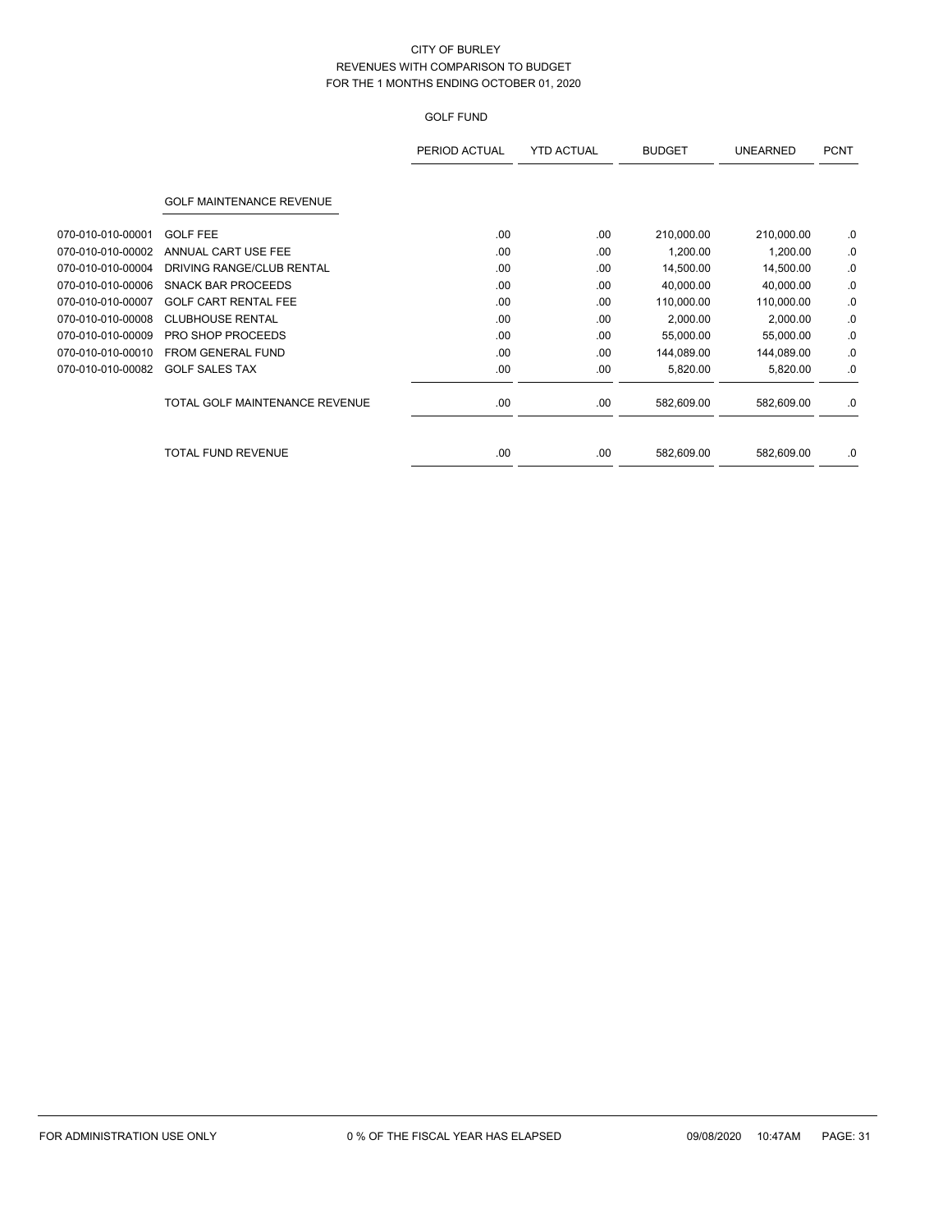# GOLF FUND

|                   |                                 | PERIOD ACTUAL | <b>YTD ACTUAL</b> | <b>BUDGET</b> | <b>UNEARNED</b> | <b>PCNT</b> |
|-------------------|---------------------------------|---------------|-------------------|---------------|-----------------|-------------|
|                   | <b>GOLF MAINTENANCE REVENUE</b> |               |                   |               |                 |             |
| 070-010-010-00001 | <b>GOLF FEE</b>                 | .00.          | .00               | 210,000.00    | 210,000.00      | .0          |
| 070-010-010-00002 | ANNUAL CART USE FEE             | .00           | .00               | 1,200.00      | 1,200.00        | .0          |
| 070-010-010-00004 | DRIVING RANGE/CLUB RENTAL       | .00           | .00               | 14,500.00     | 14,500.00       | .0          |
| 070-010-010-00006 | <b>SNACK BAR PROCEEDS</b>       | .00           | .00               | 40,000.00     | 40,000.00       | .0          |
| 070-010-010-00007 | <b>GOLF CART RENTAL FEE</b>     | .00           | .00               | 110,000.00    | 110,000.00      | .0          |
| 070-010-010-00008 | <b>CLUBHOUSE RENTAL</b>         | .00           | .00               | 2,000.00      | 2,000.00        | .0          |
| 070-010-010-00009 | <b>PRO SHOP PROCEEDS</b>        | .00.          | .00               | 55,000.00     | 55,000.00       | .0          |
| 070-010-010-00010 | FROM GENERAL FUND               | .00           | .00               | 144,089.00    | 144,089.00      | .0          |
| 070-010-010-00082 | <b>GOLF SALES TAX</b>           | .00           | .00               | 5,820.00      | 5,820.00        | .0          |
|                   | TOTAL GOLF MAINTENANCE REVENUE  | .00           | .00               | 582,609.00    | 582,609.00      | .0          |
|                   | <b>TOTAL FUND REVENUE</b>       | .00.          | .00               | 582,609.00    | 582,609.00      | .0          |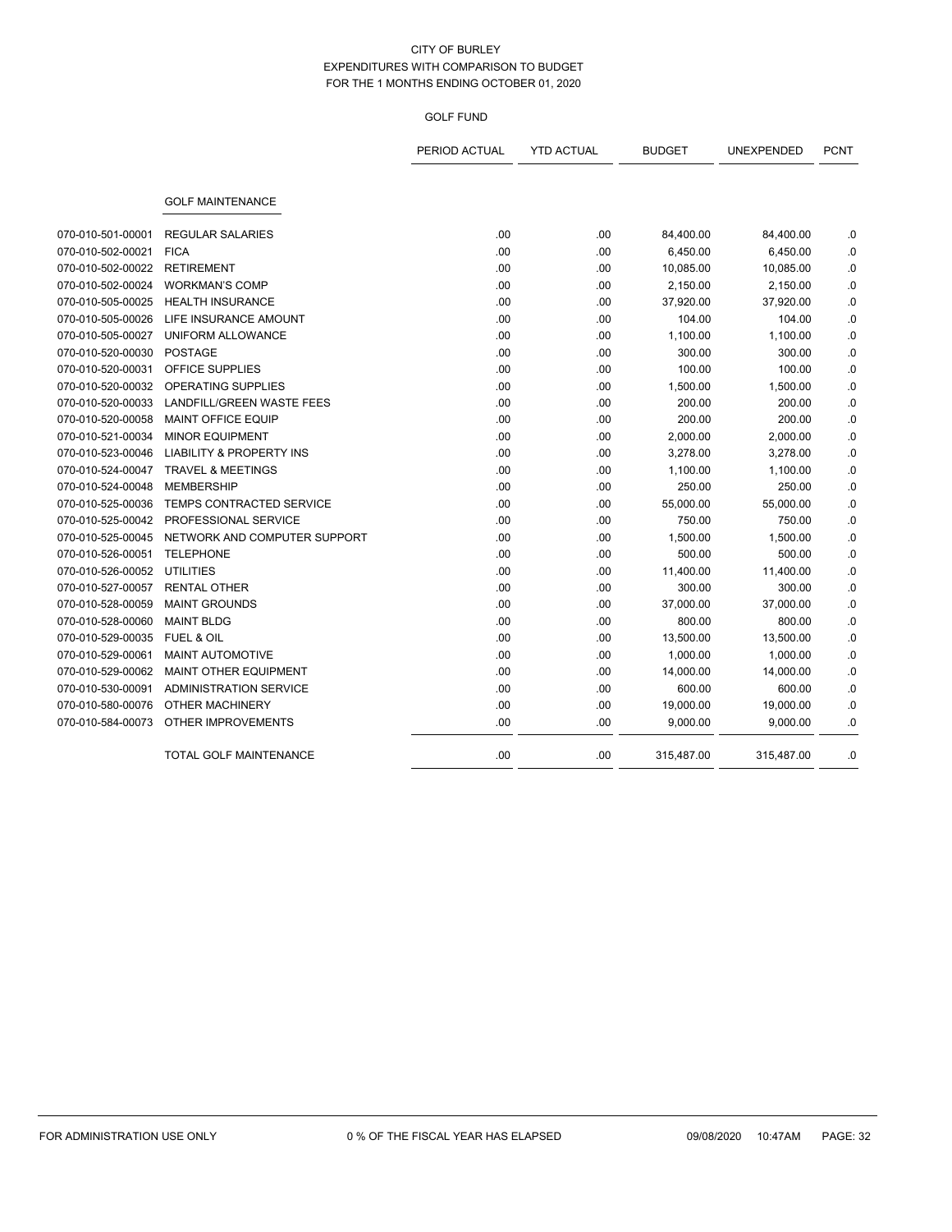## GOLF FUND

|                   |                                     | PERIOD ACTUAL | <b>YTD ACTUAL</b> | <b>BUDGET</b> | <b>UNEXPENDED</b> | <b>PCNT</b> |
|-------------------|-------------------------------------|---------------|-------------------|---------------|-------------------|-------------|
|                   | <b>GOLF MAINTENANCE</b>             |               |                   |               |                   |             |
| 070-010-501-00001 | <b>REGULAR SALARIES</b>             | .00           | .00               | 84,400.00     | 84,400.00         | .0          |
| 070-010-502-00021 | <b>FICA</b>                         | .00           | .00               | 6,450.00      | 6,450.00          | 0.          |
| 070-010-502-00022 | <b>RETIREMENT</b>                   | .00           | .00               | 10,085.00     | 10,085.00         | .0          |
| 070-010-502-00024 | <b>WORKMAN'S COMP</b>               | .00           | .00               | 2,150.00      | 2,150.00          | $\cdot$ 0   |
| 070-010-505-00025 | <b>HEALTH INSURANCE</b>             | .00           | .00               | 37,920.00     | 37,920.00         | .0          |
| 070-010-505-00026 | LIFE INSURANCE AMOUNT               | .00           | .00               | 104.00        | 104.00            | .0          |
| 070-010-505-00027 | UNIFORM ALLOWANCE                   | .00           | .00               | 1,100.00      | 1,100.00          | $\cdot$ 0   |
| 070-010-520-00030 | <b>POSTAGE</b>                      | .00           | .00               | 300.00        | 300.00            | .0          |
| 070-010-520-00031 | OFFICE SUPPLIES                     | .00           | .00               | 100.00        | 100.00            | .0          |
| 070-010-520-00032 | OPERATING SUPPLIES                  | .00           | .00               | 1,500.00      | 1,500.00          | .0          |
| 070-010-520-00033 | <b>LANDFILL/GREEN WASTE FEES</b>    | .00           | .00               | 200.00        | 200.00            | .0          |
| 070-010-520-00058 | MAINT OFFICE EQUIP                  | .00           | .00               | 200.00        | 200.00            | .0          |
| 070-010-521-00034 | <b>MINOR EQUIPMENT</b>              | .00           | .00               | 2,000.00      | 2,000.00          | .0          |
| 070-010-523-00046 | <b>LIABILITY &amp; PROPERTY INS</b> | .00           | .00               | 3,278.00      | 3,278.00          | .0          |
| 070-010-524-00047 | <b>TRAVEL &amp; MEETINGS</b>        | .00           | .00               | 1,100.00      | 1,100.00          | $\cdot$ 0   |
| 070-010-524-00048 | <b>MEMBERSHIP</b>                   | .00           | .00               | 250.00        | 250.00            | .0          |
| 070-010-525-00036 | TEMPS CONTRACTED SERVICE            | .00           | .00               | 55,000.00     | 55,000.00         | .0          |
| 070-010-525-00042 | PROFESSIONAL SERVICE                | .00           | .00               | 750.00        | 750.00            | .0          |
| 070-010-525-00045 | NETWORK AND COMPUTER SUPPORT        | .00           | .00               | 1,500.00      | 1,500.00          | .0          |
| 070-010-526-00051 | <b>TELEPHONE</b>                    | .00           | .00               | 500.00        | 500.00            | .0          |
| 070-010-526-00052 | <b>UTILITIES</b>                    | .00           | .00.              | 11,400.00     | 11,400.00         | .0          |
| 070-010-527-00057 | <b>RENTAL OTHER</b>                 | .00           | .00               | 300.00        | 300.00            | .0          |
| 070-010-528-00059 | <b>MAINT GROUNDS</b>                | .00           | .00               | 37,000.00     | 37,000.00         | $\cdot$ 0   |
| 070-010-528-00060 | <b>MAINT BLDG</b>                   | .00           | .00.              | 800.00        | 800.00            | .0          |
| 070-010-529-00035 | <b>FUEL &amp; OIL</b>               | .00           | .00.              | 13,500.00     | 13,500.00         | .0          |
| 070-010-529-00061 | <b>MAINT AUTOMOTIVE</b>             | .00           | .00               | 1,000.00      | 1,000.00          | .0          |
| 070-010-529-00062 | <b>MAINT OTHER EQUIPMENT</b>        | .00           | .00               | 14,000.00     | 14,000.00         | .0          |
| 070-010-530-00091 | <b>ADMINISTRATION SERVICE</b>       | .00           | .00               | 600.00        | 600.00            | .0          |
| 070-010-580-00076 | <b>OTHER MACHINERY</b>              | .00           | .00               | 19,000.00     | 19,000.00         | 0.          |
| 070-010-584-00073 | <b>OTHER IMPROVEMENTS</b>           | .00           | .00               | 9,000.00      | 9,000.00          | .0          |
|                   | TOTAL GOLF MAINTENANCE              | .00           | .00               | 315,487.00    | 315,487.00        | .0          |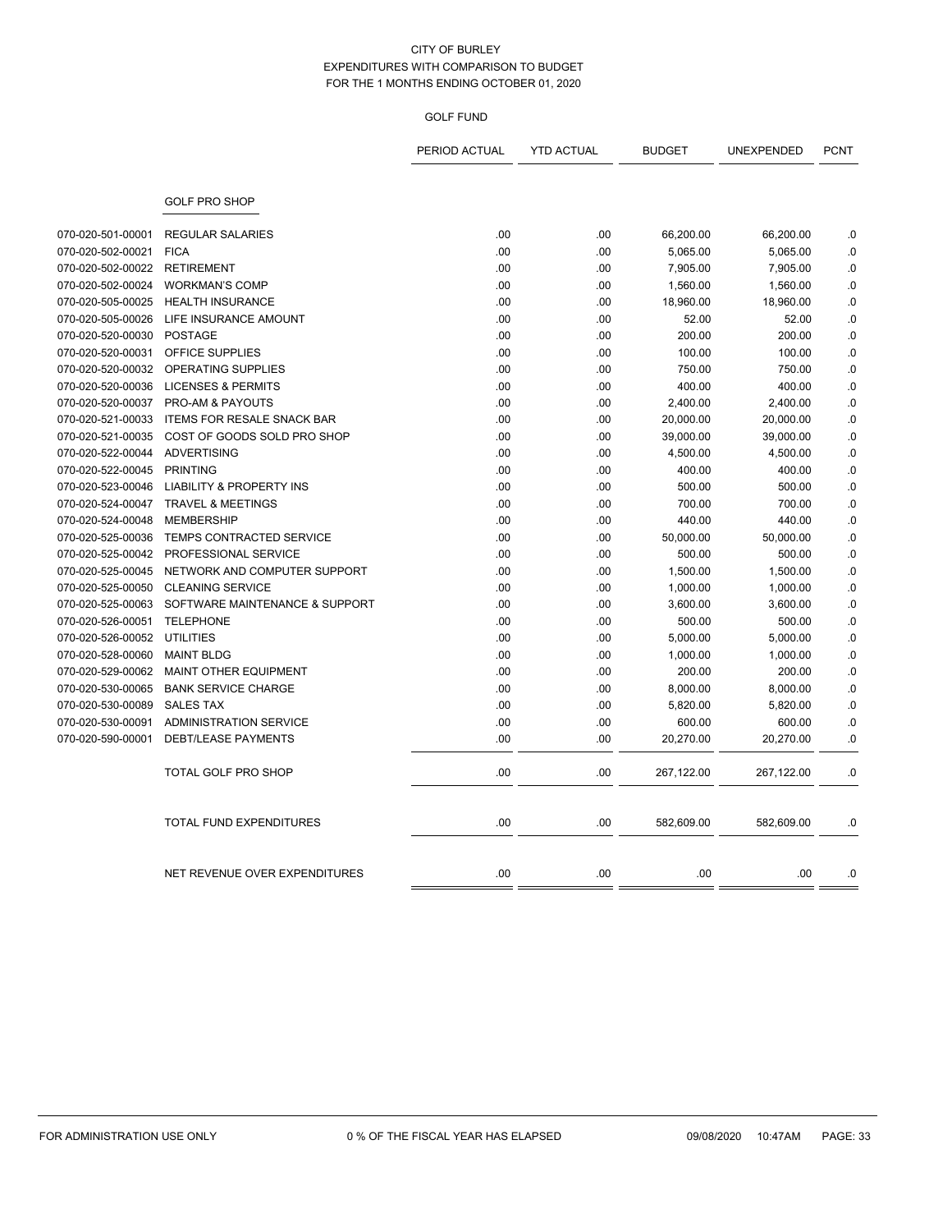## GOLF FUND

|                   |                                     | PERIOD ACTUAL | <b>YTD ACTUAL</b> | <b>BUDGET</b> | UNEXPENDED | <b>PCNT</b> |
|-------------------|-------------------------------------|---------------|-------------------|---------------|------------|-------------|
|                   | <b>GOLF PRO SHOP</b>                |               |                   |               |            |             |
| 070-020-501-00001 | <b>REGULAR SALARIES</b>             | .00           | .00               | 66,200.00     | 66,200.00  | .0          |
| 070-020-502-00021 | <b>FICA</b>                         | .00           | .00               | 5,065.00      | 5,065.00   | .0          |
| 070-020-502-00022 | <b>RETIREMENT</b>                   | .00           | .00               | 7,905.00      | 7,905.00   | .0          |
| 070-020-502-00024 | <b>WORKMAN'S COMP</b>               | .00           | .00               | 1,560.00      | 1,560.00   | .0          |
| 070-020-505-00025 | <b>HEALTH INSURANCE</b>             | .00           | .00               | 18,960.00     | 18,960.00  | .0          |
| 070-020-505-00026 | LIFE INSURANCE AMOUNT               | .00           | .00               | 52.00         | 52.00      | .0          |
| 070-020-520-00030 | <b>POSTAGE</b>                      | .00           | .00               | 200.00        | 200.00     | .0          |
| 070-020-520-00031 | OFFICE SUPPLIES                     | .00           | .00               | 100.00        | 100.00     | $\cdot$ 0   |
| 070-020-520-00032 | <b>OPERATING SUPPLIES</b>           | .00           | .00               | 750.00        | 750.00     | .0          |
| 070-020-520-00036 | <b>LICENSES &amp; PERMITS</b>       | .00           | .00               | 400.00        | 400.00     | .0          |
| 070-020-520-00037 | <b>PRO-AM &amp; PAYOUTS</b>         | .00           | .00               | 2,400.00      | 2,400.00   | .0          |
| 070-020-521-00033 | <b>ITEMS FOR RESALE SNACK BAR</b>   | .00           | .00               | 20,000.00     | 20,000.00  | .0          |
| 070-020-521-00035 | COST OF GOODS SOLD PRO SHOP         | .00           | .00               | 39,000.00     | 39,000.00  | .0          |
| 070-020-522-00044 | <b>ADVERTISING</b>                  | .00           | .00               | 4,500.00      | 4,500.00   | .0          |
| 070-020-522-00045 | PRINTING                            | .00           | .00               | 400.00        | 400.00     | $\cdot$ 0   |
| 070-020-523-00046 | <b>LIABILITY &amp; PROPERTY INS</b> | .00           | .00               | 500.00        | 500.00     | .0          |
| 070-020-524-00047 | <b>TRAVEL &amp; MEETINGS</b>        | .00           | .00               | 700.00        | 700.00     | .0          |
| 070-020-524-00048 | <b>MEMBERSHIP</b>                   | .00           | .00               | 440.00        | 440.00     | .0          |
| 070-020-525-00036 | <b>TEMPS CONTRACTED SERVICE</b>     | .00           | .00               | 50,000.00     | 50,000.00  | .0          |
| 070-020-525-00042 | PROFESSIONAL SERVICE                | .00           | .00               | 500.00        | 500.00     | .0          |
| 070-020-525-00045 | NETWORK AND COMPUTER SUPPORT        | .00           | .00               | 1,500.00      | 1,500.00   | .0          |
| 070-020-525-00050 | <b>CLEANING SERVICE</b>             | .00           | .00               | 1,000.00      | 1,000.00   | $\cdot$ 0   |
| 070-020-525-00063 | SOFTWARE MAINTENANCE & SUPPORT      | .00           | .00               | 3,600.00      | 3,600.00   | .0          |
| 070-020-526-00051 | <b>TELEPHONE</b>                    | .00           | .00               | 500.00        | 500.00     | .0          |
| 070-020-526-00052 | <b>UTILITIES</b>                    | .00           | .00               | 5,000.00      | 5,000.00   | .0          |
| 070-020-528-00060 | <b>MAINT BLDG</b>                   | .00           | .00               | 1,000.00      | 1,000.00   | .0          |
| 070-020-529-00062 | <b>MAINT OTHER EQUIPMENT</b>        | .00           | .00               | 200.00        | 200.00     | .0          |
| 070-020-530-00065 | <b>BANK SERVICE CHARGE</b>          | .00           | .00               | 8,000.00      | 8,000.00   | $\cdot$ 0   |
| 070-020-530-00089 | <b>SALES TAX</b>                    | .00           | .00               | 5,820.00      | 5,820.00   | .0          |
| 070-020-530-00091 | <b>ADMINISTRATION SERVICE</b>       | .00           | .00               | 600.00        | 600.00     | .0          |
| 070-020-590-00001 | <b>DEBT/LEASE PAYMENTS</b>          | .00           | .00               | 20,270.00     | 20,270.00  | .0          |
|                   | <b>TOTAL GOLF PRO SHOP</b>          | .00           | .00               | 267,122.00    | 267,122.00 | .0          |
|                   | TOTAL FUND EXPENDITURES             | .00           | .00               | 582,609.00    | 582,609.00 | .0          |
|                   | NET REVENUE OVER EXPENDITURES       | .00           | .00               | .00           | .00        | .0          |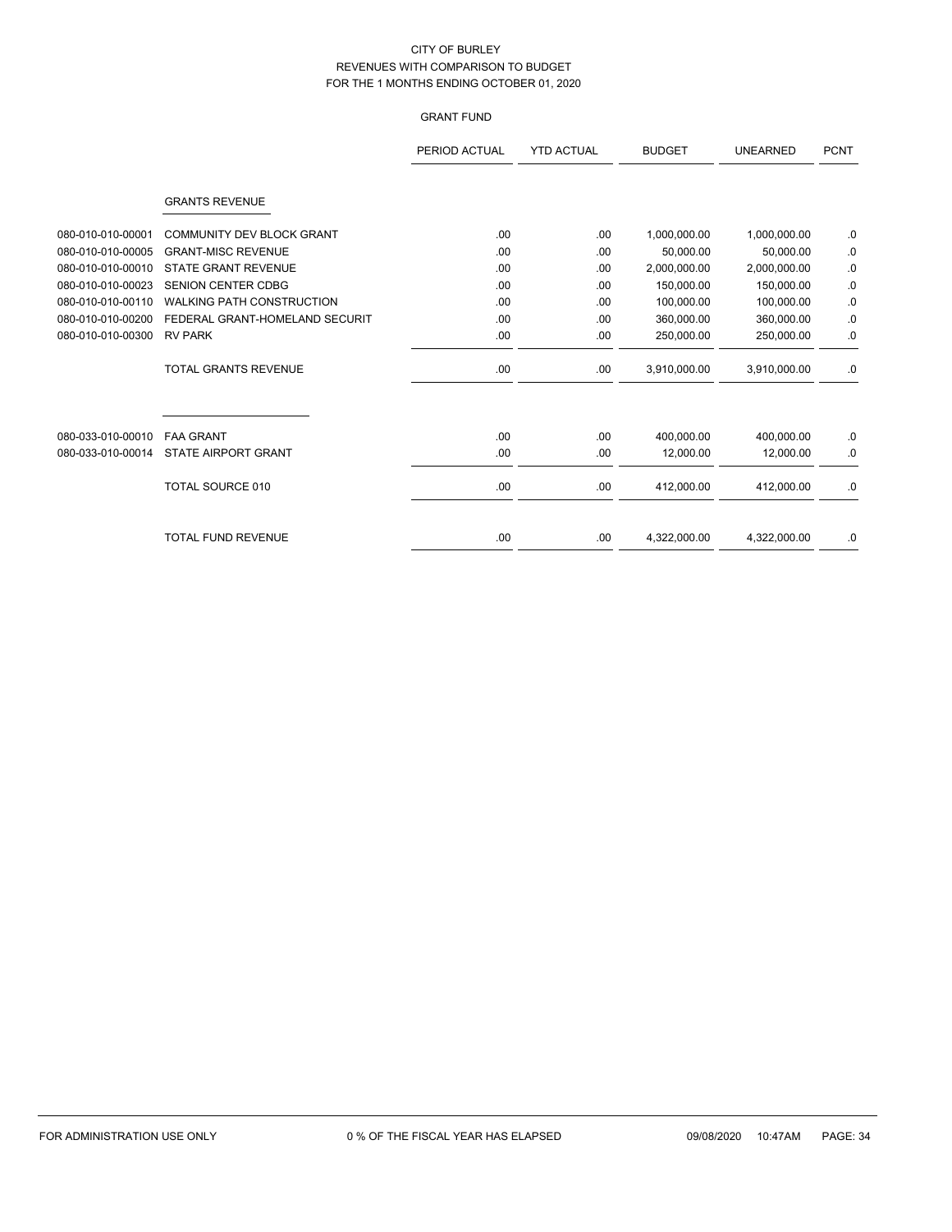# GRANT FUND

|                   |                                  | PERIOD ACTUAL | <b>YTD ACTUAL</b> | <b>BUDGET</b> | <b>UNEARNED</b> | <b>PCNT</b> |
|-------------------|----------------------------------|---------------|-------------------|---------------|-----------------|-------------|
|                   | <b>GRANTS REVENUE</b>            |               |                   |               |                 |             |
| 080-010-010-00001 | <b>COMMUNITY DEV BLOCK GRANT</b> | .00           | .00               | 1,000,000.00  | 1,000,000.00    | .0          |
| 080-010-010-00005 | <b>GRANT-MISC REVENUE</b>        | .00           | .00               | 50.000.00     | 50,000.00       | .0          |
| 080-010-010-00010 | <b>STATE GRANT REVENUE</b>       | .00           | .00               | 2,000,000.00  | 2,000,000.00    | .0          |
| 080-010-010-00023 | SENION CENTER CDBG               | .00           | .00               | 150,000.00    | 150,000.00      | .0          |
| 080-010-010-00110 | <b>WALKING PATH CONSTRUCTION</b> | .00           | .00               | 100,000.00    | 100.000.00      | 0.          |
| 080-010-010-00200 | FEDERAL GRANT-HOMELAND SECURIT   | .00           | .00               | 360,000.00    | 360,000.00      | .0          |
| 080-010-010-00300 | <b>RV PARK</b>                   | .00           | .00               | 250,000.00    | 250,000.00      | .0          |
|                   | <b>TOTAL GRANTS REVENUE</b>      | .00           | .00               | 3,910,000.00  | 3,910,000.00    | .0          |
|                   |                                  |               |                   |               |                 |             |
| 080-033-010-00010 | <b>FAA GRANT</b>                 | .00           | .00               | 400,000.00    | 400,000.00      | .0          |
| 080-033-010-00014 | <b>STATE AIRPORT GRANT</b>       | .00           | .00               | 12,000.00     | 12,000.00       | .0          |
|                   | <b>TOTAL SOURCE 010</b>          | .00.          | .00               | 412,000.00    | 412,000.00      | .0          |
|                   | <b>TOTAL FUND REVENUE</b>        | .00           | .00               | 4,322,000.00  | 4,322,000.00    | .0          |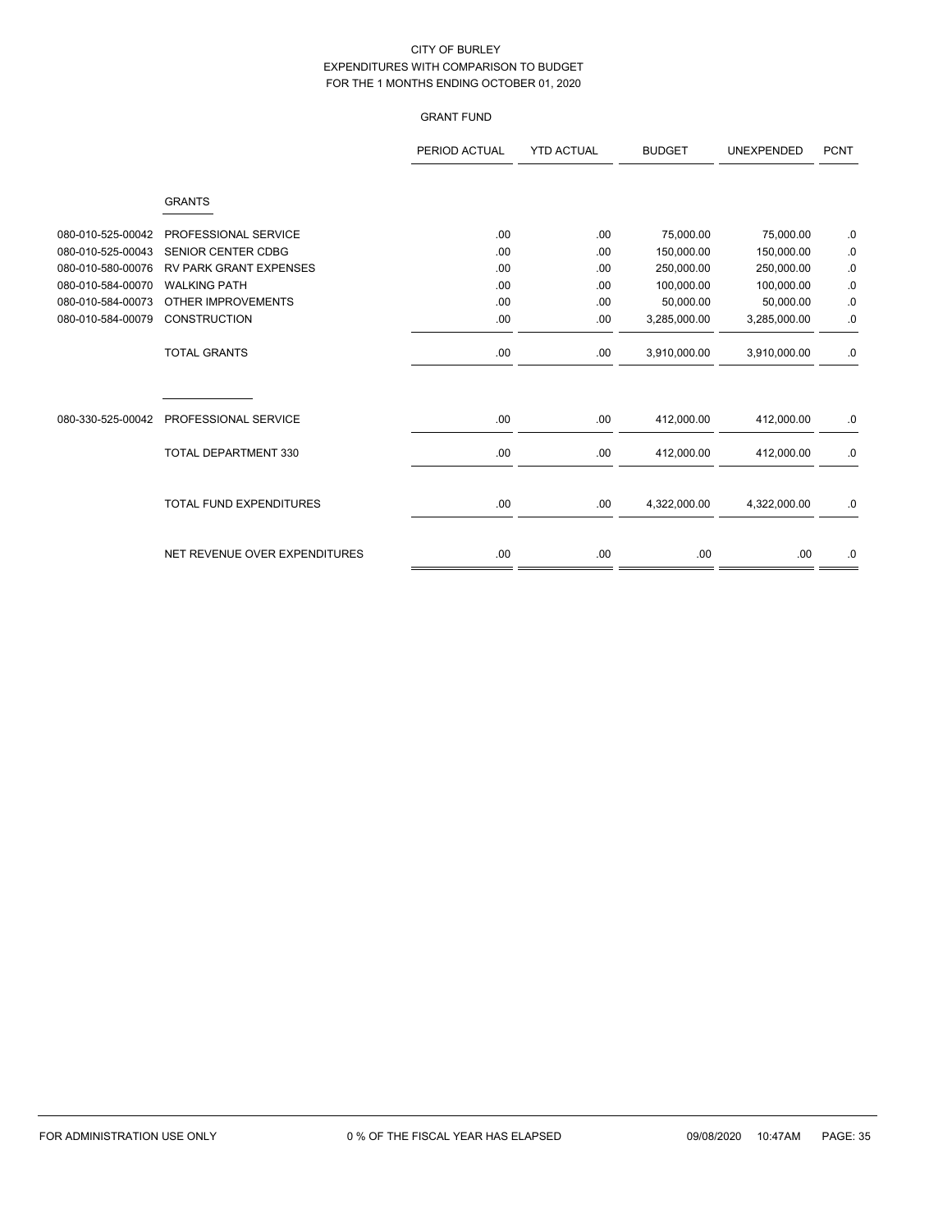# GRANT FUND

|                   |                                | PERIOD ACTUAL | <b>YTD ACTUAL</b> | <b>BUDGET</b> | <b>UNEXPENDED</b> | <b>PCNT</b> |
|-------------------|--------------------------------|---------------|-------------------|---------------|-------------------|-------------|
|                   | <b>GRANTS</b>                  |               |                   |               |                   |             |
| 080-010-525-00042 | PROFESSIONAL SERVICE           | .00           | .00               | 75,000.00     | 75,000.00         | .0          |
| 080-010-525-00043 | <b>SENIOR CENTER CDBG</b>      | .00           | .00               | 150,000.00    | 150,000.00        | .0          |
| 080-010-580-00076 | <b>RV PARK GRANT EXPENSES</b>  | .00           | .00               | 250,000.00    | 250,000.00        | .0          |
| 080-010-584-00070 | <b>WALKING PATH</b>            | .00           | .00               | 100,000.00    | 100,000.00        | 0.          |
| 080-010-584-00073 | OTHER IMPROVEMENTS             | .00           | .00               | 50,000.00     | 50,000.00         | .0          |
| 080-010-584-00079 | <b>CONSTRUCTION</b>            | .00           | .00               | 3,285,000.00  | 3,285,000.00      | .0          |
|                   | <b>TOTAL GRANTS</b>            | .00           | .00               | 3,910,000.00  | 3,910,000.00      | .0          |
| 080-330-525-00042 | PROFESSIONAL SERVICE           | .00           | .00               | 412,000.00    | 412,000.00        | .0          |
|                   | TOTAL DEPARTMENT 330           | .00           | .00               | 412,000.00    | 412,000.00        | .0          |
|                   | <b>TOTAL FUND EXPENDITURES</b> | .00           | .00               | 4,322,000.00  | 4,322,000.00      | .0          |
|                   | NET REVENUE OVER EXPENDITURES  | .00           | .00.              | .00           | .00.              | .0          |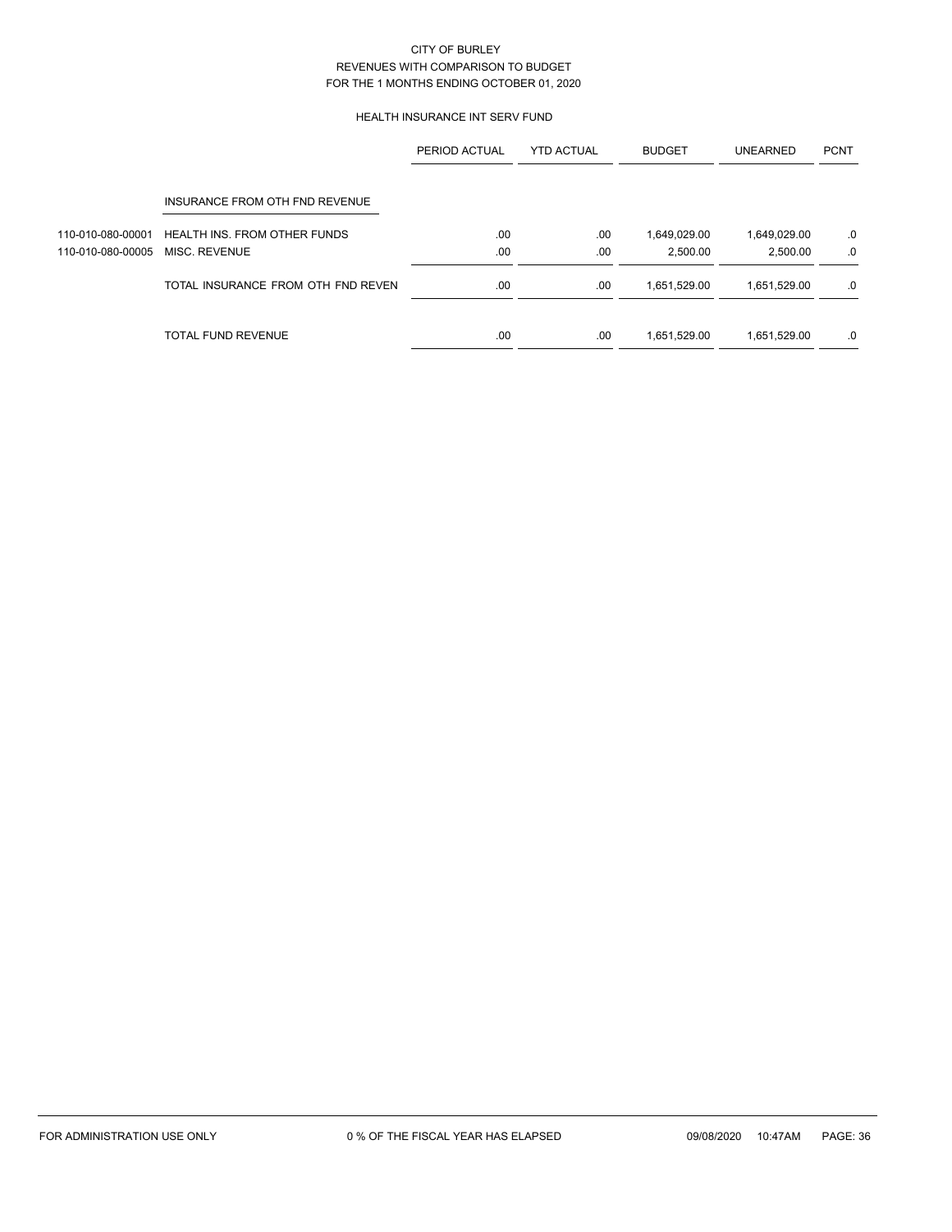## HEALTH INSURANCE INT SERV FUND

|                   |                                    | PERIOD ACTUAL | <b>YTD ACTUAL</b> | <b>BUDGET</b> | <b>UNEARNED</b> | <b>PCNT</b> |
|-------------------|------------------------------------|---------------|-------------------|---------------|-----------------|-------------|
|                   | INSURANCE FROM OTH FND REVENUE     |               |                   |               |                 |             |
| 110-010-080-00001 | HEALTH INS. FROM OTHER FUNDS       | .00           | .00               | 1,649,029.00  | 1,649,029.00    | .0          |
| 110-010-080-00005 | MISC. REVENUE                      | .00           | .00               | 2.500.00      | 2,500.00        | .0          |
|                   | TOTAL INSURANCE FROM OTH FND REVEN | .00           | .00               | 1,651,529.00  | 1,651,529.00    | .0          |
|                   | <b>TOTAL FUND REVENUE</b>          | .00           | .00               | 1,651,529.00  | 1,651,529.00    | .0          |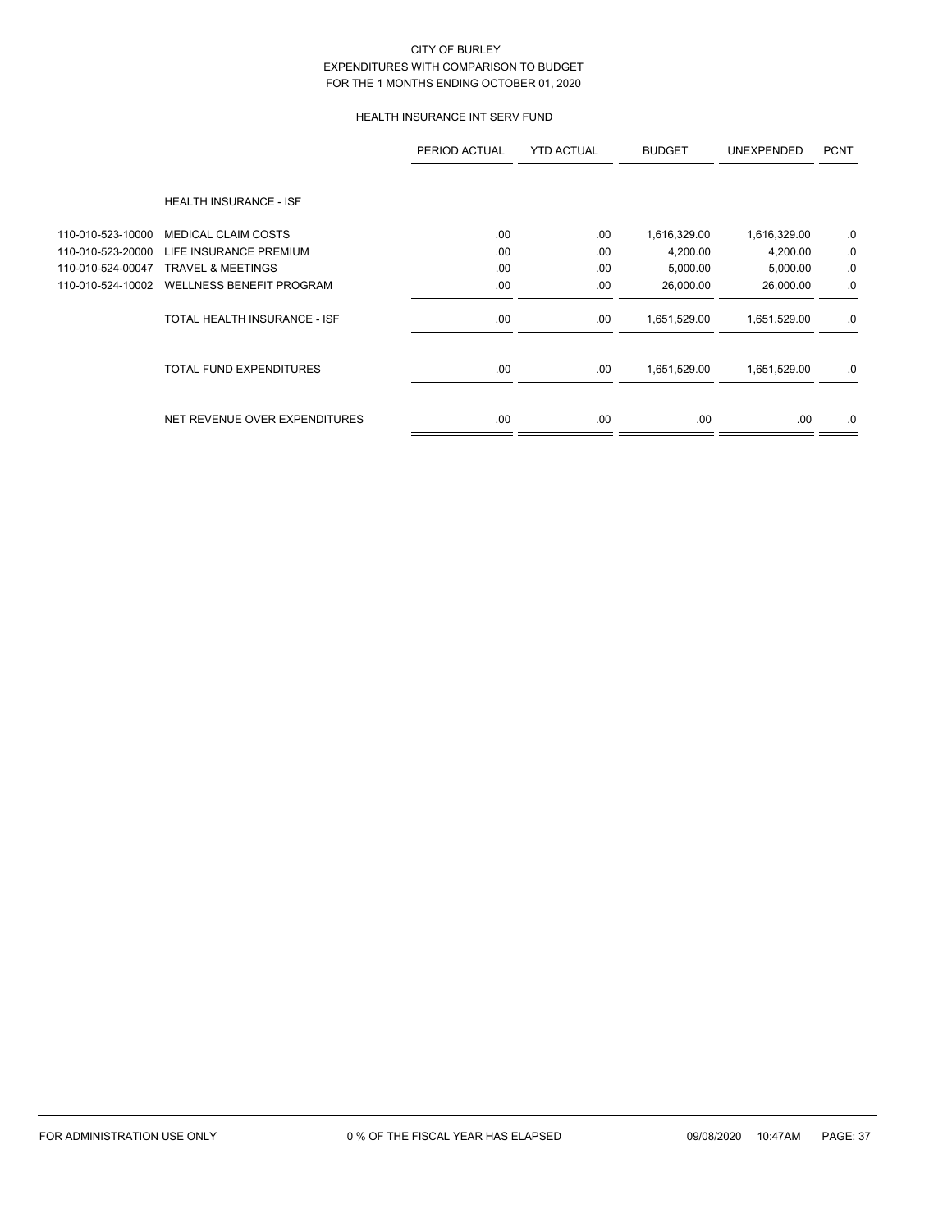# HEALTH INSURANCE INT SERV FUND

|                   |                                 | PERIOD ACTUAL | <b>YTD ACTUAL</b> | <b>BUDGET</b> | <b>UNEXPENDED</b> | <b>PCNT</b> |
|-------------------|---------------------------------|---------------|-------------------|---------------|-------------------|-------------|
|                   | HEALTH INSURANCE - ISF          |               |                   |               |                   |             |
| 110-010-523-10000 | <b>MEDICAL CLAIM COSTS</b>      | .00           | .00               | 1,616,329.00  | 1,616,329.00      | .0          |
| 110-010-523-20000 | LIFE INSURANCE PREMIUM          | .00           | .00               | 4,200.00      | 4,200.00          | .0          |
| 110-010-524-00047 | <b>TRAVEL &amp; MEETINGS</b>    | .00           | .00               | 5,000.00      | 5,000.00          | .0          |
| 110-010-524-10002 | <b>WELLNESS BENEFIT PROGRAM</b> | .00           | .00               | 26,000.00     | 26,000.00         | .0          |
|                   | TOTAL HEALTH INSURANCE - ISF    | .00.          | .00               | 1,651,529.00  | 1,651,529.00      | .0          |
|                   | <b>TOTAL FUND EXPENDITURES</b>  | .00           | .00               | 1,651,529.00  | 1,651,529.00      | .0          |
|                   | NET REVENUE OVER EXPENDITURES   | .00.          | .00               | .00.          | .00.              | .0          |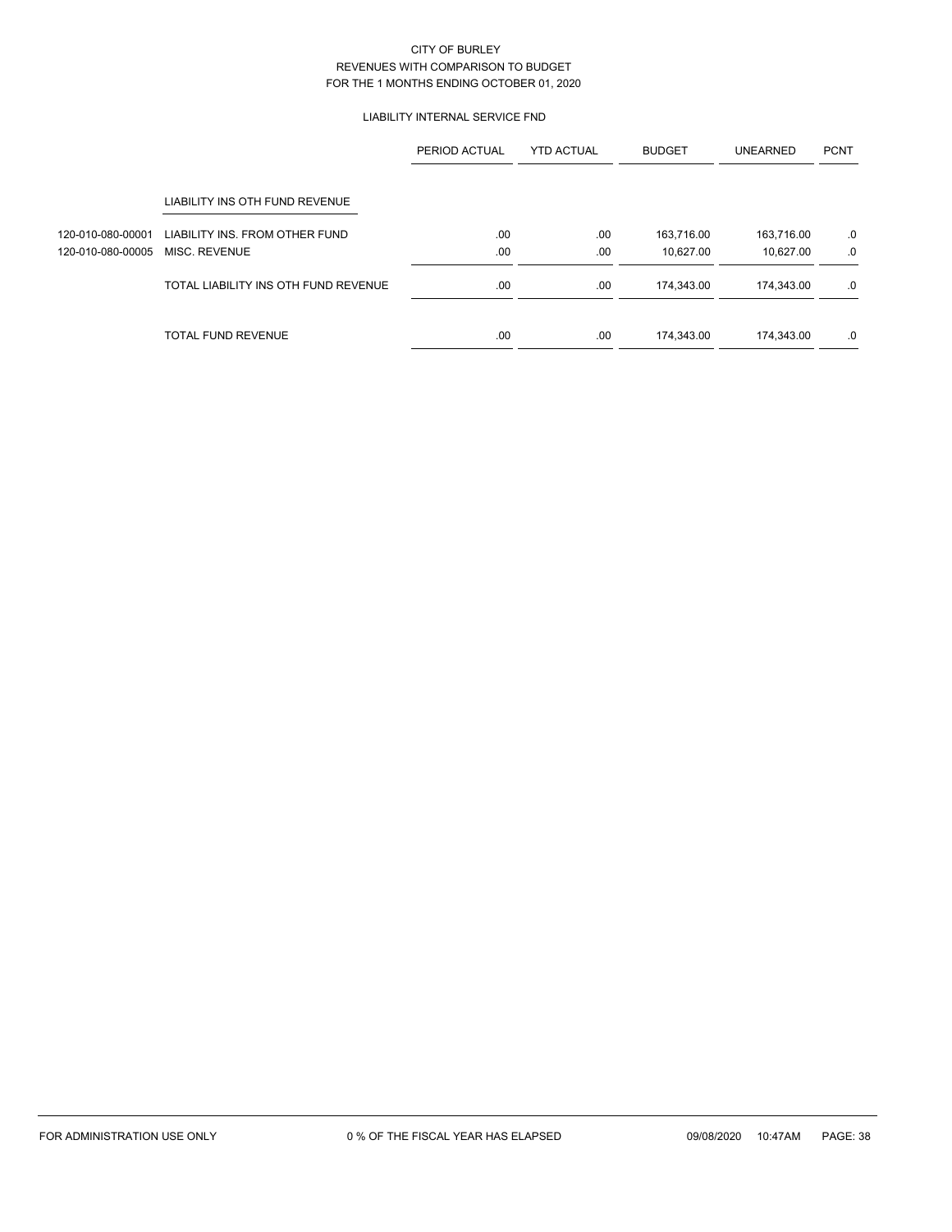## LIABILITY INTERNAL SERVICE FND

|                   |                                      | PERIOD ACTUAL | <b>YTD ACTUAL</b> | <b>BUDGET</b> | <b>UNEARNED</b> | <b>PCNT</b> |
|-------------------|--------------------------------------|---------------|-------------------|---------------|-----------------|-------------|
|                   | LIABILITY INS OTH FUND REVENUE       |               |                   |               |                 |             |
| 120-010-080-00001 | LIABILITY INS. FROM OTHER FUND       | .00.          | .00               | 163,716.00    | 163,716.00      | .0          |
| 120-010-080-00005 | MISC. REVENUE                        | .00           | .00               | 10,627.00     | 10,627.00       | .0          |
|                   | TOTAL LIABILITY INS OTH FUND REVENUE | .00           | .00               | 174,343.00    | 174,343.00      | .0          |
|                   | TOTAL FUND REVENUE                   | .00           | .00               | 174,343.00    | 174,343.00      | .0          |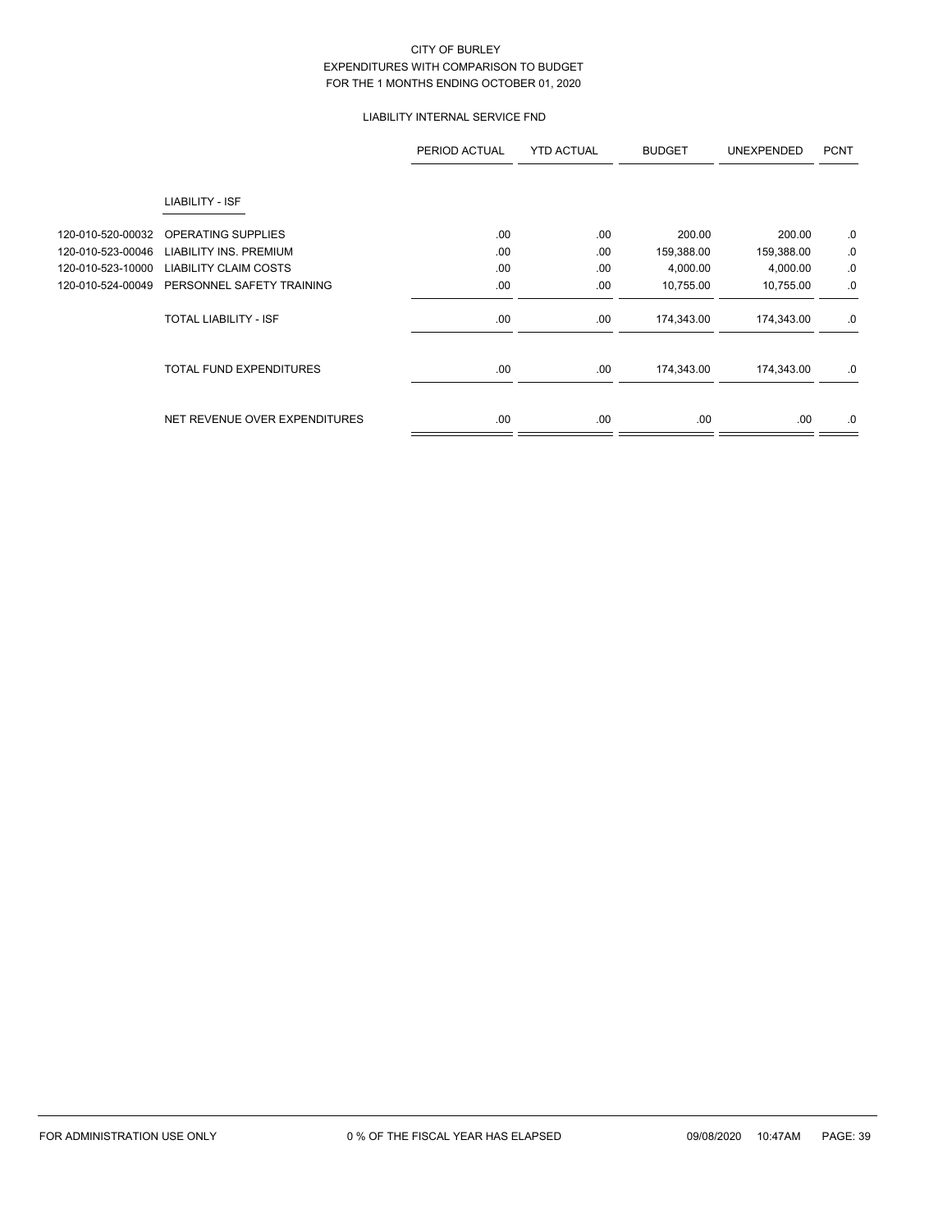# LIABILITY INTERNAL SERVICE FND

|                   |                                | PERIOD ACTUAL | <b>YTD ACTUAL</b> | <b>BUDGET</b> | <b>UNEXPENDED</b> | <b>PCNT</b> |
|-------------------|--------------------------------|---------------|-------------------|---------------|-------------------|-------------|
|                   | LIABILITY - ISF                |               |                   |               |                   |             |
| 120-010-520-00032 | OPERATING SUPPLIES             | .00           | .00               | 200.00        | 200.00            | .0          |
| 120-010-523-00046 | <b>LIABILITY INS. PREMIUM</b>  | .00           | .00               | 159,388.00    | 159,388.00        | 0.          |
| 120-010-523-10000 | <b>LIABILITY CLAIM COSTS</b>   | .00           | .00               | 4,000.00      | 4,000.00          | 0.          |
| 120-010-524-00049 | PERSONNEL SAFETY TRAINING      | .00           | .00               | 10,755.00     | 10,755.00         | .0          |
|                   | <b>TOTAL LIABILITY - ISF</b>   | .00.          | .00               | 174,343.00    | 174,343.00        | .0          |
|                   | <b>TOTAL FUND EXPENDITURES</b> | .00           | .00               | 174,343.00    | 174,343.00        | .0          |
|                   | NET REVENUE OVER EXPENDITURES  | .00           | .00               | .00.          | .00.              | .0          |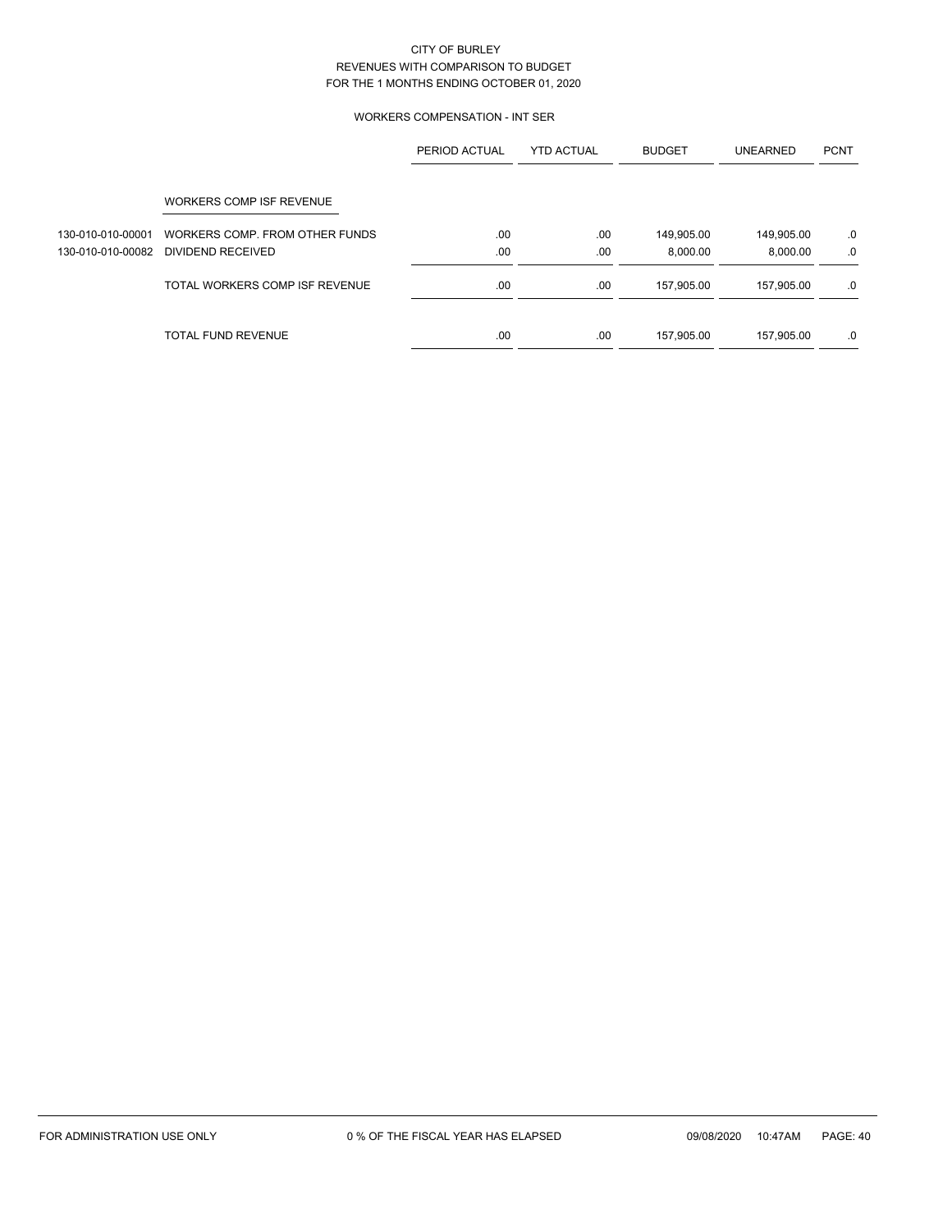## WORKERS COMPENSATION - INT SER

|                   |                                | PERIOD ACTUAL | <b>YTD ACTUAL</b> | <b>BUDGET</b> | <b>UNEARNED</b> | <b>PCNT</b> |
|-------------------|--------------------------------|---------------|-------------------|---------------|-----------------|-------------|
|                   | WORKERS COMP ISF REVENUE       |               |                   |               |                 |             |
| 130-010-010-00001 | WORKERS COMP. FROM OTHER FUNDS | .00           | .00               | 149,905.00    | 149,905.00      | .0          |
| 130-010-010-00082 | DIVIDEND RECEIVED              | .00           | .00               | 8.000.00      | 8.000.00        | .0          |
|                   | TOTAL WORKERS COMP ISF REVENUE | .00           | .00               | 157,905.00    | 157,905.00      | .0          |
|                   | <b>TOTAL FUND REVENUE</b>      | .00           | .00               | 157,905.00    | 157,905.00      | .0          |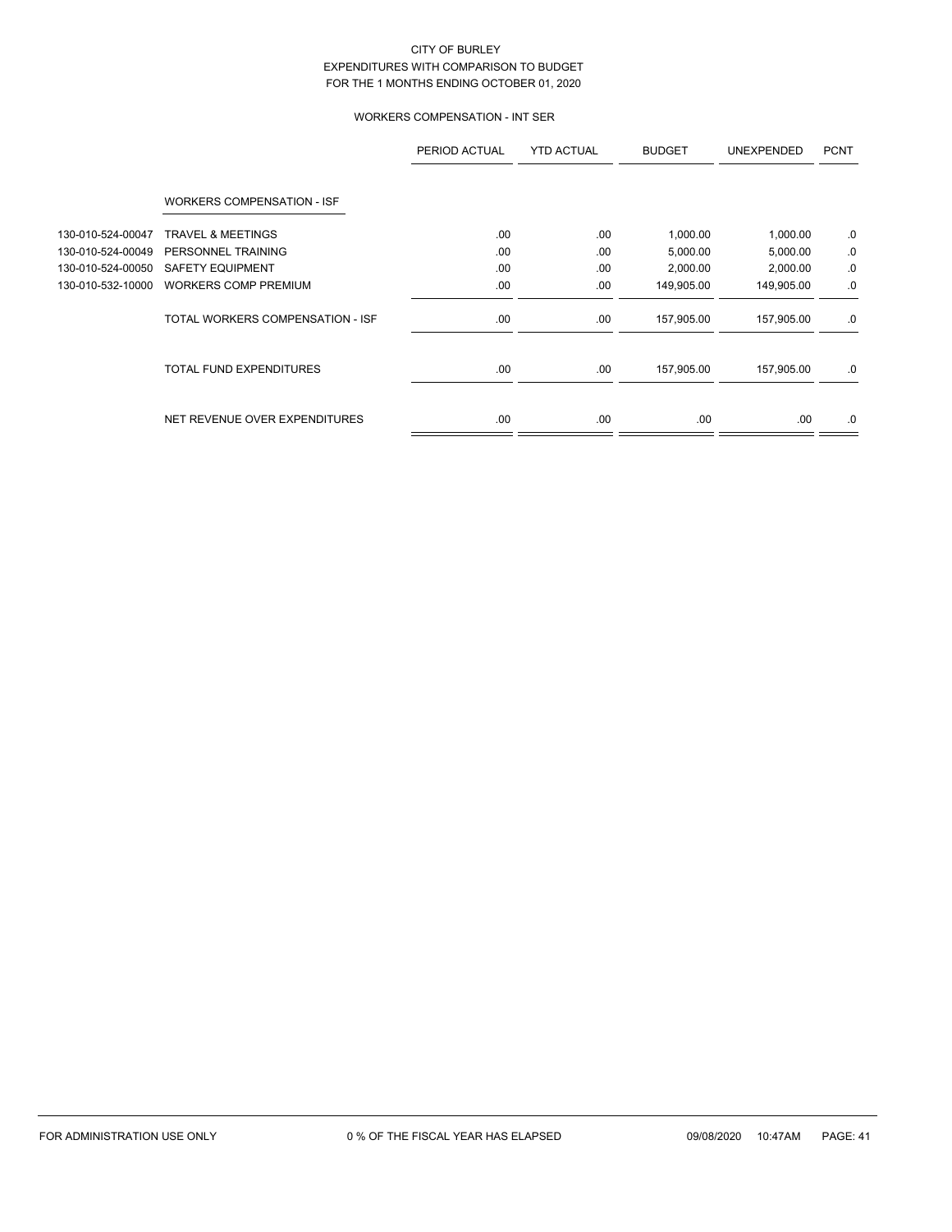# WORKERS COMPENSATION - INT SER

|                   |                                   | PERIOD ACTUAL | <b>YTD ACTUAL</b> | <b>BUDGET</b> | <b>UNEXPENDED</b> | <b>PCNT</b> |
|-------------------|-----------------------------------|---------------|-------------------|---------------|-------------------|-------------|
|                   | <b>WORKERS COMPENSATION - ISF</b> |               |                   |               |                   |             |
| 130-010-524-00047 | <b>TRAVEL &amp; MEETINGS</b>      | .00           | .00               | 1,000.00      | 1,000.00          | .0          |
| 130-010-524-00049 | PERSONNEL TRAINING                | .00           | .00               | 5,000.00      | 5,000.00          | .0          |
| 130-010-524-00050 | <b>SAFETY EQUIPMENT</b>           | .00           | .00               | 2,000.00      | 2,000.00          | 0.          |
| 130-010-532-10000 | <b>WORKERS COMP PREMIUM</b>       | .00           | .00               | 149,905.00    | 149,905.00        | .0          |
|                   | TOTAL WORKERS COMPENSATION - ISF  | .00.          | .00               | 157,905.00    | 157,905.00        | .0          |
|                   | <b>TOTAL FUND EXPENDITURES</b>    | .00           | .00               | 157,905.00    | 157,905.00        | .0          |
|                   | NET REVENUE OVER EXPENDITURES     | .00.          | .00               | .00.          | .00.              | .0          |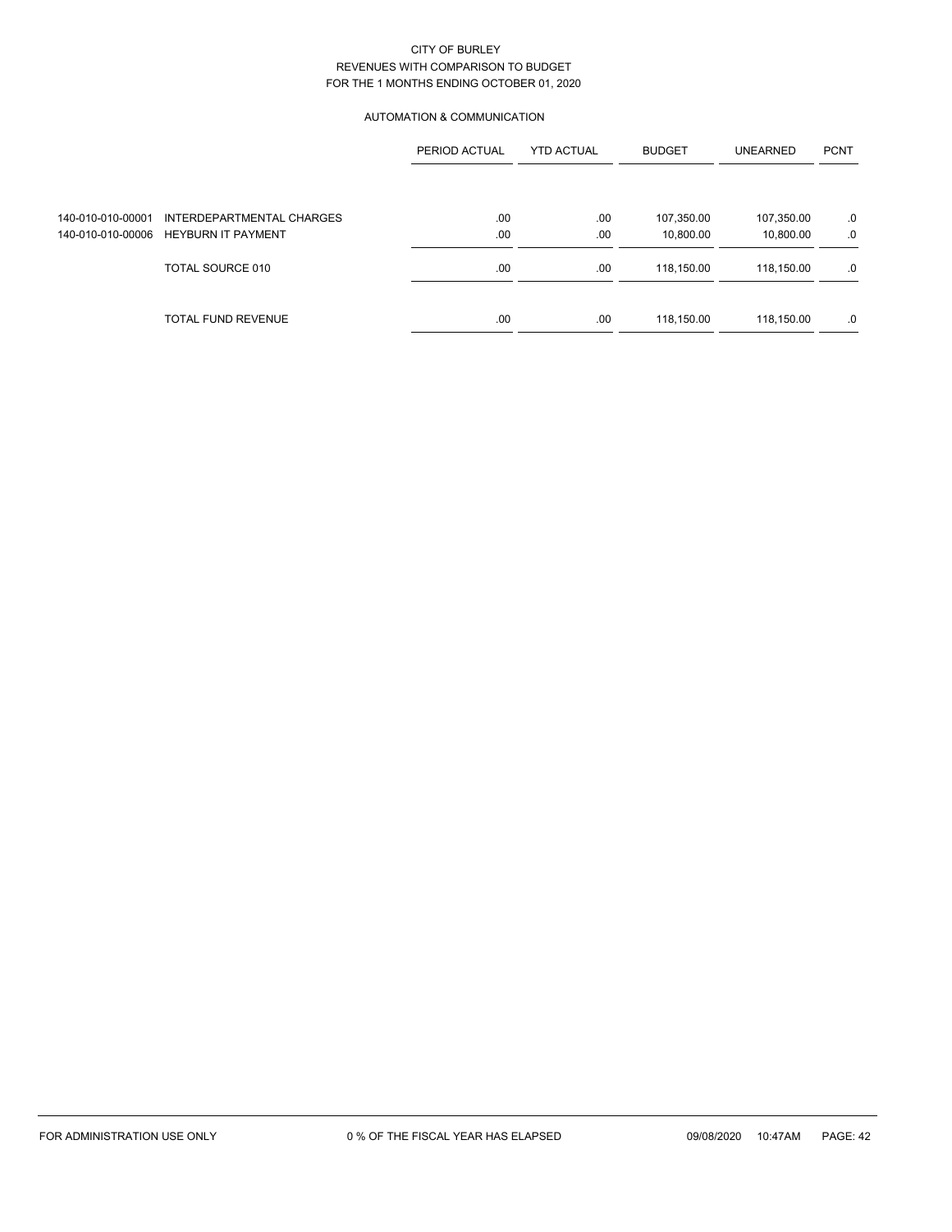## AUTOMATION & COMMUNICATION

|                   |                                      | PERIOD ACTUAL | <b>YTD ACTUAL</b> | <b>BUDGET</b> | <b>UNEARNED</b> | <b>PCNT</b> |
|-------------------|--------------------------------------|---------------|-------------------|---------------|-----------------|-------------|
|                   |                                      |               |                   |               |                 |             |
| 140-010-010-00001 | INTERDEPARTMENTAL CHARGES            | .00           | .00               | 107,350.00    | 107,350.00      | .0          |
|                   | 140-010-010-00006 HEYBURN IT PAYMENT | .00           | .00               | 10,800.00     | 10,800.00       | .0          |
|                   | TOTAL SOURCE 010                     | .00           | .00               | 118,150.00    | 118,150.00      | .0          |
|                   | <b>TOTAL FUND REVENUE</b>            | .00           | .00               | 118,150.00    | 118,150.00      | .0          |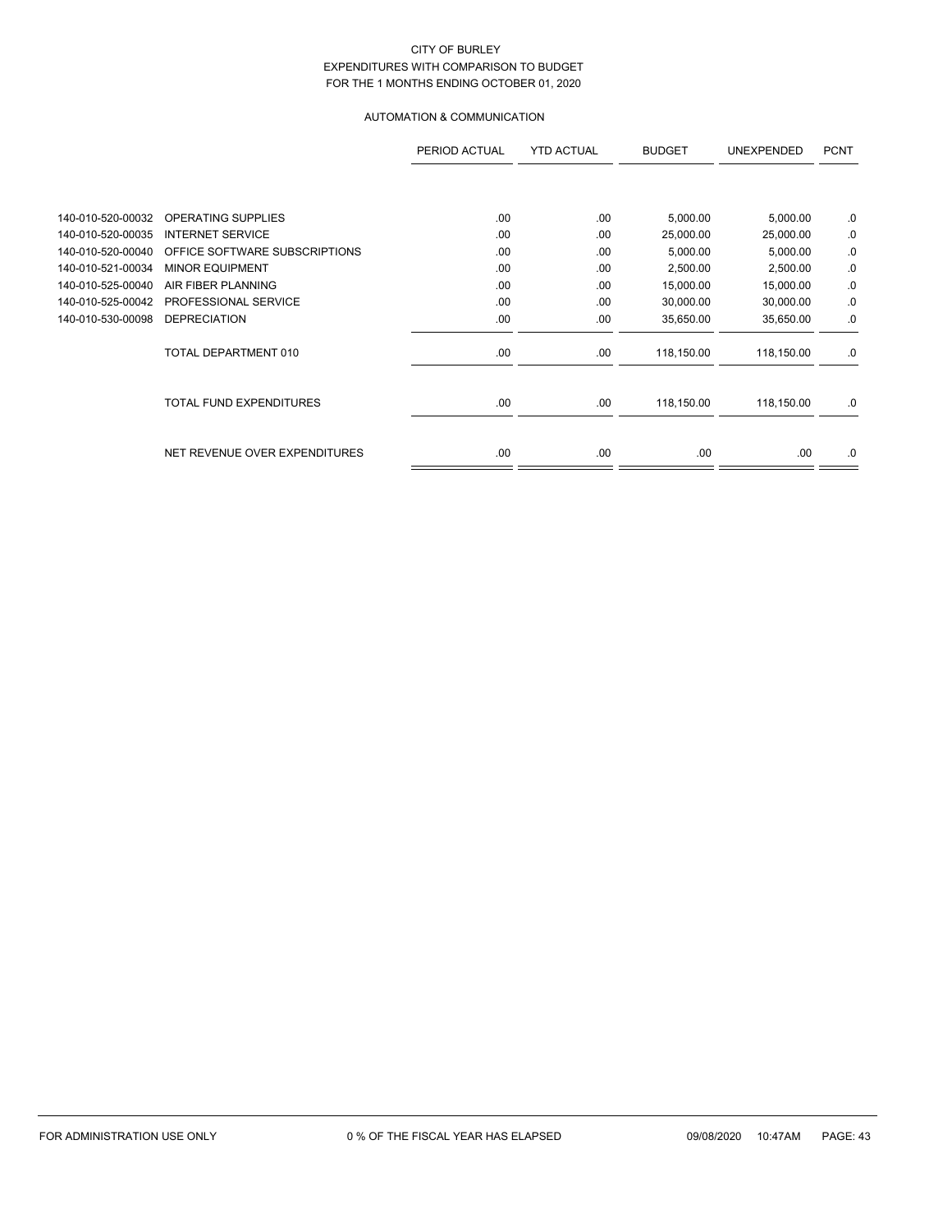# AUTOMATION & COMMUNICATION

|                   |                                | PERIOD ACTUAL | <b>YTD ACTUAL</b> | <b>BUDGET</b> | <b>UNEXPENDED</b> | <b>PCNT</b> |
|-------------------|--------------------------------|---------------|-------------------|---------------|-------------------|-------------|
|                   |                                |               |                   |               |                   |             |
| 140-010-520-00032 | <b>OPERATING SUPPLIES</b>      | .00           | .00               | 5,000.00      | 5,000.00          | .0          |
| 140-010-520-00035 | <b>INTERNET SERVICE</b>        | .00           | .00               | 25,000.00     | 25,000.00         | .0          |
| 140-010-520-00040 | OFFICE SOFTWARE SUBSCRIPTIONS  | .00           | .00               | 5,000.00      | 5,000.00          | .0          |
| 140-010-521-00034 | <b>MINOR EQUIPMENT</b>         | .00           | .00               | 2,500.00      | 2,500.00          | .0          |
| 140-010-525-00040 | AIR FIBER PLANNING             | .00           | .00               | 15,000.00     | 15,000.00         | .0          |
| 140-010-525-00042 | PROFESSIONAL SERVICE           | .00           | .00               | 30,000.00     | 30,000.00         | .0          |
| 140-010-530-00098 | <b>DEPRECIATION</b>            | .00           | .00               | 35,650.00     | 35,650.00         | .0          |
|                   | TOTAL DEPARTMENT 010           | .00           | .00               | 118,150.00    | 118,150.00        | .0          |
|                   | <b>TOTAL FUND EXPENDITURES</b> | .00.          | .00               | 118,150.00    | 118,150.00        | .0          |
|                   | NET REVENUE OVER EXPENDITURES  | .00           | .00               | .00           | .00.              | .0          |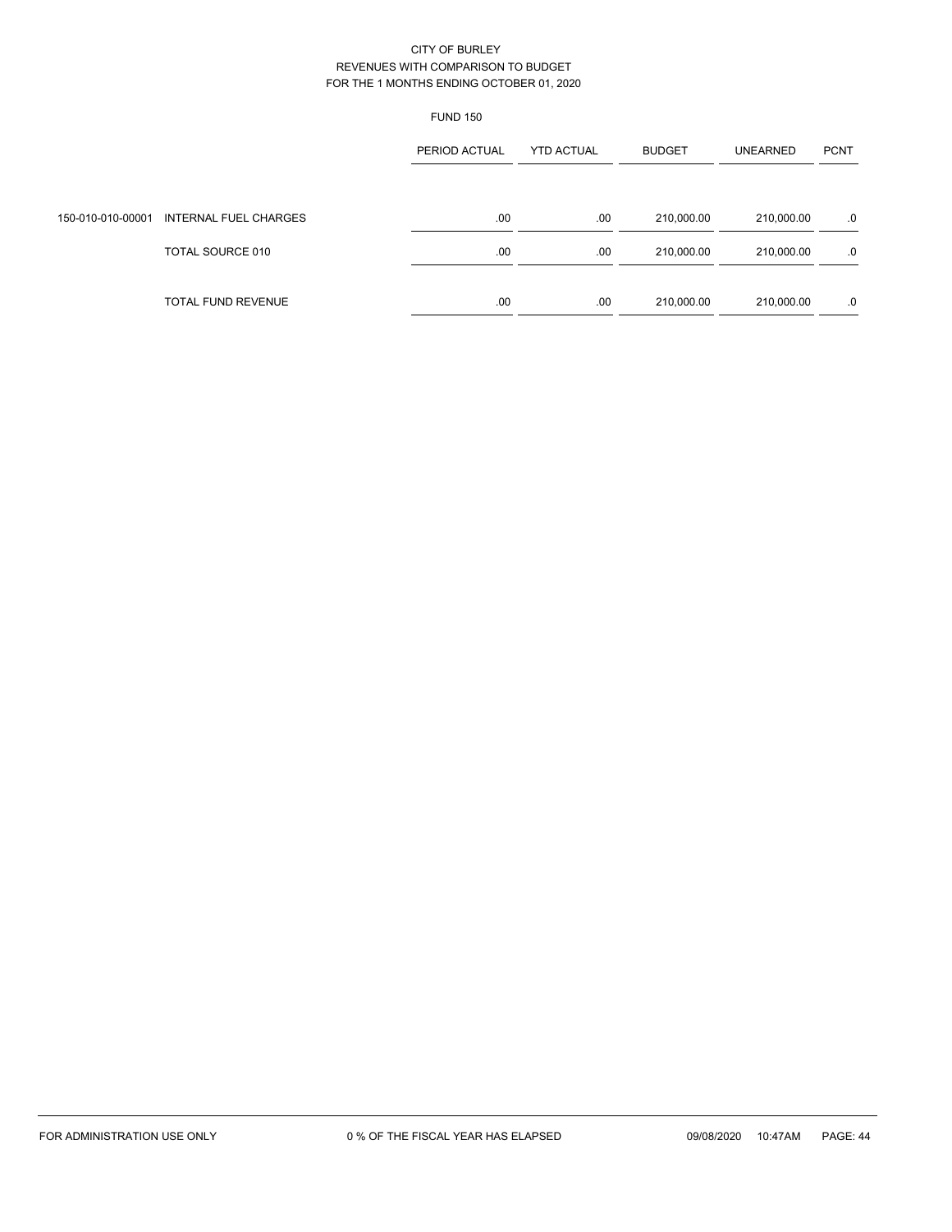|                   |                              | <b>FUND 150</b> |                   |               |                 |             |
|-------------------|------------------------------|-----------------|-------------------|---------------|-----------------|-------------|
|                   |                              | PERIOD ACTUAL   | <b>YTD ACTUAL</b> | <b>BUDGET</b> | <b>UNEARNED</b> | <b>PCNT</b> |
| 150-010-010-00001 | <b>INTERNAL FUEL CHARGES</b> | .00.            | .00               | 210,000.00    | 210,000.00      | .0          |
|                   | TOTAL SOURCE 010             | .00.            | .00               | 210,000.00    | 210,000.00      | .0          |
|                   | <b>TOTAL FUND REVENUE</b>    | .00             | .00               | 210,000.00    | 210,000.00      | .0          |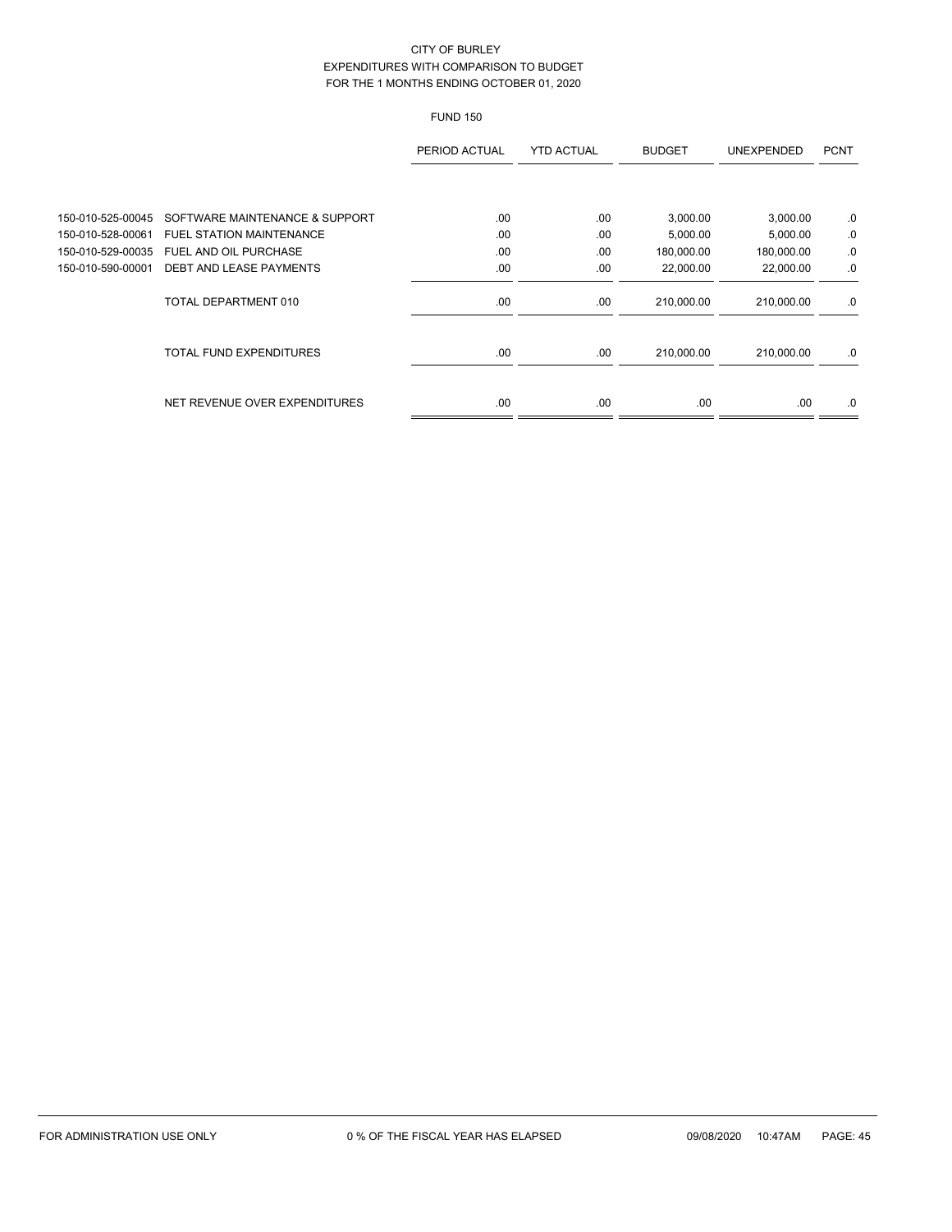# FUND 150

|                   |                                 | PERIOD ACTUAL | <b>YTD ACTUAL</b> | <b>BUDGET</b> | <b>UNEXPENDED</b> | <b>PCNT</b> |
|-------------------|---------------------------------|---------------|-------------------|---------------|-------------------|-------------|
|                   |                                 |               |                   |               |                   |             |
| 150-010-525-00045 | SOFTWARE MAINTENANCE & SUPPORT  | .00           | .00               | 3,000.00      | 3,000.00          | 0.          |
| 150-010-528-00061 | <b>FUEL STATION MAINTENANCE</b> | .00           | .00               | 5,000.00      | 5,000.00          | .0          |
| 150-010-529-00035 | FUEL AND OIL PURCHASE           | .00           | .00               | 180,000.00    | 180,000.00        | .0          |
| 150-010-590-00001 | <b>DEBT AND LEASE PAYMENTS</b>  | .00           | .00               | 22,000.00     | 22,000.00         | .0          |
|                   | TOTAL DEPARTMENT 010            | .00           | .00               | 210,000.00    | 210,000.00        | .0          |
|                   | <b>TOTAL FUND EXPENDITURES</b>  | .00           | .00               | 210,000.00    | 210,000.00        | .0          |
|                   | NET REVENUE OVER EXPENDITURES   | .00           | .00               | .00           | .00.              | .0          |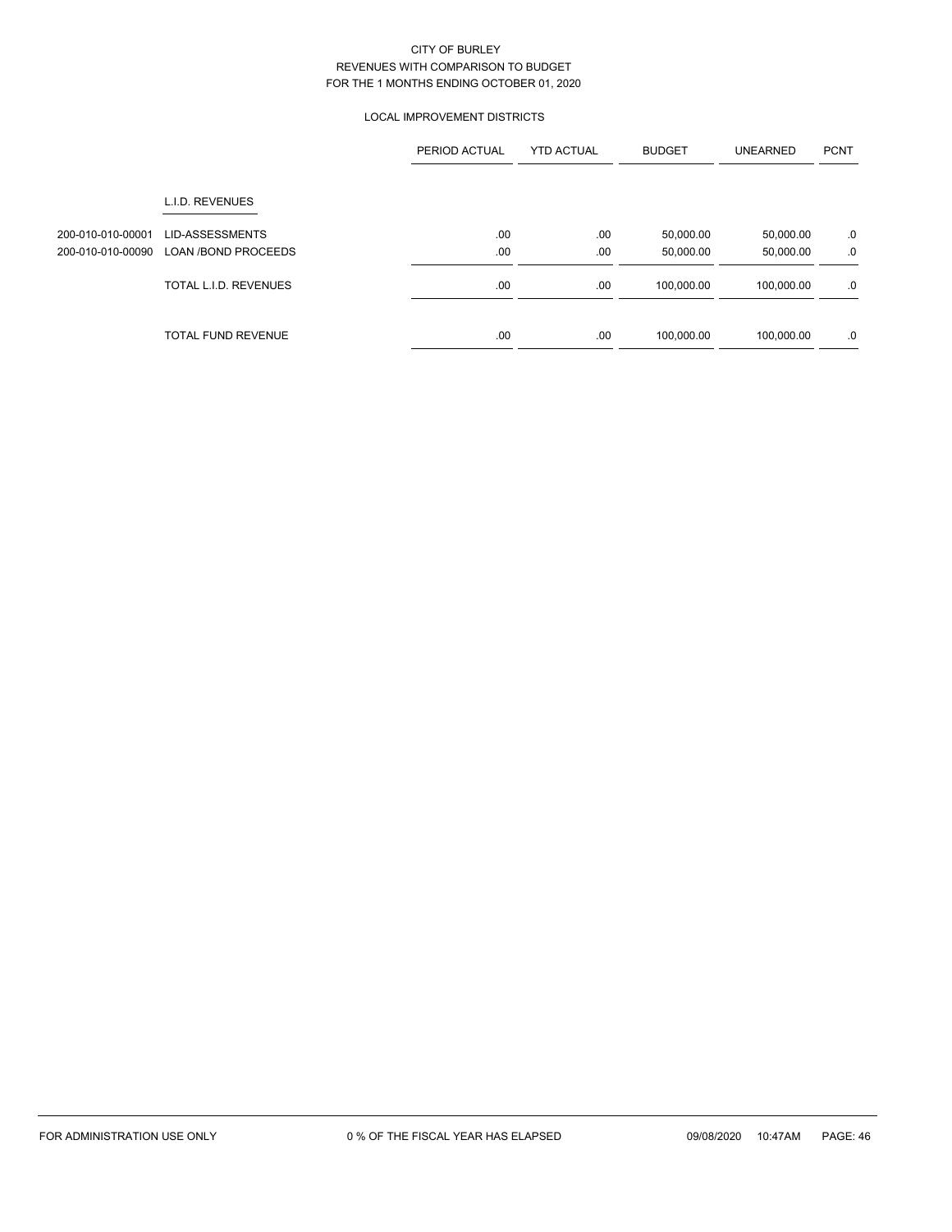## LOCAL IMPROVEMENT DISTRICTS

|                                        |                                                      | PERIOD ACTUAL | <b>YTD ACTUAL</b> | <b>BUDGET</b>          | <b>UNEARNED</b>        | <b>PCNT</b> |
|----------------------------------------|------------------------------------------------------|---------------|-------------------|------------------------|------------------------|-------------|
|                                        | L.I.D. REVENUES                                      |               |                   |                        |                        |             |
| 200-010-010-00001<br>200-010-010-00090 | <b>LID-ASSESSMENTS</b><br><b>LOAN /BOND PROCEEDS</b> | .00<br>.00    | .00<br>.00        | 50,000.00<br>50,000.00 | 50,000.00<br>50,000.00 | .0<br>.0    |
|                                        | TOTAL L.I.D. REVENUES                                | .00.          | .00               | 100,000.00             | 100,000.00             | .0          |
|                                        | <b>TOTAL FUND REVENUE</b>                            | .00           | .00               | 100,000.00             | 100.000.00             | .0          |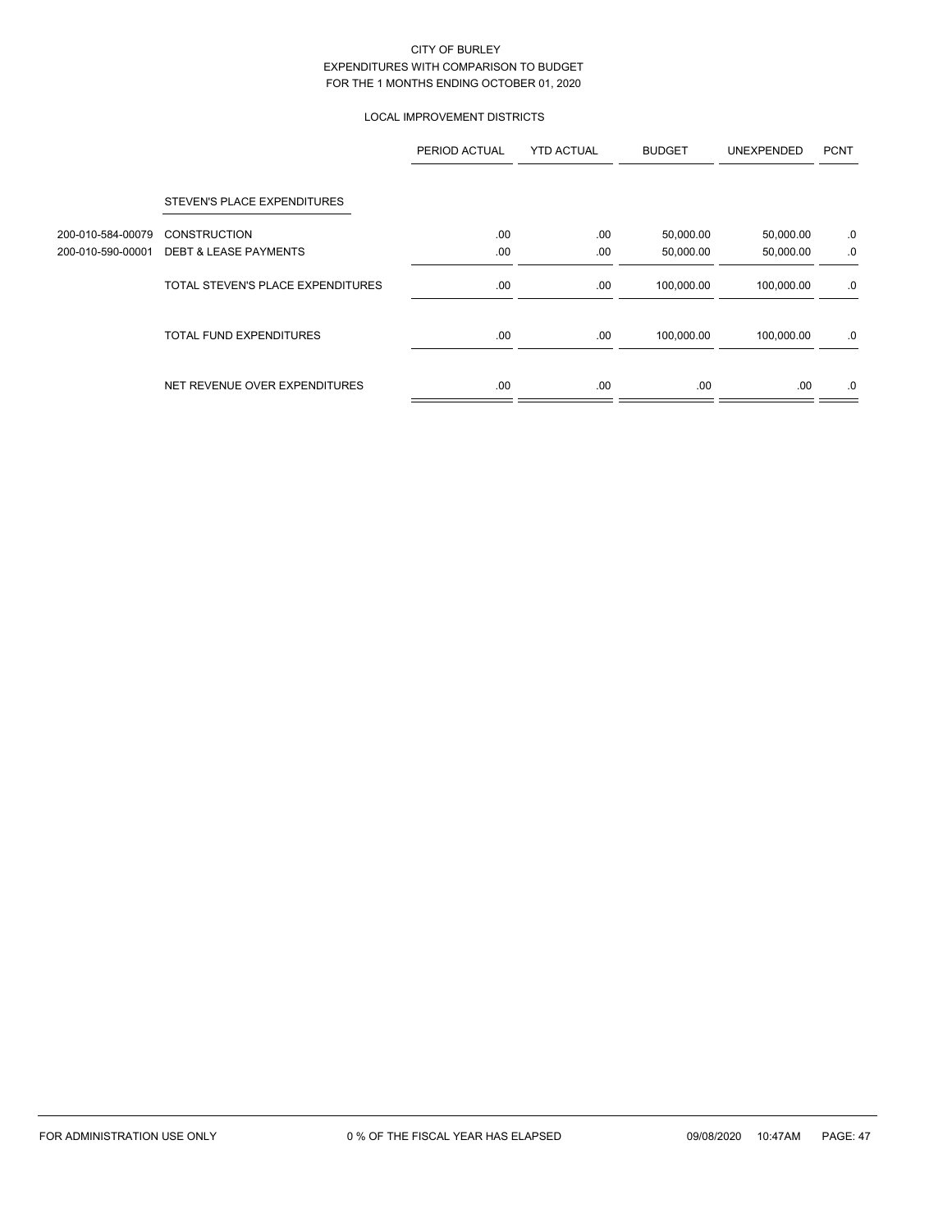# LOCAL IMPROVEMENT DISTRICTS

|                   |                                   | PERIOD ACTUAL | <b>YTD ACTUAL</b> | <b>BUDGET</b> | <b>UNEXPENDED</b> | <b>PCNT</b> |
|-------------------|-----------------------------------|---------------|-------------------|---------------|-------------------|-------------|
|                   | STEVEN'S PLACE EXPENDITURES       |               |                   |               |                   |             |
| 200-010-584-00079 | <b>CONSTRUCTION</b>               | .00           | .00               | 50,000.00     | 50,000.00         | .0          |
| 200-010-590-00001 | <b>DEBT &amp; LEASE PAYMENTS</b>  | .00           | .00               | 50,000.00     | 50,000.00         | .0          |
|                   | TOTAL STEVEN'S PLACE EXPENDITURES | .00           | .00               | 100,000.00    | 100,000.00        | .0          |
|                   | <b>TOTAL FUND EXPENDITURES</b>    | .00           | .00               | 100,000.00    | 100,000.00        | .0          |
|                   | NET REVENUE OVER EXPENDITURES     | .00.          | .00               | .00.          | .00               | .0          |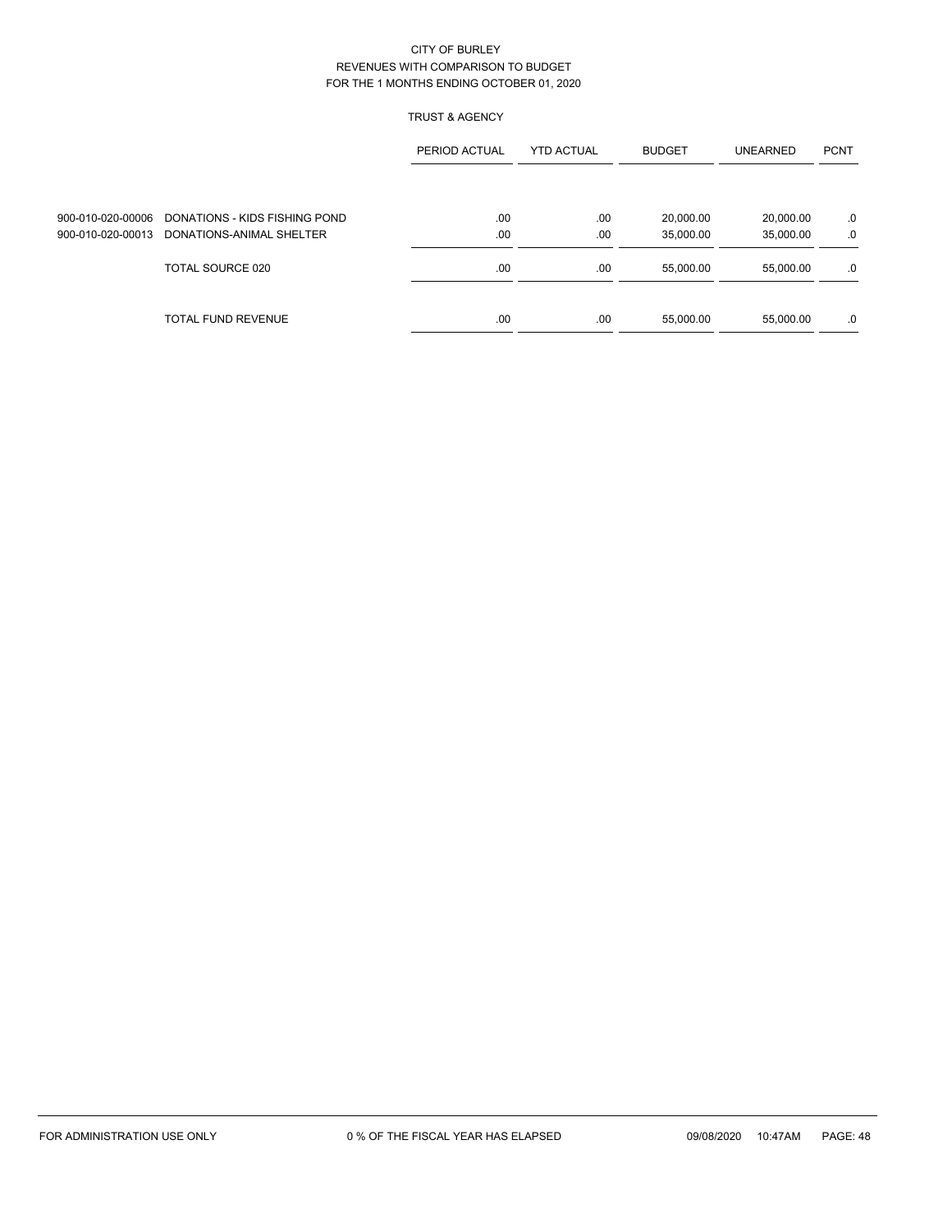# TRUST & AGENCY

|                   |                                                 | PERIOD ACTUAL | <b>YTD ACTUAL</b> | <b>BUDGET</b> | <b>UNEARNED</b> | <b>PCNT</b> |
|-------------------|-------------------------------------------------|---------------|-------------------|---------------|-----------------|-------------|
|                   |                                                 |               |                   |               |                 |             |
|                   | 900-010-020-00006 DONATIONS - KIDS FISHING POND | .00           | .00               | 20,000.00     | 20,000.00       | .0          |
| 900-010-020-00013 | DONATIONS-ANIMAL SHELTER                        | .00           | .00               | 35,000.00     | 35,000.00       | .0          |
|                   | TOTAL SOURCE 020                                | .00           | .00               | 55,000.00     | 55.000.00       | .0          |
|                   | TOTAL FUND REVENUE                              | .00           | .00               | 55,000.00     | 55,000.00       | .0          |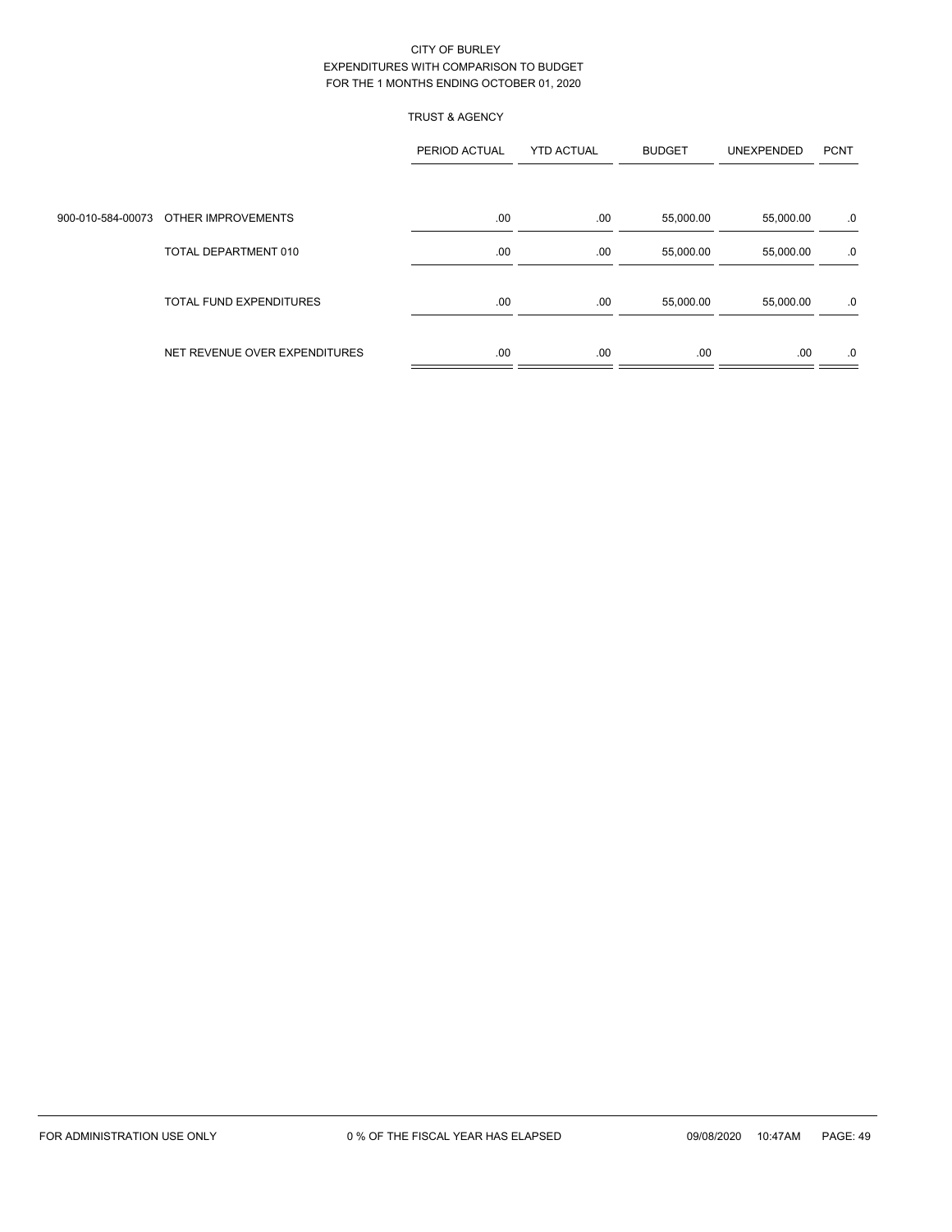# TRUST & AGENCY

|                                      | PERIOD ACTUAL | <b>YTD ACTUAL</b> | <b>BUDGET</b> | UNEXPENDED | <b>PCNT</b> |
|--------------------------------------|---------------|-------------------|---------------|------------|-------------|
|                                      |               |                   |               |            |             |
| 900-010-584-00073 OTHER IMPROVEMENTS | .00           | .00               | 55,000.00     | 55,000.00  | .0          |
| TOTAL DEPARTMENT 010                 | .00           | .00               | 55,000.00     | 55,000.00  | .0          |
| <b>TOTAL FUND EXPENDITURES</b>       | .00           | .00               | 55,000.00     | 55,000.00  | .0          |
| NET REVENUE OVER EXPENDITURES        | .00           | .00               | .00.          | .00        | .0          |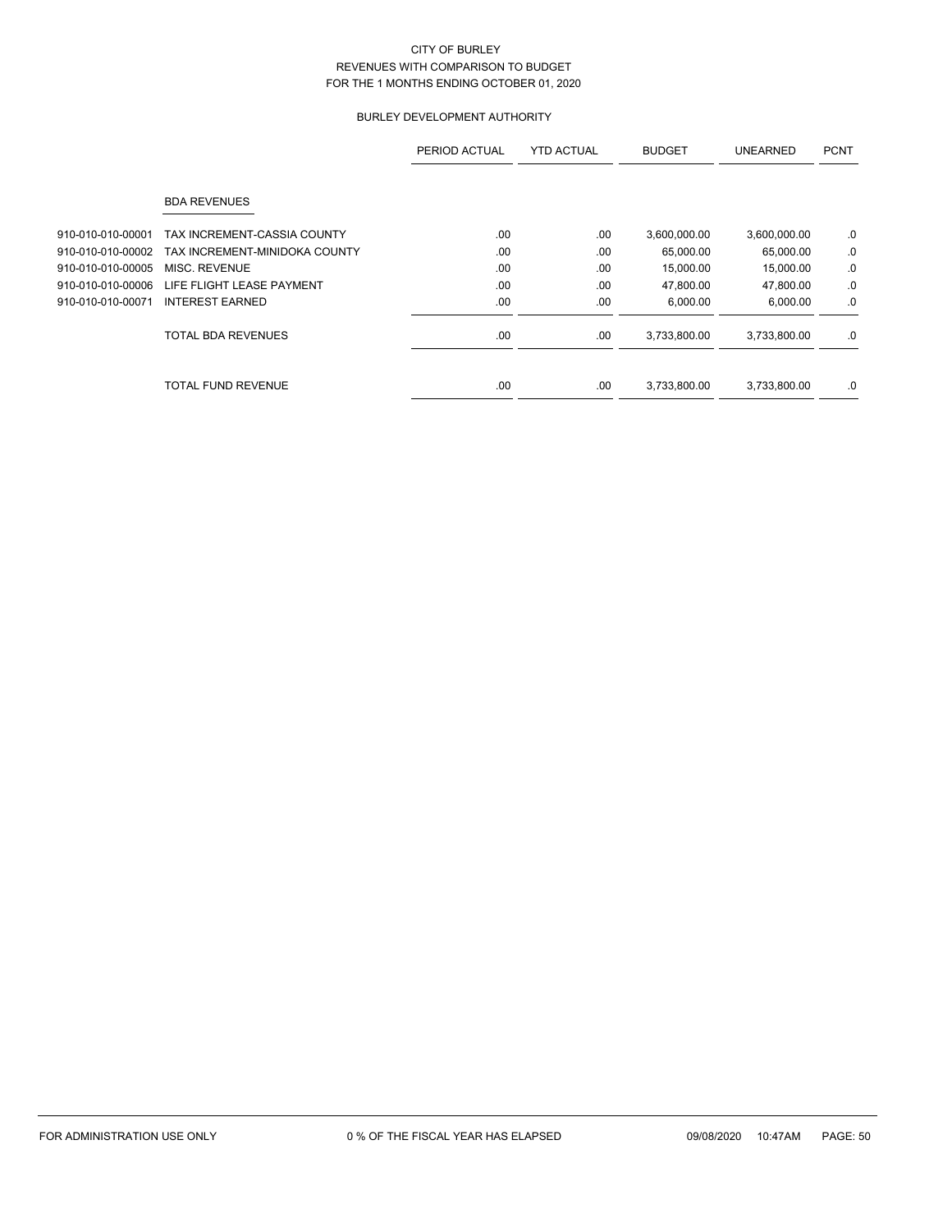# BURLEY DEVELOPMENT AUTHORITY

|                   |                               | PERIOD ACTUAL | <b>YTD ACTUAL</b> | <b>BUDGET</b> | <b>UNEARNED</b> | <b>PCNT</b> |
|-------------------|-------------------------------|---------------|-------------------|---------------|-----------------|-------------|
|                   | <b>BDA REVENUES</b>           |               |                   |               |                 |             |
| 910-010-010-00001 | TAX INCREMENT-CASSIA COUNTY   | .00           | .00               | 3,600,000.00  | 3,600,000.00    | .0          |
| 910-010-010-00002 | TAX INCREMENT-MINIDOKA COUNTY | .00           | .00               | 65,000.00     | 65,000.00       | .0          |
| 910-010-010-00005 | MISC. REVENUE                 | .00           | .00               | 15,000.00     | 15,000.00       | .0          |
| 910-010-010-00006 | LIFE FLIGHT LEASE PAYMENT     | .00           | .00               | 47,800.00     | 47,800.00       | .0          |
| 910-010-010-00071 | <b>INTEREST EARNED</b>        | .00           | .00               | 6,000.00      | 6,000.00        | .0          |
|                   | <b>TOTAL BDA REVENUES</b>     | .00           | .00               | 3,733,800.00  | 3,733,800.00    | .0          |
|                   | TOTAL FUND REVENUE            | .00           | .00               | 3,733,800.00  | 3,733,800.00    | .0          |